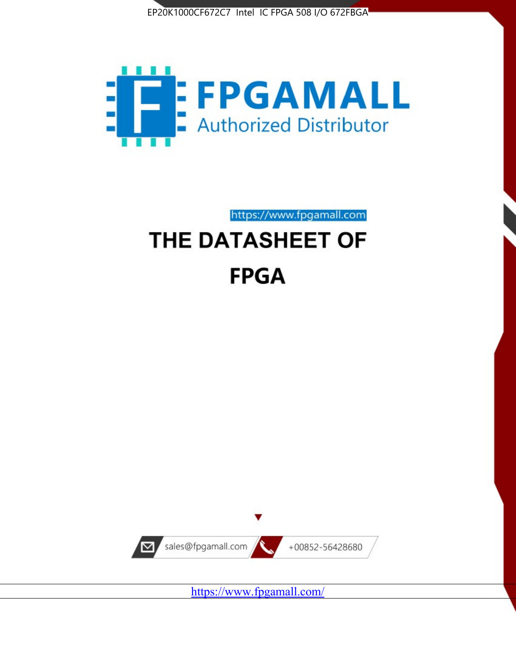



https://www.fpgamall.com

# THE DATASHEET OF **FPGA**



<https://www.fpgamall.com/>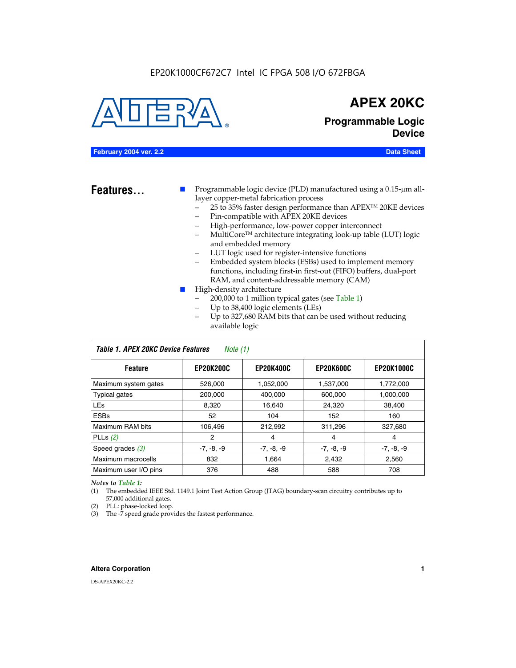#### EP20K1000CF672C7 Intel IC FPGA 508 I/O 672FBGA



### **APEX 20KC**

**Programmable Logic Device**

#### **February 2004 ver. 2.2 Data Sheet**

**Features...** ■ Programmable logic device (PLD) manufactured using a 0.15-µm alllayer copper-metal fabrication process

- 25 to 35% faster design performance than APEX<sup>™</sup> 20KE devices
- Pin-compatible with APEX 20KE devices
- High-performance, low-power copper interconnect
- MultiCoreTM architecture integrating look-up table (LUT) logic and embedded memory
- LUT logic used for register-intensive functions
- Embedded system blocks (ESBs) used to implement memory functions, including first-in first-out (FIFO) buffers, dual-port RAM, and content-addressable memory (CAM)
- High-density architecture
	- 200,000 to 1 million typical gates (see Table 1)
	- Up to 38,400 logic elements (LEs)
	- Up to 327,680 RAM bits that can be used without reducing available logic

| Table 1. APEX 20KC Device Features<br>Note (1) |                  |                  |                  |                   |  |  |  |  |
|------------------------------------------------|------------------|------------------|------------------|-------------------|--|--|--|--|
| <b>Feature</b>                                 | <b>EP20K200C</b> | <b>EP20K400C</b> | <b>EP20K600C</b> | <b>EP20K1000C</b> |  |  |  |  |
| Maximum system gates                           | 526,000          | 1,052,000        | 1,537,000        | 1,772,000         |  |  |  |  |
| <b>Typical gates</b>                           | 200,000          | 400.000          | 600,000          | 1,000,000         |  |  |  |  |
| <b>LEs</b>                                     | 8.320            | 16,640           | 24,320           | 38,400            |  |  |  |  |
| <b>ESBs</b>                                    | 52               | 104              | 152              | 160               |  |  |  |  |
| Maximum RAM bits                               | 106,496          | 212,992          | 311,296          | 327,680           |  |  |  |  |
| PLLs $(2)$                                     | 2                | 4                | 4                | 4                 |  |  |  |  |
| Speed grades $(3)$                             | $-7, -8, -9$     | $-7, -8, -9$     | $-7, -8, -9$     | $-7, -8, -9$      |  |  |  |  |
| Maximum macrocells                             | 832              | 1.664            | 2,432            | 2,560             |  |  |  |  |
| Maximum user I/O pins                          | 376              | 488              | 588              | 708               |  |  |  |  |

#### *Notes to Table 1:*

(1) The embedded IEEE Std. 1149.1 Joint Test Action Group (JTAG) boundary-scan circuitry contributes up to 57,000 additional gates.

- (2) PLL: phase-locked loop.
- (3) The -7 speed grade provides the fastest performance.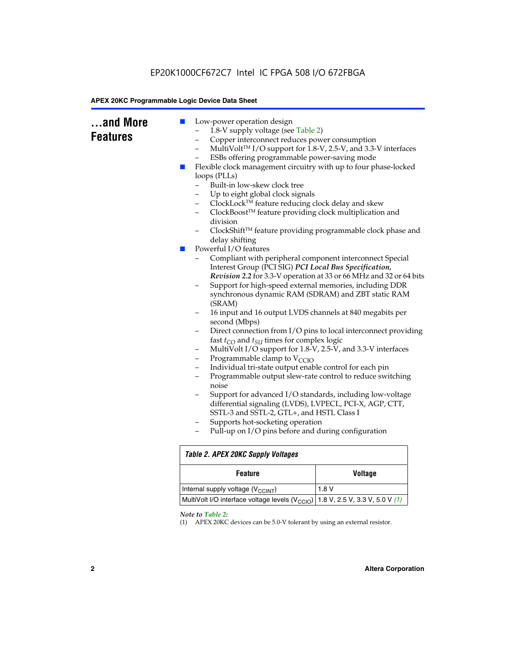| and More<br><b>Features</b> | Low-power operation design<br>ш<br>1.8-V supply voltage (see Table 2)<br>Copper interconnect reduces power consumption<br>-<br>-<br>ESBs offering programmable power-saving mode<br>Flexible clock management circuitry with up to four phase-locked<br>ш<br>loops (PLLs)<br>Built-in low-skew clock tree<br>Up to eight global clock signals<br>ClockLock™ feature reducing clock delay and skew<br>-<br>ClockBoost™ feature providing clock multiplication and<br>-<br>division<br>delay shifting<br>Powerful I/O features<br>$\blacksquare$<br>Interest Group (PCI SIG) PCI Local Bus Specification,<br>Support for high-speed external memories, including DDR<br>-<br>(SRAM)<br>16 input and 16 output LVDS channels at 840 megabits per<br>second (Mbps)<br>fast $t_{CO}$ and $t_{SU}$ times for complex logic<br>MultiVolt I/O support for 1.8-V, 2.5-V, and 3.3-V interfaces<br>-<br>Programmable clamp to $V_{\text{CCIO}}$<br>-<br>Individual tri-state output enable control for each pin<br>-<br>$\overline{\phantom{0}}$<br>noise<br>- | MultiVolt™ I/O support for 1.8-V, 2.5-V, and 3.3-V interfaces<br>ClockShift™ feature providing programmable clock phase and<br>Compliant with peripheral component interconnect Special<br>Revision 2.2 for 3.3-V operation at 33 or 66 MHz and 32 or 64 bits<br>synchronous dynamic RAM (SDRAM) and ZBT static RAM<br>Direct connection from I/O pins to local interconnect providing<br>Programmable output slew-rate control to reduce switching<br>Support for advanced I/O standards, including low-voltage |  |  |  |  |
|-----------------------------|-----------------------------------------------------------------------------------------------------------------------------------------------------------------------------------------------------------------------------------------------------------------------------------------------------------------------------------------------------------------------------------------------------------------------------------------------------------------------------------------------------------------------------------------------------------------------------------------------------------------------------------------------------------------------------------------------------------------------------------------------------------------------------------------------------------------------------------------------------------------------------------------------------------------------------------------------------------------------------------------------------------------------------------------------------|------------------------------------------------------------------------------------------------------------------------------------------------------------------------------------------------------------------------------------------------------------------------------------------------------------------------------------------------------------------------------------------------------------------------------------------------------------------------------------------------------------------|--|--|--|--|
|                             | differential signaling (LVDS), LVPECL, PCI-X, AGP, CTT,<br>SSTL-3 and SSTL-2, GTL+, and HSTL Class I<br>Supports hot-socketing operation<br>-<br>Pull-up on I/O pins before and during configuration                                                                                                                                                                                                                                                                                                                                                                                                                                                                                                                                                                                                                                                                                                                                                                                                                                                |                                                                                                                                                                                                                                                                                                                                                                                                                                                                                                                  |  |  |  |  |
|                             | <b>Table 2. APEX 20KC Supply Voltages</b>                                                                                                                                                                                                                                                                                                                                                                                                                                                                                                                                                                                                                                                                                                                                                                                                                                                                                                                                                                                                           |                                                                                                                                                                                                                                                                                                                                                                                                                                                                                                                  |  |  |  |  |
|                             | <b>Feature</b>                                                                                                                                                                                                                                                                                                                                                                                                                                                                                                                                                                                                                                                                                                                                                                                                                                                                                                                                                                                                                                      | <b>Voltage</b>                                                                                                                                                                                                                                                                                                                                                                                                                                                                                                   |  |  |  |  |
|                             | Internal supply voltage (V <sub>CCINT</sub> )                                                                                                                                                                                                                                                                                                                                                                                                                                                                                                                                                                                                                                                                                                                                                                                                                                                                                                                                                                                                       | 1.8V                                                                                                                                                                                                                                                                                                                                                                                                                                                                                                             |  |  |  |  |
|                             | MultiVolt I/O interface voltage levels (V <sub>CCIO</sub> )<br>1.8 V, 2.5 V, 3.3 V, 5.0 V (1)                                                                                                                                                                                                                                                                                                                                                                                                                                                                                                                                                                                                                                                                                                                                                                                                                                                                                                                                                       |                                                                                                                                                                                                                                                                                                                                                                                                                                                                                                                  |  |  |  |  |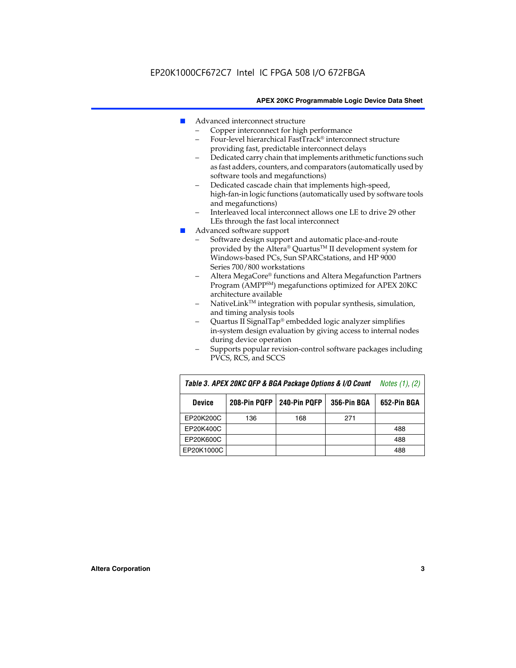- Advanced interconnect structure
	- Copper interconnect for high performance
	- Four-level hierarchical FastTrack® interconnect structure providing fast, predictable interconnect delays
	- Dedicated carry chain that implements arithmetic functions such as fast adders, counters, and comparators (automatically used by software tools and megafunctions)
	- Dedicated cascade chain that implements high-speed, high-fan-in logic functions (automatically used by software tools and megafunctions)
	- Interleaved local interconnect allows one LE to drive 29 other LEs through the fast local interconnect
- Advanced software support
	- Software design support and automatic place-and-route provided by the Altera® Quartus™ II development system for Windows-based PCs, Sun SPARCstations, and HP 9000 Series 700/800 workstations
	- Altera MegaCore® functions and Altera Megafunction Partners Program (AMPPSM) megafunctions optimized for APEX 20KC architecture available
	- $N$ ativeLink<sup>TM</sup> integration with popular synthesis, simulation, and timing analysis tools
	- Quartus II SignalTap® embedded logic analyzer simplifies in-system design evaluation by giving access to internal nodes during device operation
	- Supports popular revision-control software packages including PVCS, RCS, and SCCS

| Table 3. APEX 20KC QFP & BGA Package Options & I/O Count | <i>Notes <math>(1)</math>, <math>(2)</math></i> |     |     |     |
|----------------------------------------------------------|-------------------------------------------------|-----|-----|-----|
| <b>Device</b>                                            | 240-Pin PQFP<br>208-Pin PQFP<br>356-Pin BGA     |     |     |     |
| EP20K200C                                                | 136                                             | 168 | 271 |     |
| EP20K400C                                                |                                                 |     |     | 488 |
| EP20K600C                                                |                                                 |     |     | 488 |
| EP20K1000C                                               |                                                 |     |     | 488 |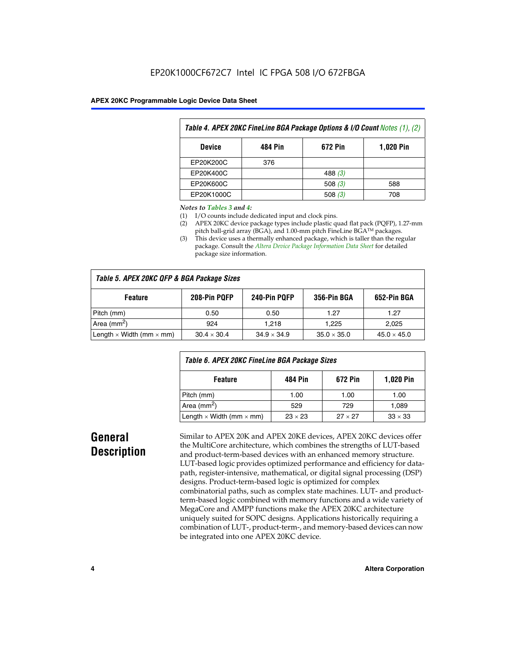| Table 4. APEX 20KC FineLine BGA Package Options & I/O Count Notes (1), (2) |     |           |     |  |  |  |
|----------------------------------------------------------------------------|-----|-----------|-----|--|--|--|
| 672 Pin<br>484 Pin<br><b>1,020 Pin</b><br><b>Device</b>                    |     |           |     |  |  |  |
| EP20K200C                                                                  | 376 |           |     |  |  |  |
| EP20K400C                                                                  |     | 488 $(3)$ |     |  |  |  |
| EP20K600C                                                                  |     | 508 $(3)$ | 588 |  |  |  |
| EP20K1000C                                                                 |     | 508(3)    | 708 |  |  |  |

#### *Notes to Tables 3 and 4:*

- (1) I/O counts include dedicated input and clock pins.
- (2) APEX 20KC device package types include plastic quad flat pack (PQFP), 1.27-mm pitch ball-grid array (BGA), and 1.00-mm pitch FineLine BGA™ packages.
- (3) This device uses a thermally enhanced package, which is taller than the regular package. Consult the *Altera Device Package Information Data Sheet* for detailed package size information.

| Table 5. APEX 20KC QFP & BGA Package Sizes |                    |                    |                    |                    |  |  |  |
|--------------------------------------------|--------------------|--------------------|--------------------|--------------------|--|--|--|
| <b>Feature</b>                             | 208-Pin PQFP       | 240-Pin PQFP       | 356-Pin BGA        | 652-Pin BGA        |  |  |  |
| Pitch (mm)                                 | 0.50               | 0.50               | 1.27               | 1.27               |  |  |  |
| Area ( $mm2$ )                             | 924                | 1.218              | 1.225              | 2,025              |  |  |  |
| Length $\times$ Width (mm $\times$ mm)     | $30.4 \times 30.4$ | $34.9 \times 34.9$ | $35.0 \times 35.0$ | $45.0 \times 45.0$ |  |  |  |

| Table 6. APEX 20KC FineLine BGA Package Sizes            |                |                |                |  |  |  |
|----------------------------------------------------------|----------------|----------------|----------------|--|--|--|
| <b>1,020 Pin</b><br>672 Pin<br><b>Feature</b><br>484 Pin |                |                |                |  |  |  |
| Pitch (mm)                                               | 1.00           | 1.00           | 1.00           |  |  |  |
| Area ( $mm2$ )                                           | 529            | 729            | 1,089          |  |  |  |
| Length $\times$ Width (mm $\times$ mm)                   | $23 \times 23$ | $27 \times 27$ | $33 \times 33$ |  |  |  |

### **General Description**

Similar to APEX 20K and APEX 20KE devices, APEX 20KC devices offer the MultiCore architecture, which combines the strengths of LUT-based and product-term-based devices with an enhanced memory structure. LUT-based logic provides optimized performance and efficiency for datapath, register-intensive, mathematical, or digital signal processing (DSP) designs. Product-term-based logic is optimized for complex combinatorial paths, such as complex state machines. LUT- and productterm-based logic combined with memory functions and a wide variety of MegaCore and AMPP functions make the APEX 20KC architecture uniquely suited for SOPC designs. Applications historically requiring a combination of LUT-, product-term-, and memory-based devices can now be integrated into one APEX 20KC device.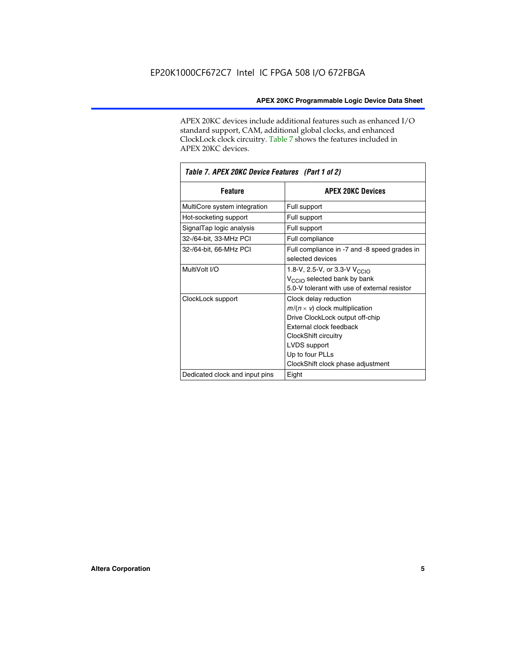APEX 20KC devices include additional features such as enhanced I/O standard support, CAM, additional global clocks, and enhanced ClockLock clock circuitry. Table 7 shows the features included in APEX 20KC devices.

| Table 7. APEX 20KC Device Features (Part 1 of 2) |                                                                                                                                                                                                                              |  |  |  |  |
|--------------------------------------------------|------------------------------------------------------------------------------------------------------------------------------------------------------------------------------------------------------------------------------|--|--|--|--|
| <b>Feature</b>                                   | <b>APEX 20KC Devices</b>                                                                                                                                                                                                     |  |  |  |  |
| MultiCore system integration                     | Full support                                                                                                                                                                                                                 |  |  |  |  |
| Hot-socketing support                            | Full support                                                                                                                                                                                                                 |  |  |  |  |
| SignalTap logic analysis                         | Full support                                                                                                                                                                                                                 |  |  |  |  |
| 32-/64-bit, 33-MHz PCI                           | Full compliance                                                                                                                                                                                                              |  |  |  |  |
| 32-/64-bit, 66-MHz PCI                           | Full compliance in -7 and -8 speed grades in<br>selected devices                                                                                                                                                             |  |  |  |  |
| MultiVolt I/O                                    | 1.8-V, 2.5-V, or 3.3-V V <sub>CCIO</sub><br>V <sub>CCIO</sub> selected bank by bank<br>5.0-V tolerant with use of external resistor                                                                                          |  |  |  |  |
| ClockLock support                                | Clock delay reduction<br>$m/(n \times v)$ clock multiplication<br>Drive ClockLock output off-chip<br>External clock feedback<br>ClockShift circuitry<br>LVDS support<br>Up to four PLLs<br>ClockShift clock phase adjustment |  |  |  |  |
| Dedicated clock and input pins                   | Eight                                                                                                                                                                                                                        |  |  |  |  |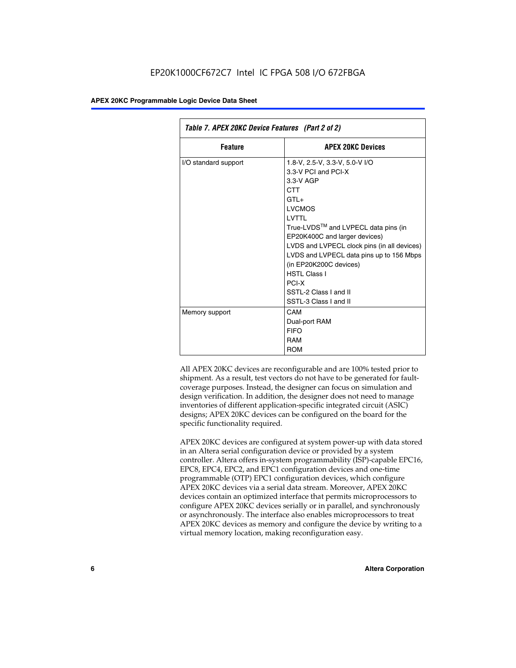| Table 7. APEX 20KC Device Features (Part 2 of 2) |                                                                                                                                                                                                                                                                                                                                                                                                 |  |  |  |  |
|--------------------------------------------------|-------------------------------------------------------------------------------------------------------------------------------------------------------------------------------------------------------------------------------------------------------------------------------------------------------------------------------------------------------------------------------------------------|--|--|--|--|
| <b>Feature</b>                                   | <b>APEX 20KC Devices</b>                                                                                                                                                                                                                                                                                                                                                                        |  |  |  |  |
| I/O standard support                             | 1.8-V, 2.5-V, 3.3-V, 5.0-V I/O<br>3.3-V PCI and PCI-X<br>$3.3-V$ AGP<br>CTT<br>$GTI +$<br><b>LVCMOS</b><br>I VTTI<br>True-LVDS™ and LVPECL data pins (in<br>EP20K400C and larger devices)<br>LVDS and LVPECL clock pins (in all devices)<br>LVDS and LVPECL data pins up to 156 Mbps<br>(in EP20K200C devices)<br><b>HSTL Class I</b><br>PCI-X<br>SSTI-2 Class Land II<br>SSTL-3 Class I and II |  |  |  |  |
| Memory support                                   | CAM<br>Dual-port RAM<br><b>FIFO</b><br>RAM<br><b>ROM</b>                                                                                                                                                                                                                                                                                                                                        |  |  |  |  |

All APEX 20KC devices are reconfigurable and are 100% tested prior to shipment. As a result, test vectors do not have to be generated for faultcoverage purposes. Instead, the designer can focus on simulation and design verification. In addition, the designer does not need to manage inventories of different application-specific integrated circuit (ASIC) designs; APEX 20KC devices can be configured on the board for the specific functionality required.

APEX 20KC devices are configured at system power-up with data stored in an Altera serial configuration device or provided by a system controller. Altera offers in-system programmability (ISP)-capable EPC16, EPC8, EPC4, EPC2, and EPC1 configuration devices and one-time programmable (OTP) EPC1 configuration devices, which configure APEX 20KC devices via a serial data stream. Moreover, APEX 20KC devices contain an optimized interface that permits microprocessors to configure APEX 20KC devices serially or in parallel, and synchronously or asynchronously. The interface also enables microprocessors to treat APEX 20KC devices as memory and configure the device by writing to a virtual memory location, making reconfiguration easy.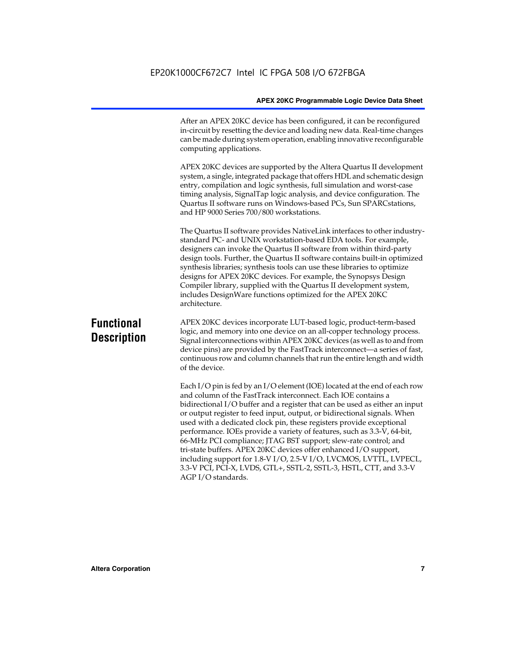After an APEX 20KC device has been configured, it can be reconfigured in-circuit by resetting the device and loading new data. Real-time changes can be made during system operation, enabling innovative reconfigurable computing applications.

APEX 20KC devices are supported by the Altera Quartus II development system, a single, integrated package that offers HDL and schematic design entry, compilation and logic synthesis, full simulation and worst-case timing analysis, SignalTap logic analysis, and device configuration. The Quartus II software runs on Windows-based PCs, Sun SPARCstations, and HP 9000 Series 700/800 workstations.

The Quartus II software provides NativeLink interfaces to other industrystandard PC- and UNIX workstation-based EDA tools. For example, designers can invoke the Quartus II software from within third-party design tools. Further, the Quartus II software contains built-in optimized synthesis libraries; synthesis tools can use these libraries to optimize designs for APEX 20KC devices. For example, the Synopsys Design Compiler library, supplied with the Quartus II development system, includes DesignWare functions optimized for the APEX 20KC architecture.

### **Functional Description**

APEX 20KC devices incorporate LUT-based logic, product-term-based logic, and memory into one device on an all-copper technology process. Signal interconnections within APEX 20KC devices (as well as to and from device pins) are provided by the FastTrack interconnect—a series of fast, continuous row and column channels that run the entire length and width of the device.

Each I/O pin is fed by an I/O element (IOE) located at the end of each row and column of the FastTrack interconnect. Each IOE contains a bidirectional I/O buffer and a register that can be used as either an input or output register to feed input, output, or bidirectional signals. When used with a dedicated clock pin, these registers provide exceptional performance. IOEs provide a variety of features, such as 3.3-V, 64-bit, 66-MHz PCI compliance; JTAG BST support; slew-rate control; and tri-state buffers. APEX 20KC devices offer enhanced I/O support, including support for 1.8-V I/O, 2.5-V I/O, LVCMOS, LVTTL, LVPECL, 3.3-V PCI, PCI-X, LVDS, GTL+, SSTL-2, SSTL-3, HSTL, CTT, and 3.3-V AGP I/O standards.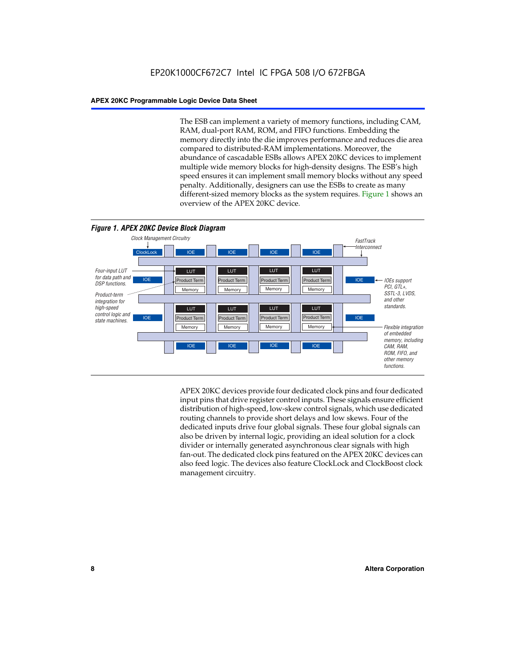The ESB can implement a variety of memory functions, including CAM, RAM, dual-port RAM, ROM, and FIFO functions. Embedding the memory directly into the die improves performance and reduces die area compared to distributed-RAM implementations. Moreover, the abundance of cascadable ESBs allows APEX 20KC devices to implement multiple wide memory blocks for high-density designs. The ESB's high speed ensures it can implement small memory blocks without any speed penalty. Additionally, designers can use the ESBs to create as many different-sized memory blocks as the system requires. Figure 1 shows an overview of the APEX 20KC device.



APEX 20KC devices provide four dedicated clock pins and four dedicated input pins that drive register control inputs. These signals ensure efficient distribution of high-speed, low-skew control signals, which use dedicated routing channels to provide short delays and low skews. Four of the dedicated inputs drive four global signals. These four global signals can also be driven by internal logic, providing an ideal solution for a clock divider or internally generated asynchronous clear signals with high fan-out. The dedicated clock pins featured on the APEX 20KC devices can also feed logic. The devices also feature ClockLock and ClockBoost clock management circuitry.

#### **8 Altera Corporation**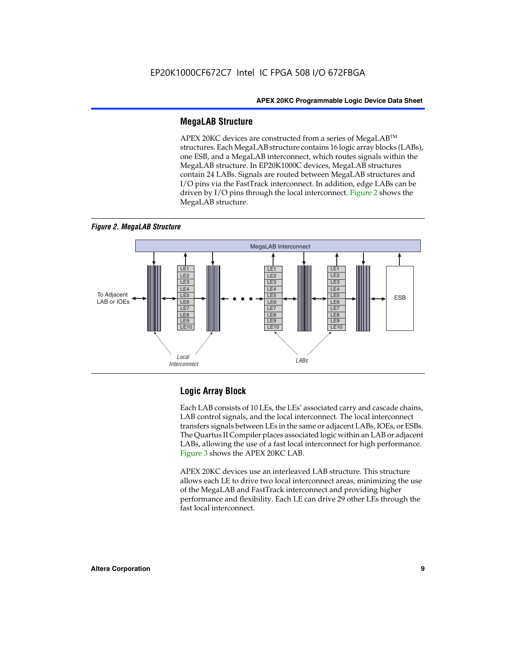#### **MegaLAB Structure**

APEX 20KC devices are constructed from a series of MegaLAB™ structures. Each MegaLAB structure contains 16 logic array blocks (LABs), one ESB, and a MegaLAB interconnect, which routes signals within the MegaLAB structure. In EP20K1000C devices, MegaLAB structures contain 24 LABs. Signals are routed between MegaLAB structures and I/O pins via the FastTrack interconnect. In addition, edge LABs can be driven by I/O pins through the local interconnect. Figure 2 shows the MegaLAB structure.





#### **Logic Array Block**

Each LAB consists of 10 LEs, the LEs' associated carry and cascade chains, LAB control signals, and the local interconnect. The local interconnect transfers signals between LEs in the same or adjacent LABs, IOEs, or ESBs. The Quartus II Compiler places associated logic within an LAB or adjacent LABs, allowing the use of a fast local interconnect for high performance. Figure 3 shows the APEX 20KC LAB.

APEX 20KC devices use an interleaved LAB structure. This structure allows each LE to drive two local interconnect areas, minimizing the use of the MegaLAB and FastTrack interconnect and providing higher performance and flexibility. Each LE can drive 29 other LEs through the fast local interconnect.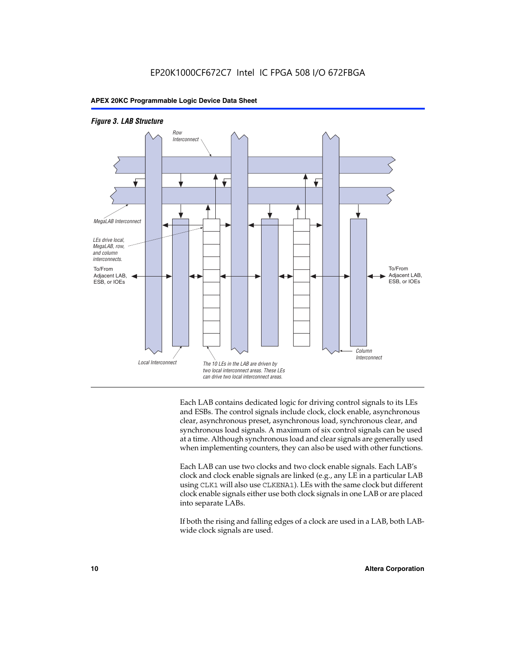



Each LAB contains dedicated logic for driving control signals to its LEs and ESBs. The control signals include clock, clock enable, asynchronous clear, asynchronous preset, asynchronous load, synchronous clear, and synchronous load signals. A maximum of six control signals can be used at a time. Although synchronous load and clear signals are generally used when implementing counters, they can also be used with other functions.

Each LAB can use two clocks and two clock enable signals. Each LAB's clock and clock enable signals are linked (e.g., any LE in a particular LAB using CLK1 will also use CLKENA1). LEs with the same clock but different clock enable signals either use both clock signals in one LAB or are placed into separate LABs.

If both the rising and falling edges of a clock are used in a LAB, both LABwide clock signals are used.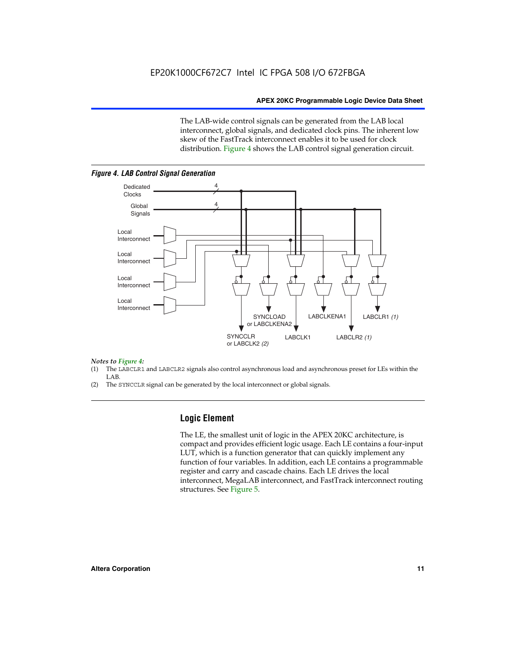The LAB-wide control signals can be generated from the LAB local interconnect, global signals, and dedicated clock pins. The inherent low skew of the FastTrack interconnect enables it to be used for clock distribution. Figure 4 shows the LAB control signal generation circuit.



#### *Figure 4. LAB Control Signal Generation*

## *Notes to Figure 4:*

- (1) The LABCLR1 and LABCLR2 signals also control asynchronous load and asynchronous preset for LEs within the LAB.
- (2) The SYNCCLR signal can be generated by the local interconnect or global signals.

#### **Logic Element**

The LE, the smallest unit of logic in the APEX 20KC architecture, is compact and provides efficient logic usage. Each LE contains a four-input LUT, which is a function generator that can quickly implement any function of four variables. In addition, each LE contains a programmable register and carry and cascade chains. Each LE drives the local interconnect, MegaLAB interconnect, and FastTrack interconnect routing structures. See Figure 5.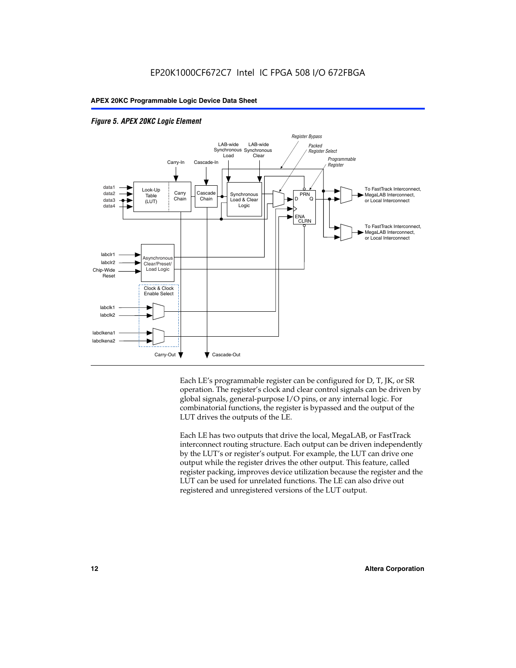



Each LE's programmable register can be configured for D, T, JK, or SR operation. The register's clock and clear control signals can be driven by global signals, general-purpose I/O pins, or any internal logic. For combinatorial functions, the register is bypassed and the output of the LUT drives the outputs of the LE.

Each LE has two outputs that drive the local, MegaLAB, or FastTrack interconnect routing structure. Each output can be driven independently by the LUT's or register's output. For example, the LUT can drive one output while the register drives the other output. This feature, called register packing, improves device utilization because the register and the LUT can be used for unrelated functions. The LE can also drive out registered and unregistered versions of the LUT output.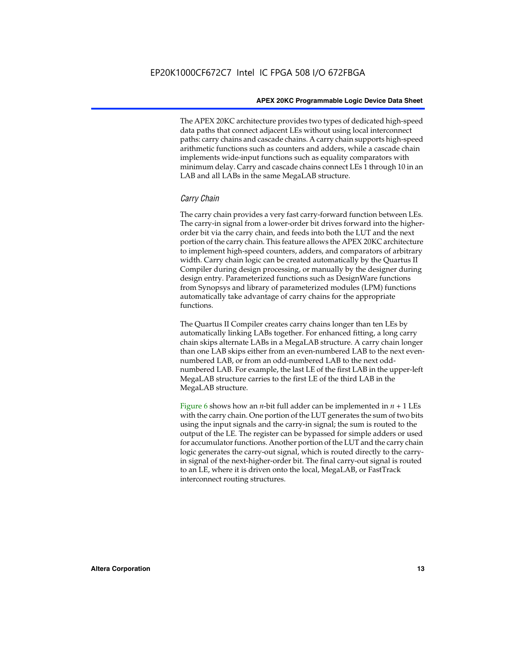The APEX 20KC architecture provides two types of dedicated high-speed data paths that connect adjacent LEs without using local interconnect paths: carry chains and cascade chains. A carry chain supports high-speed arithmetic functions such as counters and adders, while a cascade chain implements wide-input functions such as equality comparators with minimum delay. Carry and cascade chains connect LEs 1 through 10 in an LAB and all LABs in the same MegaLAB structure.

#### *Carry Chain*

The carry chain provides a very fast carry-forward function between LEs. The carry-in signal from a lower-order bit drives forward into the higherorder bit via the carry chain, and feeds into both the LUT and the next portion of the carry chain. This feature allows the APEX 20KC architecture to implement high-speed counters, adders, and comparators of arbitrary width. Carry chain logic can be created automatically by the Quartus II Compiler during design processing, or manually by the designer during design entry. Parameterized functions such as DesignWare functions from Synopsys and library of parameterized modules (LPM) functions automatically take advantage of carry chains for the appropriate functions.

The Quartus II Compiler creates carry chains longer than ten LEs by automatically linking LABs together. For enhanced fitting, a long carry chain skips alternate LABs in a MegaLAB structure. A carry chain longer than one LAB skips either from an even-numbered LAB to the next evennumbered LAB, or from an odd-numbered LAB to the next oddnumbered LAB. For example, the last LE of the first LAB in the upper-left MegaLAB structure carries to the first LE of the third LAB in the MegaLAB structure.

Figure 6 shows how an *n*-bit full adder can be implemented in  $n + 1$  LEs with the carry chain. One portion of the LUT generates the sum of two bits using the input signals and the carry-in signal; the sum is routed to the output of the LE. The register can be bypassed for simple adders or used for accumulator functions. Another portion of the LUT and the carry chain logic generates the carry-out signal, which is routed directly to the carryin signal of the next-higher-order bit. The final carry-out signal is routed to an LE, where it is driven onto the local, MegaLAB, or FastTrack interconnect routing structures.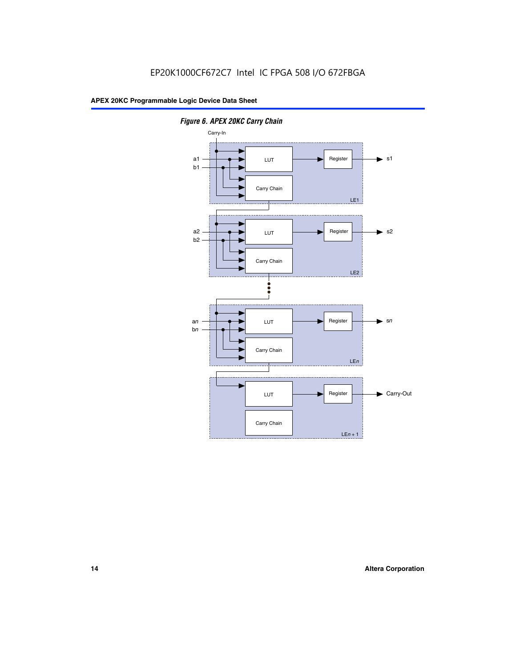

*Figure 6. APEX 20KC Carry Chain*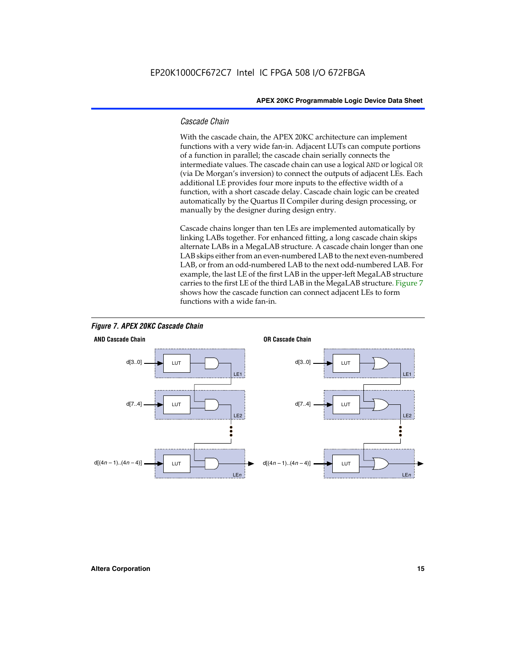#### *Cascade Chain*

With the cascade chain, the APEX 20KC architecture can implement functions with a very wide fan-in. Adjacent LUTs can compute portions of a function in parallel; the cascade chain serially connects the intermediate values. The cascade chain can use a logical AND or logical OR (via De Morgan's inversion) to connect the outputs of adjacent LEs. Each additional LE provides four more inputs to the effective width of a function, with a short cascade delay. Cascade chain logic can be created automatically by the Quartus II Compiler during design processing, or manually by the designer during design entry.

Cascade chains longer than ten LEs are implemented automatically by linking LABs together. For enhanced fitting, a long cascade chain skips alternate LABs in a MegaLAB structure. A cascade chain longer than one LAB skips either from an even-numbered LAB to the next even-numbered LAB, or from an odd-numbered LAB to the next odd-numbered LAB. For example, the last LE of the first LAB in the upper-left MegaLAB structure carries to the first LE of the third LAB in the MegaLAB structure. Figure 7 shows how the cascade function can connect adjacent LEs to form functions with a wide fan-in.



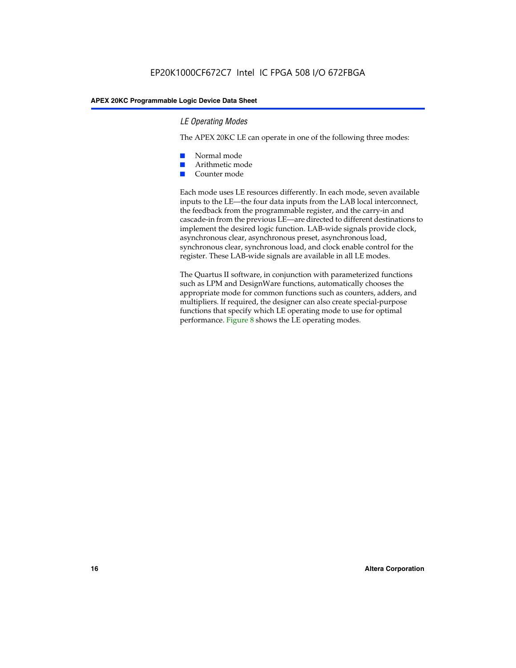#### *LE Operating Modes*

The APEX 20KC LE can operate in one of the following three modes:

- Normal mode
- Arithmetic mode
- Counter mode

Each mode uses LE resources differently. In each mode, seven available inputs to the LE—the four data inputs from the LAB local interconnect, the feedback from the programmable register, and the carry-in and cascade-in from the previous LE—are directed to different destinations to implement the desired logic function. LAB-wide signals provide clock, asynchronous clear, asynchronous preset, asynchronous load, synchronous clear, synchronous load, and clock enable control for the register. These LAB-wide signals are available in all LE modes.

The Quartus II software, in conjunction with parameterized functions such as LPM and DesignWare functions, automatically chooses the appropriate mode for common functions such as counters, adders, and multipliers. If required, the designer can also create special-purpose functions that specify which LE operating mode to use for optimal performance. Figure 8 shows the LE operating modes.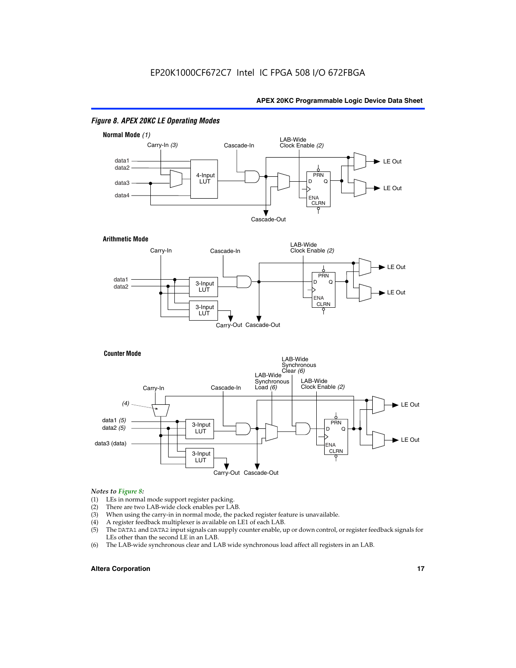

#### *Figure 8. APEX 20KC LE Operating Modes*

### *Notes to Figure 8:*

- (1) LEs in normal mode support register packing.<br>(2) There are two LAB-wide clock enables per LA
- (2) There are two LAB-wide clock enables per LAB.<br>(3) When using the carry-in in normal mode, the pa
- When using the carry-in in normal mode, the packed register feature is unavailable.
- (4) A register feedback multiplexer is available on LE1 of each LAB.
- (5) The DATA1 and DATA2 input signals can supply counter enable, up or down control, or register feedback signals for LEs other than the second LE in an LAB.
- (6) The LAB-wide synchronous clear and LAB wide synchronous load affect all registers in an LAB.

#### **Altera Corporation 17 17**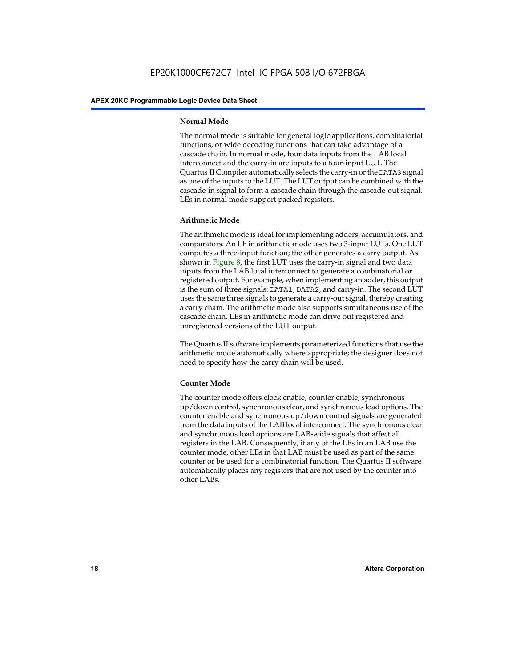#### **Normal Mode**

The normal mode is suitable for general logic applications, combinatorial functions, or wide decoding functions that can take advantage of a cascade chain. In normal mode, four data inputs from the LAB local interconnect and the carry-in are inputs to a four-input LUT. The Quartus II Compiler automatically selects the carry-in or the DATA3 signal as one of the inputs to the LUT. The LUT output can be combined with the cascade-in signal to form a cascade chain through the cascade-out signal. LEs in normal mode support packed registers.

#### **Arithmetic Mode**

The arithmetic mode is ideal for implementing adders, accumulators, and comparators. An LE in arithmetic mode uses two 3-input LUTs. One LUT computes a three-input function; the other generates a carry output. As shown in Figure 8, the first LUT uses the carry-in signal and two data inputs from the LAB local interconnect to generate a combinatorial or registered output. For example, when implementing an adder, this output is the sum of three signals: DATA1, DATA2, and carry-in. The second LUT uses the same three signals to generate a carry-out signal, thereby creating a carry chain. The arithmetic mode also supports simultaneous use of the cascade chain. LEs in arithmetic mode can drive out registered and unregistered versions of the LUT output.

The Quartus II software implements parameterized functions that use the arithmetic mode automatically where appropriate; the designer does not need to specify how the carry chain will be used.

#### **Counter Mode**

The counter mode offers clock enable, counter enable, synchronous up/down control, synchronous clear, and synchronous load options. The counter enable and synchronous up/down control signals are generated from the data inputs of the LAB local interconnect. The synchronous clear and synchronous load options are LAB-wide signals that affect all registers in the LAB. Consequently, if any of the LEs in an LAB use the counter mode, other LEs in that LAB must be used as part of the same counter or be used for a combinatorial function. The Quartus II software automatically places any registers that are not used by the counter into other LABs.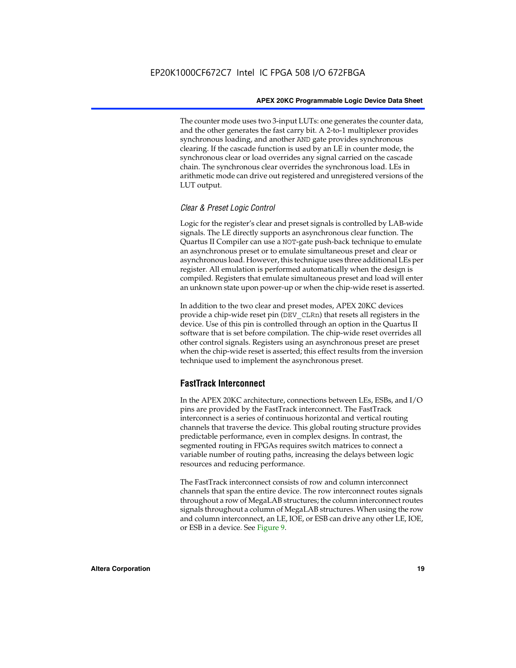The counter mode uses two 3-input LUTs: one generates the counter data, and the other generates the fast carry bit. A 2-to-1 multiplexer provides synchronous loading, and another AND gate provides synchronous clearing. If the cascade function is used by an LE in counter mode, the synchronous clear or load overrides any signal carried on the cascade chain. The synchronous clear overrides the synchronous load. LEs in arithmetic mode can drive out registered and unregistered versions of the LUT output.

#### *Clear & Preset Logic Control*

Logic for the register's clear and preset signals is controlled by LAB-wide signals. The LE directly supports an asynchronous clear function. The Quartus II Compiler can use a NOT-gate push-back technique to emulate an asynchronous preset or to emulate simultaneous preset and clear or asynchronous load. However, this technique uses three additional LEs per register. All emulation is performed automatically when the design is compiled. Registers that emulate simultaneous preset and load will enter an unknown state upon power-up or when the chip-wide reset is asserted.

In addition to the two clear and preset modes, APEX 20KC devices provide a chip-wide reset pin (DEV\_CLRn) that resets all registers in the device. Use of this pin is controlled through an option in the Quartus II software that is set before compilation. The chip-wide reset overrides all other control signals. Registers using an asynchronous preset are preset when the chip-wide reset is asserted; this effect results from the inversion technique used to implement the asynchronous preset.

#### **FastTrack Interconnect**

In the APEX 20KC architecture, connections between LEs, ESBs, and I/O pins are provided by the FastTrack interconnect. The FastTrack interconnect is a series of continuous horizontal and vertical routing channels that traverse the device. This global routing structure provides predictable performance, even in complex designs. In contrast, the segmented routing in FPGAs requires switch matrices to connect a variable number of routing paths, increasing the delays between logic resources and reducing performance.

The FastTrack interconnect consists of row and column interconnect channels that span the entire device. The row interconnect routes signals throughout a row of MegaLAB structures; the column interconnect routes signals throughout a column of MegaLAB structures. When using the row and column interconnect, an LE, IOE, or ESB can drive any other LE, IOE, or ESB in a device. See Figure 9.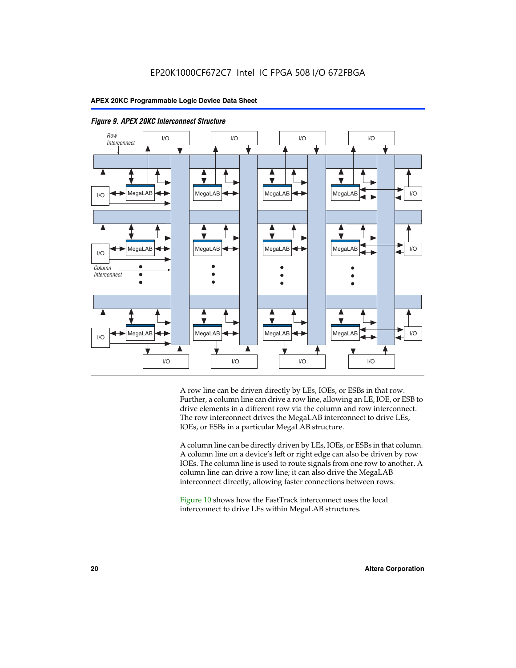



A row line can be driven directly by LEs, IOEs, or ESBs in that row. Further, a column line can drive a row line, allowing an LE, IOE, or ESB to drive elements in a different row via the column and row interconnect. The row interconnect drives the MegaLAB interconnect to drive LEs, IOEs, or ESBs in a particular MegaLAB structure.

A column line can be directly driven by LEs, IOEs, or ESBs in that column. A column line on a device's left or right edge can also be driven by row IOEs. The column line is used to route signals from one row to another. A column line can drive a row line; it can also drive the MegaLAB interconnect directly, allowing faster connections between rows.

Figure 10 shows how the FastTrack interconnect uses the local interconnect to drive LEs within MegaLAB structures.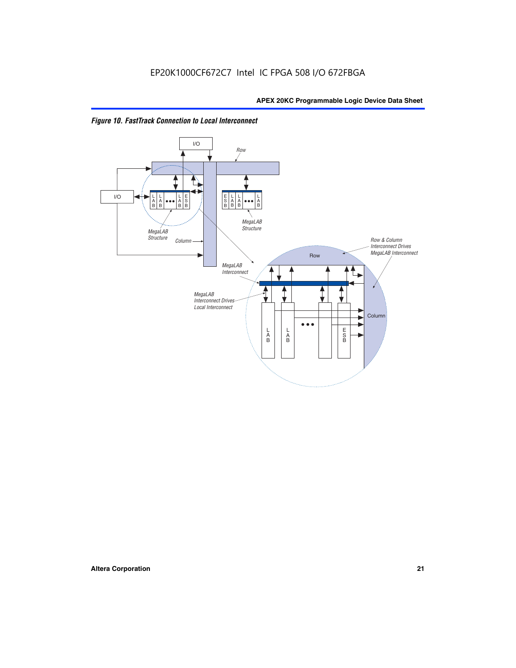

*Figure 10. FastTrack Connection to Local Interconnect*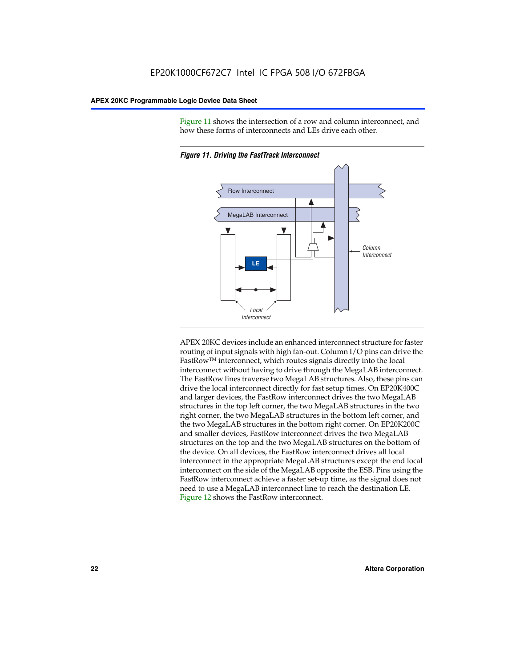Figure 11 shows the intersection of a row and column interconnect, and how these forms of interconnects and LEs drive each other.



*Figure 11. Driving the FastTrack Interconnect*

APEX 20KC devices include an enhanced interconnect structure for faster routing of input signals with high fan-out. Column I/O pins can drive the FastRowTM interconnect, which routes signals directly into the local interconnect without having to drive through the MegaLAB interconnect. The FastRow lines traverse two MegaLAB structures. Also, these pins can drive the local interconnect directly for fast setup times. On EP20K400C and larger devices, the FastRow interconnect drives the two MegaLAB structures in the top left corner, the two MegaLAB structures in the two right corner, the two MegaLAB structures in the bottom left corner, and the two MegaLAB structures in the bottom right corner. On EP20K200C and smaller devices, FastRow interconnect drives the two MegaLAB structures on the top and the two MegaLAB structures on the bottom of the device. On all devices, the FastRow interconnect drives all local interconnect in the appropriate MegaLAB structures except the end local interconnect on the side of the MegaLAB opposite the ESB. Pins using the FastRow interconnect achieve a faster set-up time, as the signal does not need to use a MegaLAB interconnect line to reach the destination LE. Figure 12 shows the FastRow interconnect.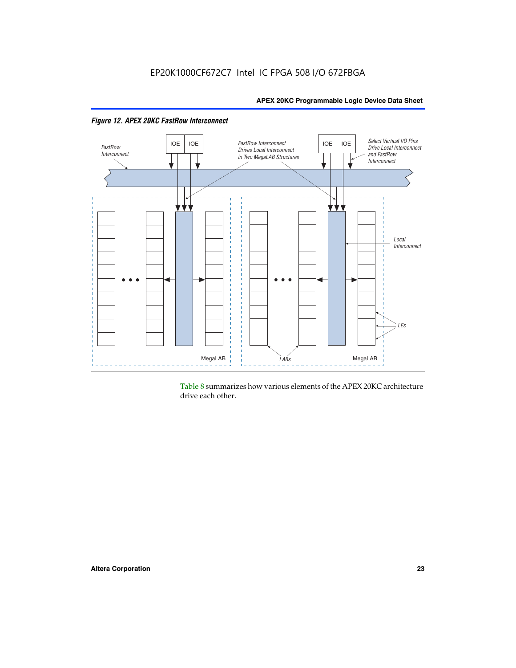

Table 8 summarizes how various elements of the APEX 20KC architecture drive each other.

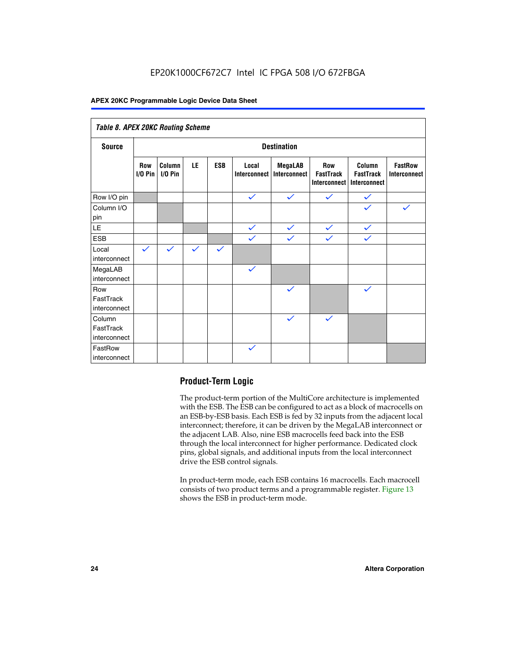### EP20K1000CF672C7 Intel IC FPGA 508 I/O 672FBGA

#### **APEX 20KC Programmable Logic Device Data Sheet**

| Table 8. APEX 20KC Routing Scheme   |                          |                     |              |              |                       |                         |                                                |                                            |                                       |
|-------------------------------------|--------------------------|---------------------|--------------|--------------|-----------------------|-------------------------|------------------------------------------------|--------------------------------------------|---------------------------------------|
| <b>Source</b>                       | <b>Destination</b>       |                     |              |              |                       |                         |                                                |                                            |                                       |
|                                     | <b>Row</b><br>$I/O P$ in | Column<br>$I/O$ Pin | LE           | <b>ESB</b>   | Local<br>Interconnect | MegaLAB<br>Interconnect | <b>Row</b><br><b>FastTrack</b><br>Interconnect | Column<br><b>FastTrack</b><br>Interconnect | <b>FastRow</b><br><b>Interconnect</b> |
| Row I/O pin                         |                          |                     |              |              | $\checkmark$          | $\checkmark$            | $\checkmark$                                   | $\checkmark$                               |                                       |
| Column I/O<br>pin                   |                          |                     |              |              |                       |                         |                                                | $\checkmark$                               | $\checkmark$                          |
| $\mathsf{LE}\,$                     |                          |                     |              |              | $\checkmark$          | $\checkmark$            | $\checkmark$                                   | $\checkmark$                               |                                       |
| <b>ESB</b>                          |                          |                     |              |              | $\checkmark$          | $\checkmark$            | $\checkmark$                                   | $\checkmark$                               |                                       |
| Local<br>interconnect               | $\checkmark$             | $\checkmark$        | $\checkmark$ | $\checkmark$ |                       |                         |                                                |                                            |                                       |
| MegaLAB<br>interconnect             |                          |                     |              |              | $\checkmark$          |                         |                                                |                                            |                                       |
| Row<br>FastTrack<br>interconnect    |                          |                     |              |              |                       | $\checkmark$            |                                                | $\checkmark$                               |                                       |
| Column<br>FastTrack<br>interconnect |                          |                     |              |              |                       | $\checkmark$            | $\checkmark$                                   |                                            |                                       |
| FastRow<br>interconnect             |                          |                     |              |              | $\checkmark$          |                         |                                                |                                            |                                       |

#### **Product-Term Logic**

The product-term portion of the MultiCore architecture is implemented with the ESB. The ESB can be configured to act as a block of macrocells on an ESB-by-ESB basis. Each ESB is fed by 32 inputs from the adjacent local interconnect; therefore, it can be driven by the MegaLAB interconnect or the adjacent LAB. Also, nine ESB macrocells feed back into the ESB through the local interconnect for higher performance. Dedicated clock pins, global signals, and additional inputs from the local interconnect drive the ESB control signals.

In product-term mode, each ESB contains 16 macrocells. Each macrocell consists of two product terms and a programmable register. Figure 13 shows the ESB in product-term mode.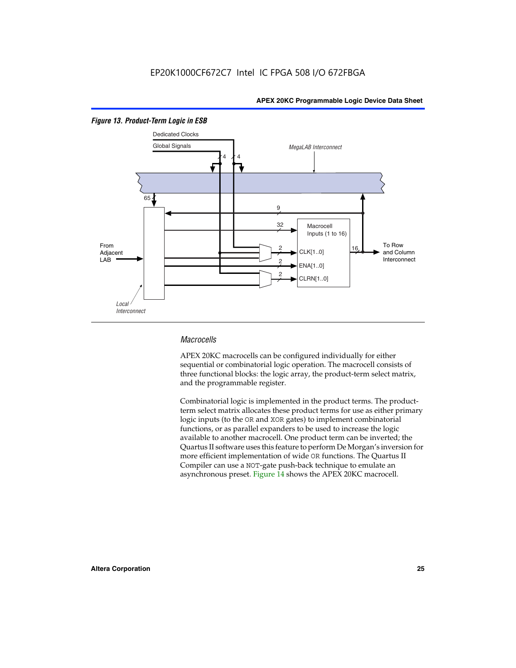

#### *Figure 13. Product-Term Logic in ESB*

#### *Macrocells*

APEX 20KC macrocells can be configured individually for either sequential or combinatorial logic operation. The macrocell consists of three functional blocks: the logic array, the product-term select matrix, and the programmable register.

Combinatorial logic is implemented in the product terms. The productterm select matrix allocates these product terms for use as either primary logic inputs (to the OR and XOR gates) to implement combinatorial functions, or as parallel expanders to be used to increase the logic available to another macrocell. One product term can be inverted; the Quartus II software uses this feature to perform De Morgan's inversion for more efficient implementation of wide OR functions. The Quartus II Compiler can use a NOT-gate push-back technique to emulate an asynchronous preset. Figure 14 shows the APEX 20KC macrocell.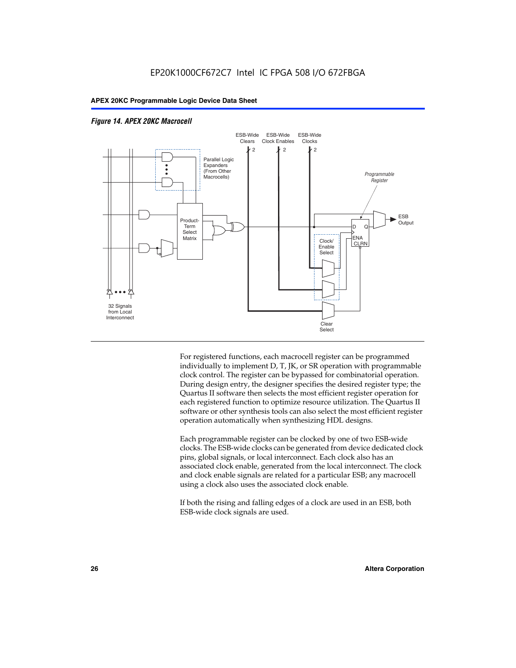

#### *Figure 14. APEX 20KC Macrocell*

For registered functions, each macrocell register can be programmed individually to implement D, T, JK, or SR operation with programmable clock control. The register can be bypassed for combinatorial operation. During design entry, the designer specifies the desired register type; the Quartus II software then selects the most efficient register operation for each registered function to optimize resource utilization. The Quartus II software or other synthesis tools can also select the most efficient register operation automatically when synthesizing HDL designs.

Each programmable register can be clocked by one of two ESB-wide clocks. The ESB-wide clocks can be generated from device dedicated clock pins, global signals, or local interconnect. Each clock also has an associated clock enable, generated from the local interconnect. The clock and clock enable signals are related for a particular ESB; any macrocell using a clock also uses the associated clock enable.

If both the rising and falling edges of a clock are used in an ESB, both ESB-wide clock signals are used.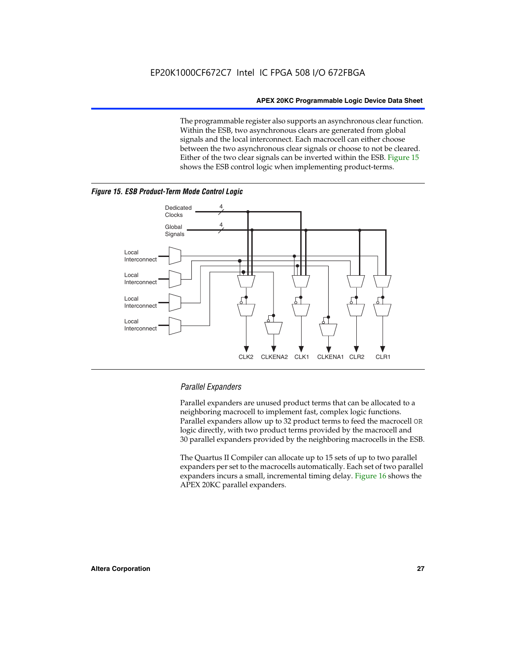The programmable register also supports an asynchronous clear function. Within the ESB, two asynchronous clears are generated from global signals and the local interconnect. Each macrocell can either choose between the two asynchronous clear signals or choose to not be cleared. Either of the two clear signals can be inverted within the ESB. Figure 15 shows the ESB control logic when implementing product-terms.





#### *Parallel Expanders*

Parallel expanders are unused product terms that can be allocated to a neighboring macrocell to implement fast, complex logic functions. Parallel expanders allow up to 32 product terms to feed the macrocell OR logic directly, with two product terms provided by the macrocell and 30 parallel expanders provided by the neighboring macrocells in the ESB.

The Quartus II Compiler can allocate up to 15 sets of up to two parallel expanders per set to the macrocells automatically. Each set of two parallel expanders incurs a small, incremental timing delay. Figure 16 shows the APEX 20KC parallel expanders.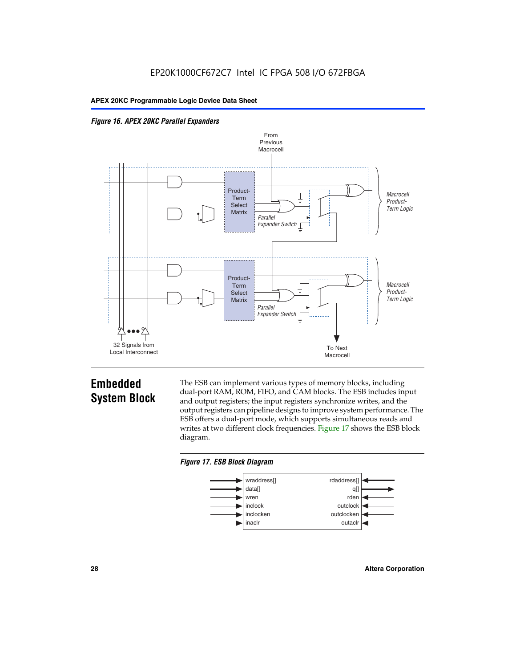



### **Embedded System Block**

The ESB can implement various types of memory blocks, including dual-port RAM, ROM, FIFO, and CAM blocks. The ESB includes input and output registers; the input registers synchronize writes, and the output registers can pipeline designs to improve system performance. The ESB offers a dual-port mode, which supports simultaneous reads and writes at two different clock frequencies. Figure 17 shows the ESB block diagram.



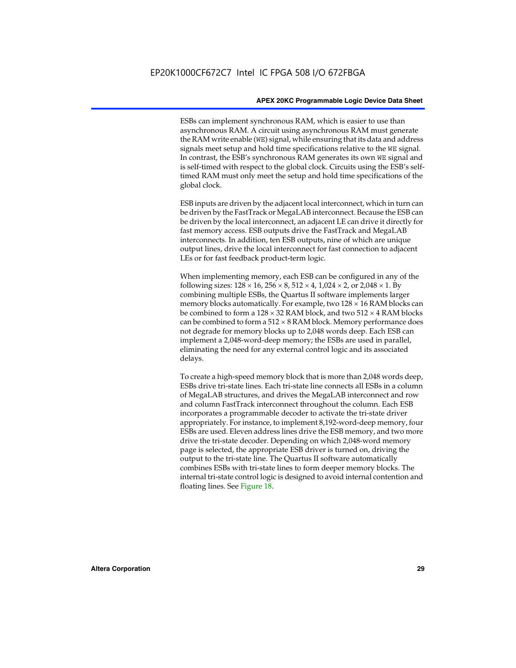ESBs can implement synchronous RAM, which is easier to use than asynchronous RAM. A circuit using asynchronous RAM must generate the RAM write enable (WE) signal, while ensuring that its data and address signals meet setup and hold time specifications relative to the WE signal. In contrast, the ESB's synchronous RAM generates its own WE signal and is self-timed with respect to the global clock. Circuits using the ESB's selftimed RAM must only meet the setup and hold time specifications of the global clock.

ESB inputs are driven by the adjacent local interconnect, which in turn can be driven by the FastTrack or MegaLAB interconnect. Because the ESB can be driven by the local interconnect, an adjacent LE can drive it directly for fast memory access. ESB outputs drive the FastTrack and MegaLAB interconnects. In addition, ten ESB outputs, nine of which are unique output lines, drive the local interconnect for fast connection to adjacent LEs or for fast feedback product-term logic.

When implementing memory, each ESB can be configured in any of the following sizes:  $128 \times 16$ ,  $256 \times 8$ ,  $512 \times 4$ ,  $1,024 \times 2$ , or  $2,048 \times 1$ . By combining multiple ESBs, the Quartus II software implements larger memory blocks automatically. For example, two  $128 \times 16$  RAM blocks can be combined to form a  $128 \times 32$  RAM block, and two  $512 \times 4$  RAM blocks can be combined to form a  $512 \times 8$  RAM block. Memory performance does not degrade for memory blocks up to 2,048 words deep. Each ESB can implement a 2,048-word-deep memory; the ESBs are used in parallel, eliminating the need for any external control logic and its associated delays.

To create a high-speed memory block that is more than 2,048 words deep, ESBs drive tri-state lines. Each tri-state line connects all ESBs in a column of MegaLAB structures, and drives the MegaLAB interconnect and row and column FastTrack interconnect throughout the column. Each ESB incorporates a programmable decoder to activate the tri-state driver appropriately. For instance, to implement 8,192-word-deep memory, four ESBs are used. Eleven address lines drive the ESB memory, and two more drive the tri-state decoder. Depending on which 2,048-word memory page is selected, the appropriate ESB driver is turned on, driving the output to the tri-state line. The Quartus II software automatically combines ESBs with tri-state lines to form deeper memory blocks. The internal tri-state control logic is designed to avoid internal contention and floating lines. See Figure 18.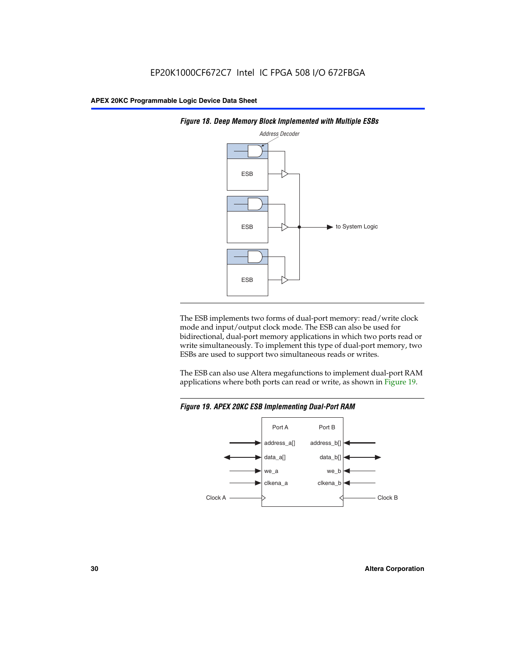



The ESB implements two forms of dual-port memory: read/write clock mode and input/output clock mode. The ESB can also be used for bidirectional, dual-port memory applications in which two ports read or write simultaneously. To implement this type of dual-port memory, two ESBs are used to support two simultaneous reads or writes.

The ESB can also use Altera megafunctions to implement dual-port RAM applications where both ports can read or write, as shown in Figure 19.



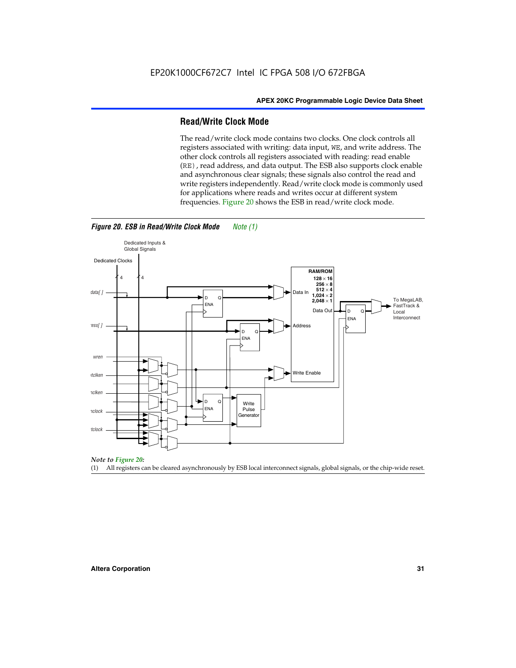#### **Read/Write Clock Mode**

The read/write clock mode contains two clocks. One clock controls all registers associated with writing: data input, WE, and write address. The other clock controls all registers associated with reading: read enable (RE), read address, and data output. The ESB also supports clock enable and asynchronous clear signals; these signals also control the read and write registers independently. Read/write clock mode is commonly used for applications where reads and writes occur at different system frequencies. Figure 20 shows the ESB in read/write clock mode.



#### *Figure 20. ESB in Read/Write Clock Mode Note (1)*

*Note to Figure 20:*

(1) All registers can be cleared asynchronously by ESB local interconnect signals, global signals, or the chip-wide reset.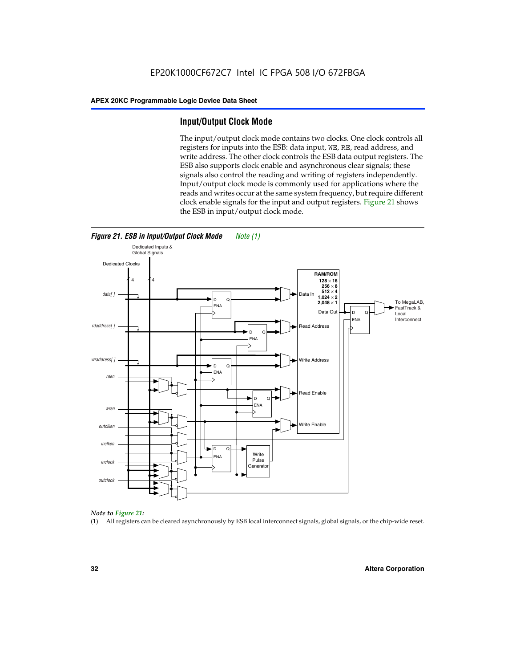#### **Input/Output Clock Mode**

The input/output clock mode contains two clocks. One clock controls all registers for inputs into the ESB: data input, WE, RE, read address, and write address. The other clock controls the ESB data output registers. The ESB also supports clock enable and asynchronous clear signals; these signals also control the reading and writing of registers independently. Input/output clock mode is commonly used for applications where the reads and writes occur at the same system frequency, but require different clock enable signals for the input and output registers. Figure 21 shows the ESB in input/output clock mode.





#### *Note to Figure 21:*

(1) All registers can be cleared asynchronously by ESB local interconnect signals, global signals, or the chip-wide reset.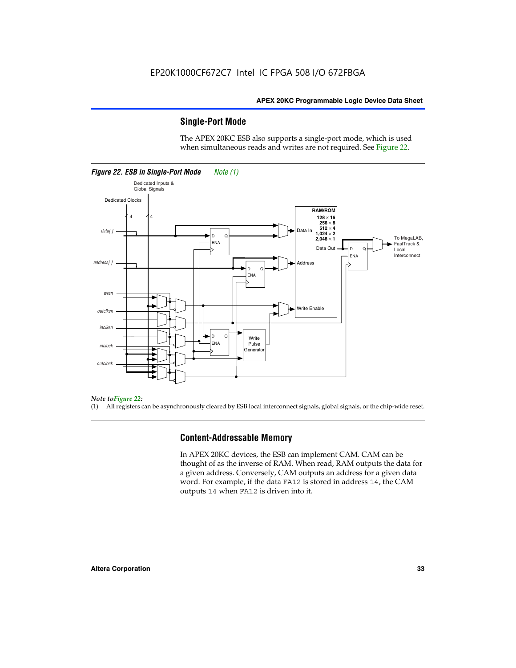#### **Single-Port Mode**

The APEX 20KC ESB also supports a single-port mode, which is used when simultaneous reads and writes are not required. See Figure 22.



#### *Note toFigure 22:*

(1) All registers can be asynchronously cleared by ESB local interconnect signals, global signals, or the chip-wide reset.

#### **Content-Addressable Memory**

In APEX 20KC devices, the ESB can implement CAM. CAM can be thought of as the inverse of RAM. When read, RAM outputs the data for a given address. Conversely, CAM outputs an address for a given data word. For example, if the data FA12 is stored in address 14, the CAM outputs 14 when FA12 is driven into it.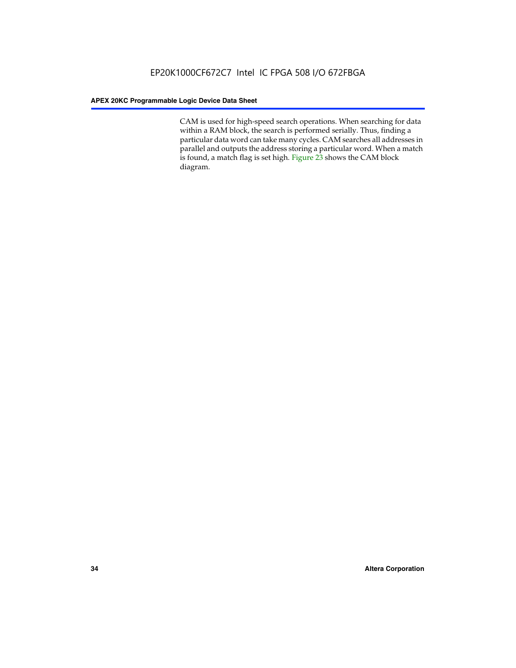CAM is used for high-speed search operations. When searching for data within a RAM block, the search is performed serially. Thus, finding a particular data word can take many cycles. CAM searches all addresses in parallel and outputs the address storing a particular word. When a match is found, a match flag is set high. Figure 23 shows the CAM block diagram.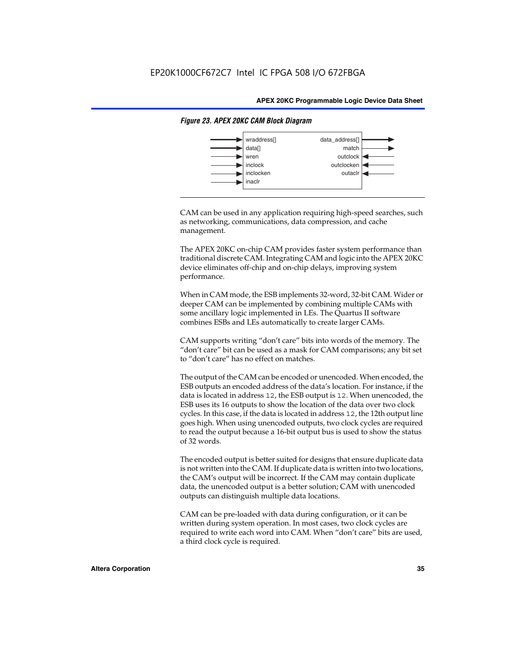

#### *Figure 23. APEX 20KC CAM Block Diagram*

CAM can be used in any application requiring high-speed searches, such as networking, communications, data compression, and cache management.

The APEX 20KC on-chip CAM provides faster system performance than traditional discrete CAM. Integrating CAM and logic into the APEX 20KC device eliminates off-chip and on-chip delays, improving system performance.

When in CAM mode, the ESB implements 32-word, 32-bit CAM. Wider or deeper CAM can be implemented by combining multiple CAMs with some ancillary logic implemented in LEs. The Quartus II software combines ESBs and LEs automatically to create larger CAMs.

CAM supports writing "don't care" bits into words of the memory. The "don't care" bit can be used as a mask for CAM comparisons; any bit set to "don't care" has no effect on matches.

The output of the CAM can be encoded or unencoded. When encoded, the ESB outputs an encoded address of the data's location. For instance, if the data is located in address 12, the ESB output is 12. When unencoded, the ESB uses its 16 outputs to show the location of the data over two clock cycles. In this case, if the data is located in address 12, the 12th output line goes high. When using unencoded outputs, two clock cycles are required to read the output because a 16-bit output bus is used to show the status of 32 words.

The encoded output is better suited for designs that ensure duplicate data is not written into the CAM. If duplicate data is written into two locations, the CAM's output will be incorrect. If the CAM may contain duplicate data, the unencoded output is a better solution; CAM with unencoded outputs can distinguish multiple data locations.

CAM can be pre-loaded with data during configuration, or it can be written during system operation. In most cases, two clock cycles are required to write each word into CAM. When "don't care" bits are used, a third clock cycle is required.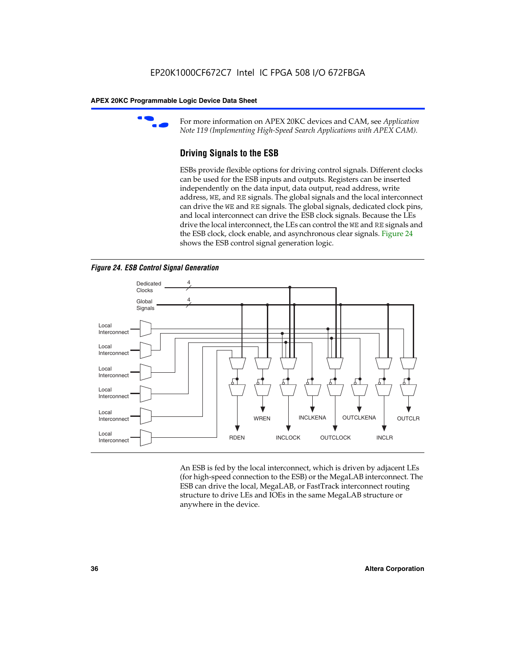

For more information on APEX 20KC devices and CAM, see *Application Note 119 (Implementing High-Speed Search Applications with APEX CAM).*

# **Driving Signals to the ESB**

ESBs provide flexible options for driving control signals. Different clocks can be used for the ESB inputs and outputs. Registers can be inserted independently on the data input, data output, read address, write address, WE, and RE signals. The global signals and the local interconnect can drive the WE and RE signals. The global signals, dedicated clock pins, and local interconnect can drive the ESB clock signals. Because the LEs drive the local interconnect, the LEs can control the WE and RE signals and the ESB clock, clock enable, and asynchronous clear signals. Figure 24 shows the ESB control signal generation logic.





An ESB is fed by the local interconnect, which is driven by adjacent LEs (for high-speed connection to the ESB) or the MegaLAB interconnect. The ESB can drive the local, MegaLAB, or FastTrack interconnect routing structure to drive LEs and IOEs in the same MegaLAB structure or anywhere in the device.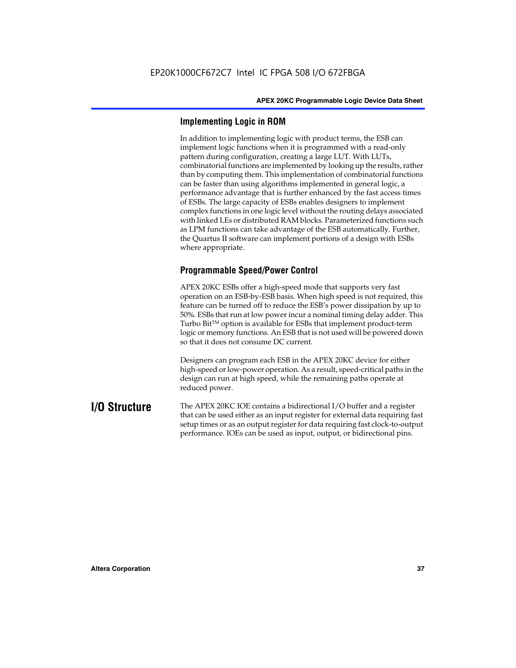## **Implementing Logic in ROM**

In addition to implementing logic with product terms, the ESB can implement logic functions when it is programmed with a read-only pattern during configuration, creating a large LUT. With LUTs, combinatorial functions are implemented by looking up the results, rather than by computing them. This implementation of combinatorial functions can be faster than using algorithms implemented in general logic, a performance advantage that is further enhanced by the fast access times of ESBs. The large capacity of ESBs enables designers to implement complex functions in one logic level without the routing delays associated with linked LEs or distributed RAM blocks. Parameterized functions such as LPM functions can take advantage of the ESB automatically. Further, the Quartus II software can implement portions of a design with ESBs where appropriate.

# **Programmable Speed/Power Control**

APEX 20KC ESBs offer a high-speed mode that supports very fast operation on an ESB-by-ESB basis. When high speed is not required, this feature can be turned off to reduce the ESB's power dissipation by up to 50%. ESBs that run at low power incur a nominal timing delay adder. This Turbo  $Bit^{TM}$  option is available for ESBs that implement product-term logic or memory functions. An ESB that is not used will be powered down so that it does not consume DC current.

Designers can program each ESB in the APEX 20KC device for either high-speed or low-power operation. As a result, speed-critical paths in the design can run at high speed, while the remaining paths operate at reduced power.

**I/O Structure** The APEX 20KC IOE contains a bidirectional I/O buffer and a register that can be used either as an input register for external data requiring fast setup times or as an output register for data requiring fast clock-to-output performance. IOEs can be used as input, output, or bidirectional pins.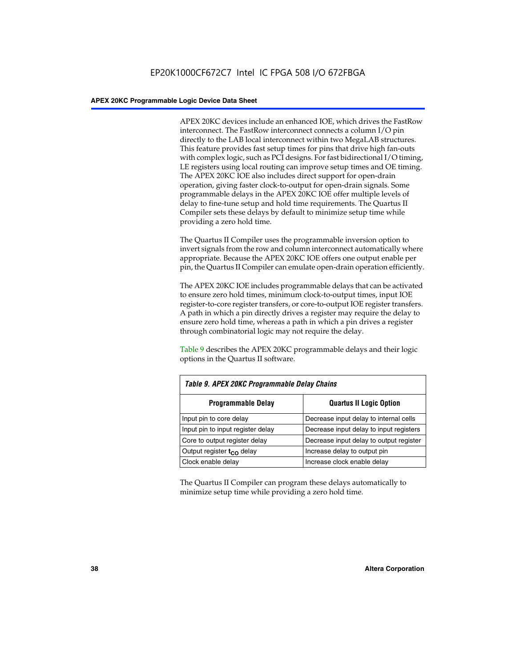APEX 20KC devices include an enhanced IOE, which drives the FastRow interconnect. The FastRow interconnect connects a column I/O pin directly to the LAB local interconnect within two MegaLAB structures. This feature provides fast setup times for pins that drive high fan-outs with complex logic, such as PCI designs. For fast bidirectional I/O timing, LE registers using local routing can improve setup times and OE timing. The APEX 20KC IOE also includes direct support for open-drain operation, giving faster clock-to-output for open-drain signals. Some programmable delays in the APEX 20KC IOE offer multiple levels of delay to fine-tune setup and hold time requirements. The Quartus II Compiler sets these delays by default to minimize setup time while providing a zero hold time.

The Quartus II Compiler uses the programmable inversion option to invert signals from the row and column interconnect automatically where appropriate. Because the APEX 20KC IOE offers one output enable per pin, the Quartus II Compiler can emulate open-drain operation efficiently.

The APEX 20KC IOE includes programmable delays that can be activated to ensure zero hold times, minimum clock-to-output times, input IOE register-to-core register transfers, or core-to-output IOE register transfers. A path in which a pin directly drives a register may require the delay to ensure zero hold time, whereas a path in which a pin drives a register through combinatorial logic may not require the delay.

Table 9 describes the APEX 20KC programmable delays and their logic options in the Quartus II software.

| Table 9. APEX 20KC Programmable Delay Chains                      |                                         |  |  |
|-------------------------------------------------------------------|-----------------------------------------|--|--|
| <b>Programmable Delay</b><br><b>Quartus II Logic Option</b>       |                                         |  |  |
| Input pin to core delay<br>Decrease input delay to internal cells |                                         |  |  |
| Input pin to input register delay                                 | Decrease input delay to input registers |  |  |
| Core to output register delay                                     | Decrease input delay to output register |  |  |
| Output register t <sub>co</sub> delay                             | Increase delay to output pin            |  |  |
| Clock enable delay                                                | Increase clock enable delay             |  |  |

The Quartus II Compiler can program these delays automatically to minimize setup time while providing a zero hold time.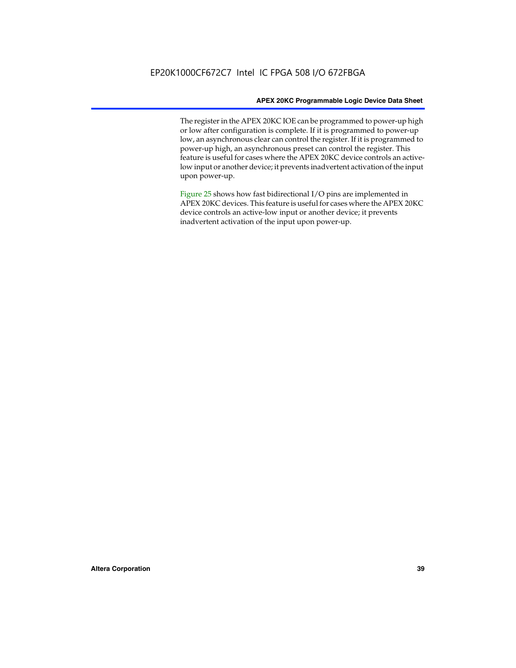The register in the APEX 20KC IOE can be programmed to power-up high or low after configuration is complete. If it is programmed to power-up low, an asynchronous clear can control the register. If it is programmed to power-up high, an asynchronous preset can control the register. This feature is useful for cases where the APEX 20KC device controls an activelow input or another device; it prevents inadvertent activation of the input upon power-up.

Figure 25 shows how fast bidirectional I/O pins are implemented in APEX 20KC devices. This feature is useful for cases where the APEX 20KC device controls an active-low input or another device; it prevents inadvertent activation of the input upon power-up.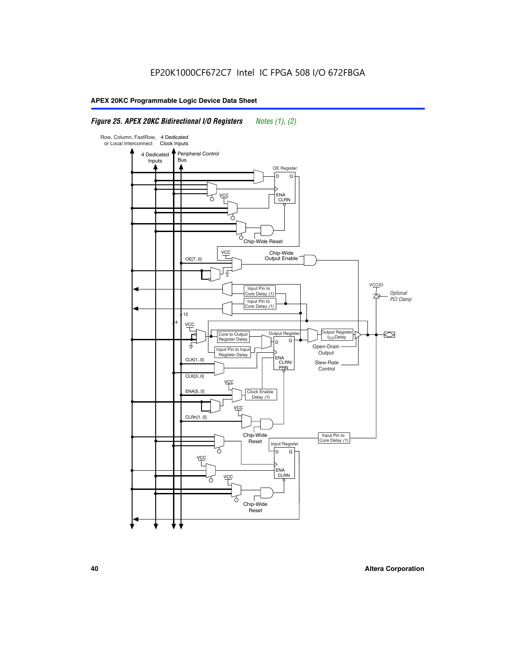### *Figure 25. APEX 20KC Bidirectional I/O Registers Notes (1), (2)*

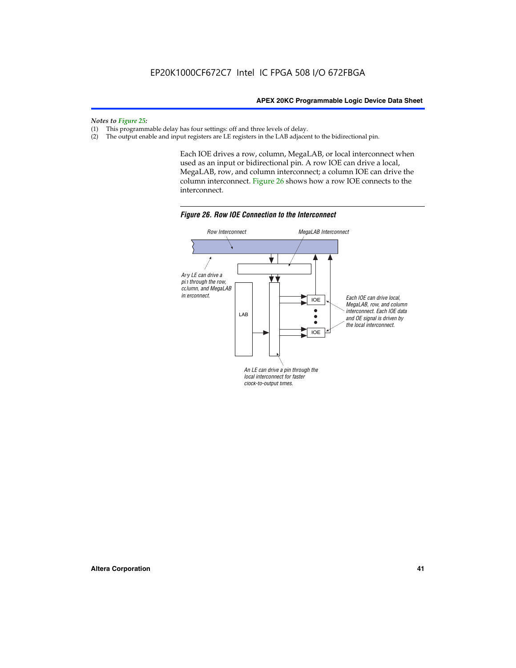#### *Notes to Figure 25:*

- (1) This programmable delay has four settings: off and three levels of delay.<br>(2) The output enable and input registers are LE registers in the LAB adjacer
- The output enable and input registers are LE registers in the LAB adjacent to the bidirectional pin.

Each IOE drives a row, column, MegaLAB, or local interconnect when used as an input or bidirectional pin. A row IOE can drive a local, MegaLAB, row, and column interconnect; a column IOE can drive the column interconnect. Figure 26 shows how a row IOE connects to the interconnect.



*Figure 26. Row IOE Connection to the Interconnect*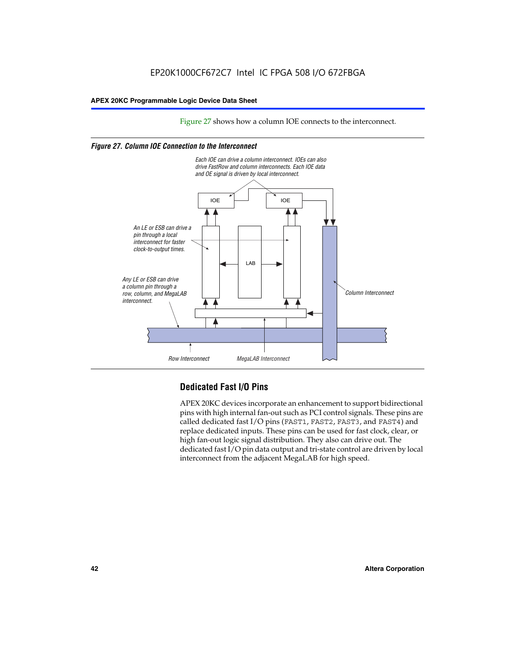Figure 27 shows how a column IOE connects to the interconnect.

#### *Figure 27. Column IOE Connection to the Interconnect*



# **Dedicated Fast I/O Pins**

APEX 20KC devices incorporate an enhancement to support bidirectional pins with high internal fan-out such as PCI control signals. These pins are called dedicated fast I/O pins (FAST1, FAST2, FAST3, and FAST4) and replace dedicated inputs. These pins can be used for fast clock, clear, or high fan-out logic signal distribution. They also can drive out. The dedicated fast I/O pin data output and tri-state control are driven by local interconnect from the adjacent MegaLAB for high speed.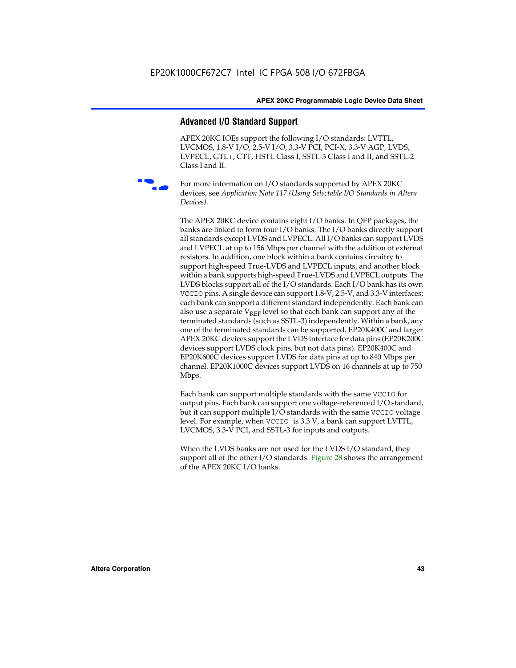#### **Advanced I/O Standard Support**

APEX 20KC IOEs support the following I/O standards: LVTTL, LVCMOS, 1.8-V I/O, 2.5-V I/O, 3.3-V PCI, PCI-X, 3.3-V AGP, LVDS, LVPECL, GTL+, CTT, HSTL Class I, SSTL-3 Class I and II, and SSTL-2 Class I and II.



For more information on I/O standards supported by APEX 20KC devices, see *Application Note 117 (Using Selectable I/O Standards in Altera Devices)*.

The APEX 20KC device contains eight I/O banks. In QFP packages, the banks are linked to form four I/O banks. The I/O banks directly support all standards except LVDS and LVPECL. All I/O banks can support LVDS and LVPECL at up to 156 Mbps per channel with the addition of external resistors. In addition, one block within a bank contains circuitry to support high-speed True-LVDS and LVPECL inputs, and another block within a bank supports high-speed True-LVDS and LVPECL outputs. The LVDS blocks support all of the I/O standards. Each I/O bank has its own VCCIO pins. A single device can support 1.8-V, 2.5-V, and 3.3-V interfaces; each bank can support a different standard independently. Each bank can also use a separate  $V_{REF}$  level so that each bank can support any of the terminated standards (such as SSTL-3) independently. Within a bank, any one of the terminated standards can be supported. EP20K400C and larger APEX 20KC devices support the LVDS interface for data pins (EP20K200C devices support LVDS clock pins, but not data pins). EP20K400C and EP20K600C devices support LVDS for data pins at up to 840 Mbps per channel. EP20K1000C devices support LVDS on 16 channels at up to 750 Mbps.

Each bank can support multiple standards with the same VCCIO for output pins. Each bank can support one voltage-referenced I/O standard, but it can support multiple I/O standards with the same VCCIO voltage level. For example, when VCCIO is 3.3 V, a bank can support LVTTL, LVCMOS, 3.3-V PCI, and SSTL-3 for inputs and outputs.

When the LVDS banks are not used for the LVDS I/O standard, they support all of the other I/O standards. Figure 28 shows the arrangement of the APEX 20KC I/O banks.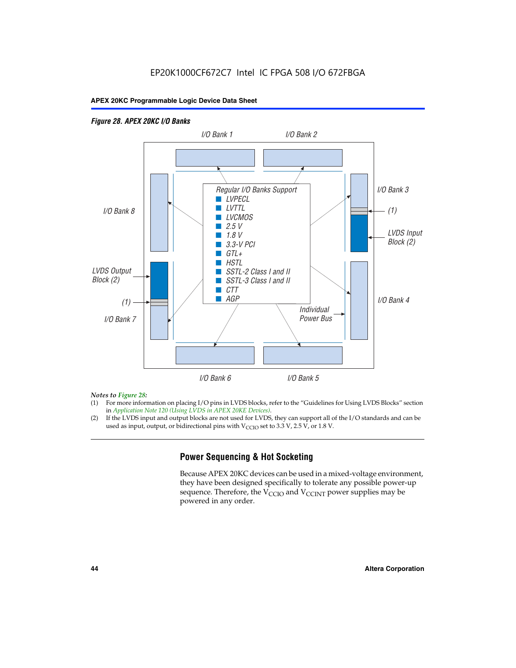#### *Figure 28. APEX 20KC I/O Banks LVDS Input Block (2) (1) LVDS Output Block (2) (1) Individual Power Bus I/O Bank 8 I/O Bank 1 I/O Bank 2 I/O Bank 3 I/O Bank 4 I/O Bank 6 I/O Bank 5 I/O Bank 7 Regular I/O Banks Support* ■ *LVPECL* ■ *LVTTL* ■ *LVCMOS* ■ *2.5 V* ■ *1.8 V* ■ *3.3-V PCI* ■ *GTL+* ■ *HSTL* ■ *SSTL-2 Class I and II* ■ *SSTL-3 Class I and II* ■ *CTT* ■ *AGP*

#### *Notes to Figure 28:*

- (1) For more information on placing I/O pins in LVDS blocks, refer to the "Guidelines for Using LVDS Blocks" section in *Application Note 120 (Using LVDS in APEX 20KE Devices)*.
- (2) If the LVDS input and output blocks are not used for LVDS, they can support all of the I/O standards and can be used as input, output, or bidirectional pins with  $V_{\text{CCIO}}$  set to 3.3 V, 2.5 V, or 1.8 V.

# **Power Sequencing & Hot Socketing**

Because APEX 20KC devices can be used in a mixed-voltage environment, they have been designed specifically to tolerate any possible power-up sequence. Therefore, the  $V_{\text{CCIO}}$  and  $V_{\text{CCINT}}$  power supplies may be powered in any order.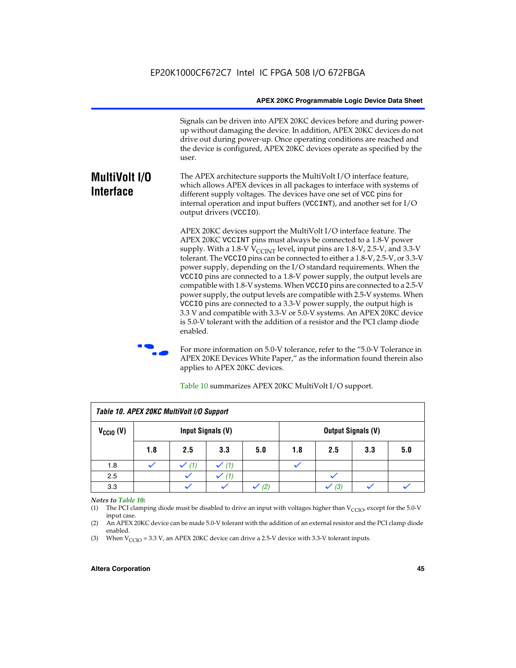Signals can be driven into APEX 20KC devices before and during powerup without damaging the device. In addition, APEX 20KC devices do not drive out during power-up. Once operating conditions are reached and the device is configured, APEX 20KC devices operate as specified by the user.

#### **MultiVolt I/O Interface** The APEX architecture supports the MultiVolt I/O interface feature, which allows APEX devices in all packages to interface with systems of different supply voltages. The devices have one set of VCC pins for internal operation and input buffers (VCCINT), and another set for I/O output drivers (VCCIO).

APEX 20KC devices support the MultiVolt I/O interface feature. The APEX 20KC VCCINT pins must always be connected to a 1.8-V power supply. With a 1.8-V  $V_{\text{CCINT}}$  level, input pins are 1.8-V, 2.5-V, and 3.3-V tolerant. The VCCIO pins can be connected to either a 1.8-V, 2.5-V, or 3.3-V power supply, depending on the I/O standard requirements. When the VCCIO pins are connected to a 1.8-V power supply, the output levels are compatible with 1.8-V systems. When VCCIO pins are connected to a 2.5-V power supply, the output levels are compatible with 2.5-V systems. When VCCIO pins are connected to a 3.3-V power supply, the output high is 3.3 V and compatible with 3.3-V or 5.0-V systems. An APEX 20KC device is 5.0-V tolerant with the addition of a resistor and the PCI clamp diode enabled.

For more information on 5.0-V tolerance, refer to the "5.0-V Tolerance in APEX 20KE Devices White Paper," as the information found therein also applies to APEX 20KC devices.

| Table 10. APEX 20KC MultiVolt I/O Support |                                                |     |     |     |     |     |     |     |
|-------------------------------------------|------------------------------------------------|-----|-----|-----|-----|-----|-----|-----|
| $V_{\text{CCIO}}(V)$                      | Input Signals (V)<br><b>Output Signals (V)</b> |     |     |     |     |     |     |     |
|                                           | 1.8                                            | 2.5 | 3.3 | 5.0 | 1.8 | 2.5 | 3.3 | 5.0 |
| 1.8                                       |                                                | (1) | (1) |     |     |     |     |     |
| 2.5                                       |                                                |     | (1) |     |     |     |     |     |
| 3.3                                       |                                                |     |     | (2) |     | (3) |     |     |

Table 10 summarizes APEX 20KC MultiVolt I/O support.

#### *Notes to Table 10:*

(1) The PCI clamping diode must be disabled to drive an input with voltages higher than  $V_{C CIO}$ , except for the 5.0-V input case.

(2) An APEX 20KC device can be made 5.0-V tolerant with the addition of an external resistor and the PCI clamp diode enabled.

(3) When  $V_{\text{CCIO}} = 3.3$  V, an APEX 20KC device can drive a 2.5-V device with 3.3-V tolerant inputs.

#### **Altera Corporation 45**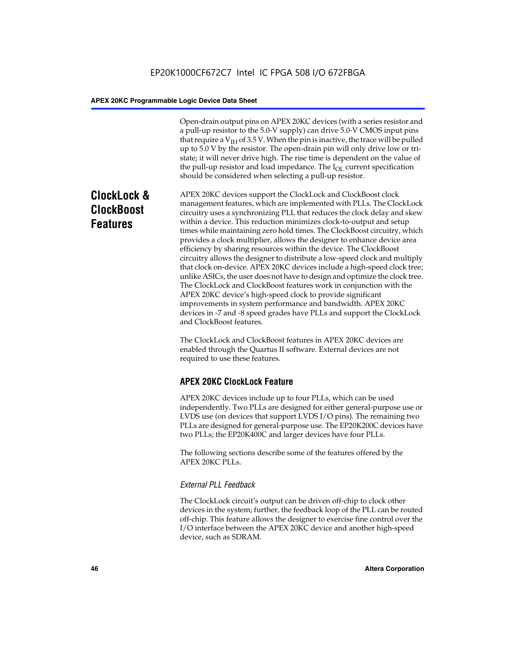Open-drain output pins on APEX 20KC devices (with a series resistor and a pull-up resistor to the 5.0-V supply) can drive 5.0-V CMOS input pins that require a  $V<sub>IH</sub>$  of 3.5 V. When the pin is inactive, the trace will be pulled up to 5.0 V by the resistor. The open-drain pin will only drive low or tristate; it will never drive high. The rise time is dependent on the value of the pull-up resistor and load impedance. The  $I_{OL}$  current specification should be considered when selecting a pull-up resistor.

# **ClockLock & ClockBoost Features**

APEX 20KC devices support the ClockLock and ClockBoost clock management features, which are implemented with PLLs. The ClockLock circuitry uses a synchronizing PLL that reduces the clock delay and skew within a device. This reduction minimizes clock-to-output and setup times while maintaining zero hold times. The ClockBoost circuitry, which provides a clock multiplier, allows the designer to enhance device area efficiency by sharing resources within the device. The ClockBoost circuitry allows the designer to distribute a low-speed clock and multiply that clock on-device. APEX 20KC devices include a high-speed clock tree; unlike ASICs, the user does not have to design and optimize the clock tree. The ClockLock and ClockBoost features work in conjunction with the APEX 20KC device's high-speed clock to provide significant improvements in system performance and bandwidth. APEX 20KC devices in -7 and -8 speed grades have PLLs and support the ClockLock and ClockBoost features.

The ClockLock and ClockBoost features in APEX 20KC devices are enabled through the Quartus II software. External devices are not required to use these features.

# **APEX 20KC ClockLock Feature**

APEX 20KC devices include up to four PLLs, which can be used independently. Two PLLs are designed for either general-purpose use or LVDS use (on devices that support LVDS I/O pins). The remaining two PLLs are designed for general-purpose use. The EP20K200C devices have two PLLs; the EP20K400C and larger devices have four PLLs.

The following sections describe some of the features offered by the APEX 20KC PLLs.

#### *External PLL Feedback*

The ClockLock circuit's output can be driven off-chip to clock other devices in the system; further, the feedback loop of the PLL can be routed off-chip. This feature allows the designer to exercise fine control over the I/O interface between the APEX 20KC device and another high-speed device, such as SDRAM.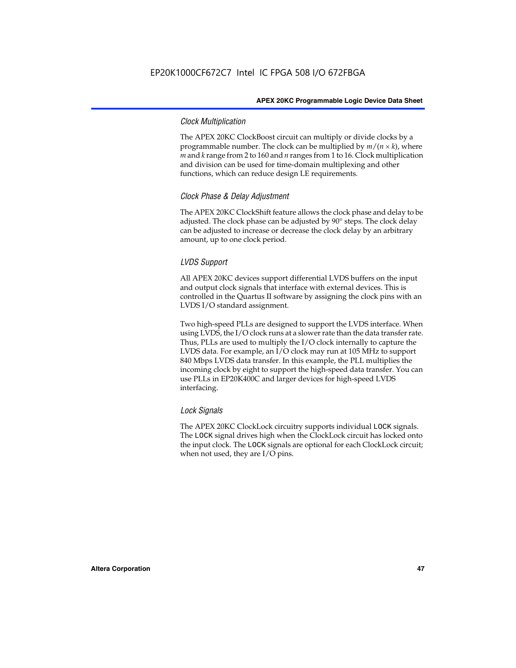#### *Clock Multiplication*

The APEX 20KC ClockBoost circuit can multiply or divide clocks by a programmable number. The clock can be multiplied by  $m/(n \times k)$ , where *m* and *k* range from 2 to 160 and *n* ranges from 1 to 16. Clock multiplication and division can be used for time-domain multiplexing and other functions, which can reduce design LE requirements.

#### *Clock Phase & Delay Adjustment*

The APEX 20KC ClockShift feature allows the clock phase and delay to be adjusted. The clock phase can be adjusted by 90° steps. The clock delay can be adjusted to increase or decrease the clock delay by an arbitrary amount, up to one clock period.

#### *LVDS Support*

All APEX 20KC devices support differential LVDS buffers on the input and output clock signals that interface with external devices. This is controlled in the Quartus II software by assigning the clock pins with an LVDS I/O standard assignment.

Two high-speed PLLs are designed to support the LVDS interface. When using LVDS, the I/O clock runs at a slower rate than the data transfer rate. Thus, PLLs are used to multiply the I/O clock internally to capture the LVDS data. For example, an I/O clock may run at 105 MHz to support 840 Mbps LVDS data transfer. In this example, the PLL multiplies the incoming clock by eight to support the high-speed data transfer. You can use PLLs in EP20K400C and larger devices for high-speed LVDS interfacing.

#### *Lock Signals*

The APEX 20KC ClockLock circuitry supports individual LOCK signals. The LOCK signal drives high when the ClockLock circuit has locked onto the input clock. The LOCK signals are optional for each ClockLock circuit; when not used, they are I/O pins.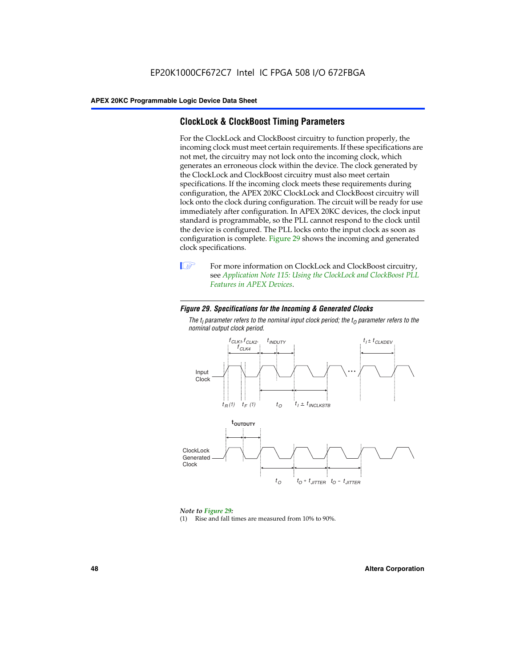## **ClockLock & ClockBoost Timing Parameters**

For the ClockLock and ClockBoost circuitry to function properly, the incoming clock must meet certain requirements. If these specifications are not met, the circuitry may not lock onto the incoming clock, which generates an erroneous clock within the device. The clock generated by the ClockLock and ClockBoost circuitry must also meet certain specifications. If the incoming clock meets these requirements during configuration, the APEX 20KC ClockLock and ClockBoost circuitry will lock onto the clock during configuration. The circuit will be ready for use immediately after configuration. In APEX 20KC devices, the clock input standard is programmable, so the PLL cannot respond to the clock until the device is configured. The PLL locks onto the input clock as soon as configuration is complete. Figure 29 shows the incoming and generated clock specifications.



**1** For more information on ClockLock and ClockBoost circuitry, see *Application Note 115: Using the ClockLock and ClockBoost PLL Features in APEX Devices*.

#### *Figure 29. Specifications for the Incoming & Generated Clocks*

The  $t_{\mathfrak l}$  parameter refers to the nominal input clock period; the  $t_{\mathfrak l}$  parameter refers to the *nominal output clock period.*



#### *Note to Figure 29:*

(1) Rise and fall times are measured from 10% to 90%.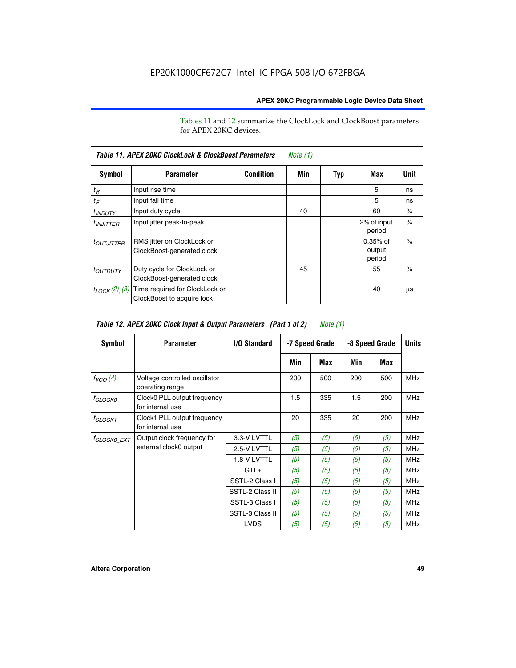Tables 11 and 12 summarize the ClockLock and ClockBoost parameters for APEX 20KC devices.

|                            | Table 11. APEX 20KC ClockLock & ClockBoost Parameters<br>Note (1) |                  |     |     |                                |               |  |  |  |
|----------------------------|-------------------------------------------------------------------|------------------|-----|-----|--------------------------------|---------------|--|--|--|
| Symbol                     | <b>Parameter</b>                                                  | <b>Condition</b> | Min | Typ | Max                            | Unit          |  |  |  |
| $t_R$                      | Input rise time                                                   |                  |     |     | 5                              | ns            |  |  |  |
| $t_F$                      | Input fall time                                                   |                  |     |     | 5                              | ns            |  |  |  |
| <sup>t</sup> INDUTY        | Input duty cycle                                                  |                  | 40  |     | 60                             | $\frac{0}{0}$ |  |  |  |
| $t_{INJITTER}$             | Input jitter peak-to-peak                                         |                  |     |     | 2% of input<br>period          | $\frac{0}{0}$ |  |  |  |
| <b><i>LOUTJITTER</i></b>   | RMS jitter on ClockLock or<br>ClockBoost-generated clock          |                  |     |     | $0.35%$ of<br>output<br>period | $\frac{0}{0}$ |  |  |  |
| <i>t<sub>OUTDUTY</sub></i> | Duty cycle for ClockLock or<br>ClockBoost-generated clock         |                  | 45  |     | 55                             | $\frac{0}{0}$ |  |  |  |
| $t_{LOCK}(2)$ (3)          | Time required for ClockLock or<br>ClockBoost to acquire lock      |                  |     |     | 40                             | μS            |  |  |  |

| Table 12. APEX 20KC Clock Input & Output Parameters (Part 1 of 2)<br>Note (1) |                                                  |                 |                |     |                |     |              |  |
|-------------------------------------------------------------------------------|--------------------------------------------------|-----------------|----------------|-----|----------------|-----|--------------|--|
| Symbol                                                                        | <b>Parameter</b>                                 | I/O Standard    | -7 Speed Grade |     | -8 Speed Grade |     | <b>Units</b> |  |
|                                                                               |                                                  |                 | Min            | Max | Min            | Max |              |  |
| $f_{VCO}(4)$                                                                  | Voltage controlled oscillator<br>operating range |                 | 200            | 500 | 200            | 500 | <b>MHz</b>   |  |
| $f_{CLOCKO}$                                                                  | Clock0 PLL output frequency<br>for internal use  |                 | 1.5            | 335 | 1.5            | 200 | <b>MHz</b>   |  |
| <sup>f</sup> CLOCK1                                                           | Clock1 PLL output frequency<br>for internal use  |                 | 20             | 335 | 20             | 200 | <b>MHz</b>   |  |
| <sup>f</sup> CLOCK0_EXT                                                       | Output clock frequency for                       | 3.3-V LVTTL     | (5)            | (5) | (5)            | (5) | <b>MHz</b>   |  |
|                                                                               | external clock0 output                           | 2.5-V LVTTL     | (5)            | (5) | (5)            | (5) | <b>MHz</b>   |  |
|                                                                               |                                                  | 1.8-V LVTTL     | (5)            | (5) | (5)            | (5) | <b>MHz</b>   |  |
|                                                                               |                                                  | $GTL+$          | (5)            | (5) | (5)            | (5) | <b>MHz</b>   |  |
|                                                                               |                                                  | SSTL-2 Class I  | (5)            | (5) | (5)            | (5) | <b>MHz</b>   |  |
|                                                                               |                                                  | SSTL-2 Class II | (5)            | (5) | (5)            | (5) | <b>MHz</b>   |  |
|                                                                               |                                                  | SSTL-3 Class I  | (5)            | (5) | (5)            | (5) | <b>MHz</b>   |  |
|                                                                               |                                                  | SSTL-3 Class II | (5)            | (5) | (5)            | (5) | <b>MHz</b>   |  |
|                                                                               |                                                  | <b>LVDS</b>     | (5)            | (5) | (5)            | (5) | <b>MHz</b>   |  |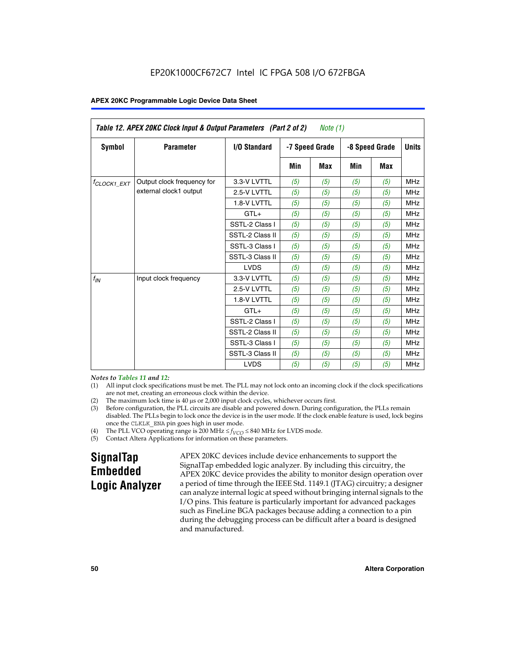| Table 12. APEX 20KC Clock Input & Output Parameters (Part 2 of 2)<br>Note $(1)$ |                            |                     |                |     |            |                |              |
|---------------------------------------------------------------------------------|----------------------------|---------------------|----------------|-----|------------|----------------|--------------|
| Symbol                                                                          | <b>Parameter</b>           | <b>I/O Standard</b> | -7 Speed Grade |     |            | -8 Speed Grade | <b>Units</b> |
|                                                                                 |                            |                     | Min            | Max | <b>Min</b> | <b>Max</b>     |              |
| <sup>f</sup> CLOCK1 EXT                                                         | Output clock frequency for | 3.3-V LVTTL         | (5)            | (5) | (5)        | (5)            | <b>MHz</b>   |
|                                                                                 | external clock1 output     | 2.5-V LVTTL         | (5)            | (5) | (5)        | (5)            | <b>MHz</b>   |
|                                                                                 |                            | 1.8-V LVTTL         | (5)            | (5) | (5)        | (5)            | <b>MHz</b>   |
|                                                                                 |                            | $GTL+$              | (5)            | (5) | (5)        | (5)            | <b>MHz</b>   |
|                                                                                 |                            | SSTL-2 Class I      | (5)            | (5) | (5)        | (5)            | <b>MHz</b>   |
|                                                                                 |                            | SSTL-2 Class II     | (5)            | (5) | (5)        | (5)            | <b>MHz</b>   |
|                                                                                 |                            | SSTL-3 Class I      | (5)            | (5) | (5)        | (5)            | <b>MHz</b>   |
|                                                                                 |                            | SSTL-3 Class II     | (5)            | (5) | (5)        | (5)            | <b>MHz</b>   |
|                                                                                 |                            | <b>LVDS</b>         | (5)            | (5) | (5)        | (5)            | <b>MHz</b>   |
| $f_{IN}$                                                                        | Input clock frequency      | 3.3-V LVTTL         | (5)            | (5) | (5)        | (5)            | <b>MHz</b>   |
|                                                                                 |                            | 2.5-V LVTTL         | (5)            | (5) | (5)        | (5)            | <b>MHz</b>   |
|                                                                                 |                            | 1.8-V LVTTL         | (5)            | (5) | (5)        | (5)            | <b>MHz</b>   |
|                                                                                 |                            | $GTL+$              | (5)            | (5) | (5)        | (5)            | <b>MHz</b>   |
|                                                                                 |                            | SSTL-2 Class I      | (5)            | (5) | (5)        | (5)            | <b>MHz</b>   |
|                                                                                 |                            | SSTL-2 Class II     | (5)            | (5) | (5)        | (5)            | <b>MHz</b>   |
|                                                                                 |                            | SSTL-3 Class I      | (5)            | (5) | (5)        | (5)            | <b>MHz</b>   |
|                                                                                 |                            | SSTL-3 Class II     | (5)            | (5) | (5)        | (5)            | <b>MHz</b>   |
|                                                                                 |                            | <b>LVDS</b>         | (5)            | (5) | (5)        | (5)            | <b>MHz</b>   |

#### *Notes to Tables 11 and 12:*

- (1) All input clock specifications must be met. The PLL may not lock onto an incoming clock if the clock specifications are not met, creating an erroneous clock within the device.
- 
- (2) The maximum lock time is  $40 \mu s$  or  $2,000$  input clock cycles, whichever occurs first.<br>
(3) Before configuration, the PLL circuits are disable and powered down. During confi Before configuration, the PLL circuits are disable and powered down. During configuration, the PLLs remain disabled. The PLLs begin to lock once the device is in the user mode. If the clock enable feature is used, lock begins once the CLKLK\_ENA pin goes high in user mode.
- (4) The PLL VCO operating range is 200 MHz  $\leq f_{VCO} \leq 840$  MHz for LVDS mode.

(5) Contact Altera Applications for information on these parameters.

# **SignalTap Embedded Logic Analyzer**

APEX 20KC devices include device enhancements to support the SignalTap embedded logic analyzer. By including this circuitry, the APEX 20KC device provides the ability to monitor design operation over a period of time through the IEEE Std. 1149.1 (JTAG) circuitry; a designer can analyze internal logic at speed without bringing internal signals to the I/O pins. This feature is particularly important for advanced packages such as FineLine BGA packages because adding a connection to a pin during the debugging process can be difficult after a board is designed and manufactured.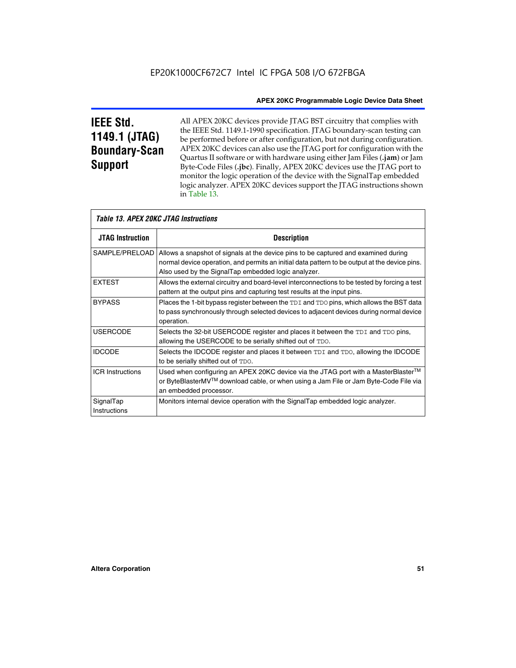# **IEEE Std. 1149.1 (JTAG) Boundary-Scan Support**

Г

All APEX 20KC devices provide JTAG BST circuitry that complies with the IEEE Std. 1149.1-1990 specification. JTAG boundary-scan testing can be performed before or after configuration, but not during configuration. APEX 20KC devices can also use the JTAG port for configuration with the Quartus II software or with hardware using either Jam Files (**.jam**) or Jam Byte-Code Files (**.jbc**). Finally, APEX 20KC devices use the JTAG port to monitor the logic operation of the device with the SignalTap embedded logic analyzer. APEX 20KC devices support the JTAG instructions shown in Table 13.

| <i>Table 13. APEX 20KC JTAG Instructions</i> |                                                                                                                                                                                                                                                             |  |  |  |
|----------------------------------------------|-------------------------------------------------------------------------------------------------------------------------------------------------------------------------------------------------------------------------------------------------------------|--|--|--|
| <b>JTAG Instruction</b>                      | <b>Description</b>                                                                                                                                                                                                                                          |  |  |  |
|                                              | SAMPLE/PRELOAD   Allows a snapshot of signals at the device pins to be captured and examined during<br>normal device operation, and permits an initial data pattern to be output at the device pins.<br>Also used by the SignalTap embedded logic analyzer. |  |  |  |
| <b>EXTEST</b>                                | Allows the external circuitry and board-level interconnections to be tested by forcing a test<br>pattern at the output pins and capturing test results at the input pins.                                                                                   |  |  |  |
| <b>BYPASS</b>                                | Places the 1-bit bypass register between the TDI and TDO pins, which allows the BST data<br>to pass synchronously through selected devices to adjacent devices during normal device<br>operation.                                                           |  |  |  |
| <b>USERCODE</b>                              | Selects the 32-bit USERCODE register and places it between the TDI and TDO pins,<br>allowing the USERCODE to be serially shifted out of TDO.                                                                                                                |  |  |  |
| <b>IDCODE</b>                                | Selects the IDCODE register and places it between TDI and TDO, allowing the IDCODE<br>to be serially shifted out of TDO.                                                                                                                                    |  |  |  |
| <b>ICR Instructions</b>                      | Used when configuring an APEX 20KC device via the JTAG port with a MasterBlaster <sup>™</sup><br>or ByteBlasterMV™ download cable, or when using a Jam File or Jam Byte-Code File via<br>an embedded processor.                                             |  |  |  |
| SignalTap<br>Instructions                    | Monitors internal device operation with the SignalTap embedded logic analyzer.                                                                                                                                                                              |  |  |  |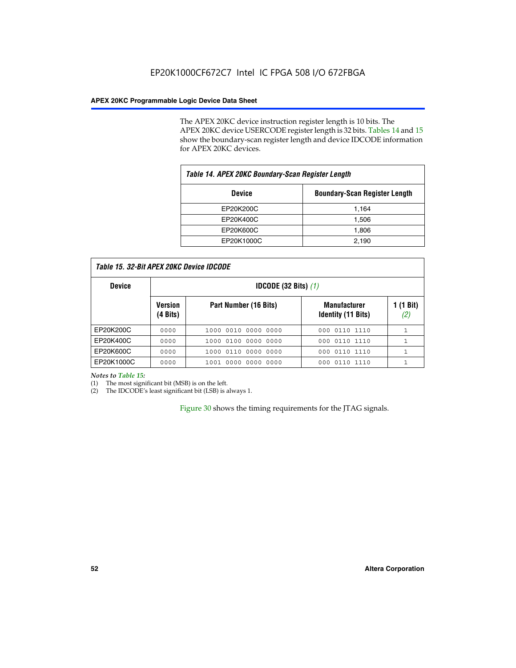The APEX 20KC device instruction register length is 10 bits. The APEX 20KC device USERCODE register length is 32 bits. Tables 14 and 15 show the boundary-scan register length and device IDCODE information for APEX 20KC devices.

| Table 14. APEX 20KC Boundary-Scan Register Length     |       |  |  |  |  |
|-------------------------------------------------------|-------|--|--|--|--|
| <b>Boundary-Scan Register Length</b><br><b>Device</b> |       |  |  |  |  |
| EP20K200C                                             | 1,164 |  |  |  |  |
| EP20K400C                                             | 1,506 |  |  |  |  |
| EP20K600C                                             | 1,806 |  |  |  |  |
| EP20K1000C                                            | 2,190 |  |  |  |  |

| <i>Table 15. 32-Bit APEX 20KC Device IDCODE</i> |                               |                        |                                                  |                  |  |  |  |  |
|-------------------------------------------------|-------------------------------|------------------------|--------------------------------------------------|------------------|--|--|--|--|
| <b>Device</b>                                   | <b>IDCODE</b> (32 Bits) $(1)$ |                        |                                                  |                  |  |  |  |  |
|                                                 | <b>Version</b><br>(4 Bits)    | Part Number (16 Bits)  | <b>Manufacturer</b><br><b>Identity (11 Bits)</b> | 1 (1 Bit)<br>(2) |  |  |  |  |
| EP20K200C                                       | 0000                          | 0010 0000 0000<br>1000 | 000 0110 1110                                    |                  |  |  |  |  |
| EP20K400C                                       | 0000                          | 1000 0100 0000 0000    | 000 0110 1110                                    |                  |  |  |  |  |
| EP20K600C                                       | 0000                          | 1000 0110 0000 0000    | 000 0110 1110                                    | 1                |  |  |  |  |
| EP20K1000C                                      | 0000                          | 1001 0000 0000 0000    | 000 0110 1110                                    | 1                |  |  |  |  |

*Notes to Table 15:*

I

(1) The most significant bit (MSB) is on the left.

(2) The IDCODE's least significant bit (LSB) is always 1.

Figure 30 shows the timing requirements for the JTAG signals.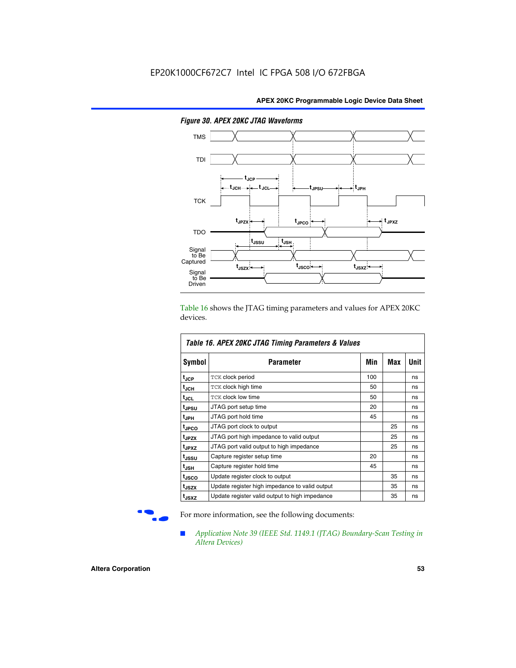

*Figure 30. APEX 20KC JTAG Waveforms*

Table 16 shows the JTAG timing parameters and values for APEX 20KC devices.

| Table 16. APEX 20KC JTAG Timing Parameters & Values |                                                |     |     |      |  |  |
|-----------------------------------------------------|------------------------------------------------|-----|-----|------|--|--|
| Symbol                                              | Parameter                                      | Min | Max | Unit |  |  |
| t <sub>JCP</sub>                                    | TCK clock period                               | 100 |     | ns   |  |  |
| t <sub>JCH</sub>                                    | TCK clock high time                            | 50  |     | ns   |  |  |
| tjcL                                                | <b>TCK clock low time</b>                      | 50  |     | ns   |  |  |
| t <sub>JPSU</sub>                                   | JTAG port setup time                           | 20  |     | ns   |  |  |
| t <sub>JPH</sub>                                    | JTAG port hold time                            | 45  |     | ns   |  |  |
| <sup>t</sup> JPCO                                   | JTAG port clock to output                      |     | 25  | ns   |  |  |
| t <sub>JPZX</sub>                                   | JTAG port high impedance to valid output       |     | 25  | ns   |  |  |
| t <sub>JPXZ</sub>                                   | JTAG port valid output to high impedance       |     | 25  | ns   |  |  |
| t <sub>JSSU</sub>                                   | Capture register setup time                    | 20  |     | ns   |  |  |
| t <sub>JSH</sub>                                    | Capture register hold time                     | 45  |     | ns   |  |  |
| t <sub>JSCO</sub>                                   | Update register clock to output                |     | 35  | ns   |  |  |
| t <sub>JSZX</sub>                                   | Update register high impedance to valid output |     | 35  | ns   |  |  |
| t <sub>JSXZ</sub>                                   | Update register valid output to high impedance |     | 35  | ns   |  |  |

For more information, see the following documents:

■ *Application Note 39 (IEEE Std. 1149.1 (JTAG) Boundary-Scan Testing in Altera Devices)*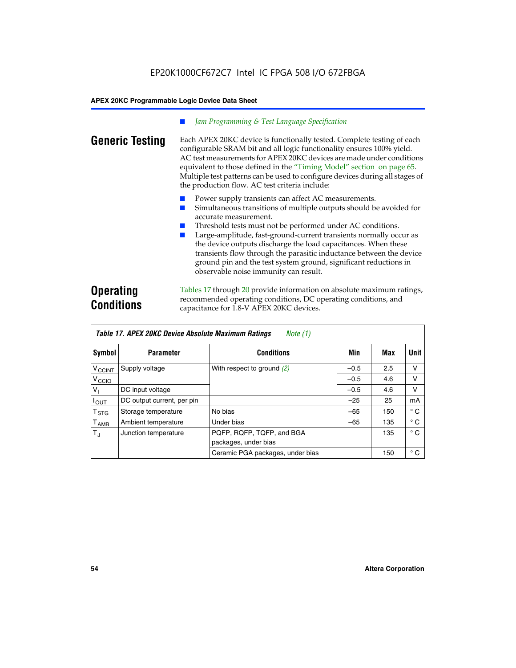#### *Jam Programming & Test Language Specification*

**Generic Testing** Each APEX 20KC device is functionally tested. Complete testing of each configurable SRAM bit and all logic functionality ensures 100% yield. AC test measurements for APEX 20KC devices are made under conditions equivalent to those defined in the "Timing Model" section on page 65. Multiple test patterns can be used to configure devices during all stages of the production flow. AC test criteria include:

- Power supply transients can affect AC measurements.
- Simultaneous transitions of multiple outputs should be avoided for accurate measurement.
- Threshold tests must not be performed under AC conditions.
- Large-amplitude, fast-ground-current transients normally occur as the device outputs discharge the load capacitances. When these transients flow through the parasitic inductance between the device ground pin and the test system ground, significant reductions in observable noise immunity can result.

# **Operating Conditions**

Tables 17 through 20 provide information on absolute maximum ratings, recommended operating conditions, DC operating conditions, and capacitance for 1.8-V APEX 20KC devices.

| Table 17. APEX 20KC Device Absolute Maximum Ratings<br>Note (1) |                            |                                  |        |     |              |  |  |  |
|-----------------------------------------------------------------|----------------------------|----------------------------------|--------|-----|--------------|--|--|--|
| Symbol                                                          | <b>Parameter</b>           | <b>Conditions</b>                | Min    | Max | Unit         |  |  |  |
| $V_{\text{CCINT}}$                                              | Supply voltage             | With respect to ground (2)       | $-0.5$ | 2.5 | ν            |  |  |  |
| V <sub>CCIO</sub>                                               |                            |                                  | $-0.5$ | 4.6 | ν            |  |  |  |
| V <sub>I</sub>                                                  | DC input voltage           |                                  | $-0.5$ | 4.6 | ν            |  |  |  |
| $I_{OUT}$                                                       | DC output current, per pin |                                  | $-25$  | 25  | mA           |  |  |  |
| $\mathsf{T}_{\texttt{STG}}$                                     | Storage temperature        | No bias                          | $-65$  | 150 | $^{\circ}$ C |  |  |  |
| $\mathsf{T}_{\mathsf{AMB}}$                                     | Ambient temperature        | Under bias                       | $-65$  | 135 | $^{\circ}$ C |  |  |  |
| $T_{\rm J}$                                                     | Junction temperature       | PQFP, RQFP, TQFP, and BGA        |        | 135 | $^{\circ}$ C |  |  |  |
|                                                                 |                            | packages, under bias             |        |     |              |  |  |  |
|                                                                 |                            | Ceramic PGA packages, under bias |        | 150 | $^{\circ}$ C |  |  |  |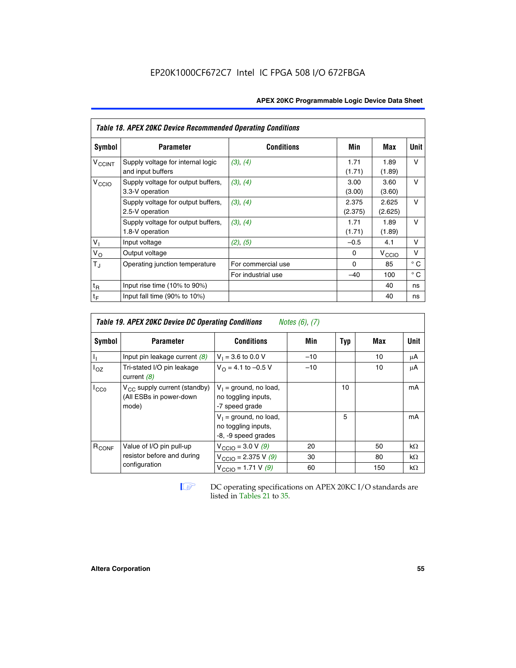| <b>APEX 20KC Programmable Logic Device Data Sheet</b> |  |
|-------------------------------------------------------|--|
|-------------------------------------------------------|--|

| <b>Table 18. APEX 20KC Device Recommended Operating Conditions</b> |                                                        |                    |                  |                   |              |  |  |
|--------------------------------------------------------------------|--------------------------------------------------------|--------------------|------------------|-------------------|--------------|--|--|
| Symbol                                                             | <b>Parameter</b>                                       | <b>Conditions</b>  | Min              | Max               | Unit         |  |  |
| <b>V<sub>CCINT</sub></b>                                           | Supply voltage for internal logic<br>and input buffers | (3), (4)           | 1.71<br>(1.71)   | 1.89<br>(1.89)    | $\vee$       |  |  |
| V <sub>CCIO</sub>                                                  | Supply voltage for output buffers,<br>3.3-V operation  | (3), (4)           | 3.00<br>(3.00)   | 3.60<br>(3.60)    | $\vee$       |  |  |
|                                                                    | Supply voltage for output buffers,<br>2.5-V operation  | (3), (4)           | 2.375<br>(2.375) | 2.625<br>(2.625)  | $\vee$       |  |  |
|                                                                    | Supply voltage for output buffers,<br>1.8-V operation  | (3), (4)           | 1.71<br>(1.71)   | 1.89<br>(1.89)    | v            |  |  |
| V <sub>1</sub>                                                     | Input voltage                                          | (2), (5)           | $-0.5$           | 4.1               | v            |  |  |
| $V_{\rm O}$                                                        | Output voltage                                         |                    | 0                | $V_{\text{CCI}O}$ | v            |  |  |
| $T_{\rm J}$                                                        | Operating junction temperature                         | For commercial use | $\Omega$         | 85                | $^{\circ}$ C |  |  |
|                                                                    |                                                        | For industrial use | $-40$            | 100               | $^{\circ}$ C |  |  |
| $t_{R}$                                                            | Input rise time $(10\% \text{ to } 90\%)$              |                    |                  | 40                | ns           |  |  |
| $t_F$                                                              | Input fall time $(90\% \text{ to } 10\%)$              |                    |                  | 40                | ns           |  |  |

| <b>Table 19. APEX 20KC Device DC Operating Conditions</b><br><i>Notes</i> $(6)$ , $(7)$ |                                                                       |                                                                        |       |     |     |           |  |  |  |
|-----------------------------------------------------------------------------------------|-----------------------------------------------------------------------|------------------------------------------------------------------------|-------|-----|-----|-----------|--|--|--|
| Symbol                                                                                  | <b>Parameter</b>                                                      | <b>Conditions</b>                                                      | Min   | Typ | Max | Unit      |  |  |  |
| Ъ,                                                                                      | Input pin leakage current $(8)$                                       | $V_1 = 3.6$ to 0.0 V                                                   | $-10$ |     | 10  | μA        |  |  |  |
| $I_{OZ}$                                                                                | Tri-stated I/O pin leakage<br>current $(8)$                           | $V_{\Omega} = 4.1$ to -0.5 V                                           | $-10$ |     | 10  | μA        |  |  |  |
| $I_{CC0}$                                                                               | $V_{CC}$ supply current (standby)<br>(All ESBs in power-down<br>mode) | $V_1$ = ground, no load,<br>no toggling inputs,<br>-7 speed grade      |       | 10  |     | mA        |  |  |  |
|                                                                                         |                                                                       | $V_1$ = ground, no load,<br>no toggling inputs,<br>-8, -9 speed grades |       | 5   |     | mA        |  |  |  |
| R <sub>CONF</sub>                                                                       | Value of I/O pin pull-up                                              | $V_{\text{CCIO}} = 3.0 V (9)$                                          | 20    |     | 50  | $k\Omega$ |  |  |  |
|                                                                                         | resistor before and during                                            | $V_{\text{CCIO}} = 2.375 \text{ V } (9)$                               | 30    |     | 80  | $k\Omega$ |  |  |  |
|                                                                                         | configuration                                                         | $V_{\text{CCIO}} = 1.71 V(9)$                                          | 60    |     | 150 | $k\Omega$ |  |  |  |

**IF DC** operating specifications on APEX 20KC I/O standards are listed in Tables 21 to 35*.*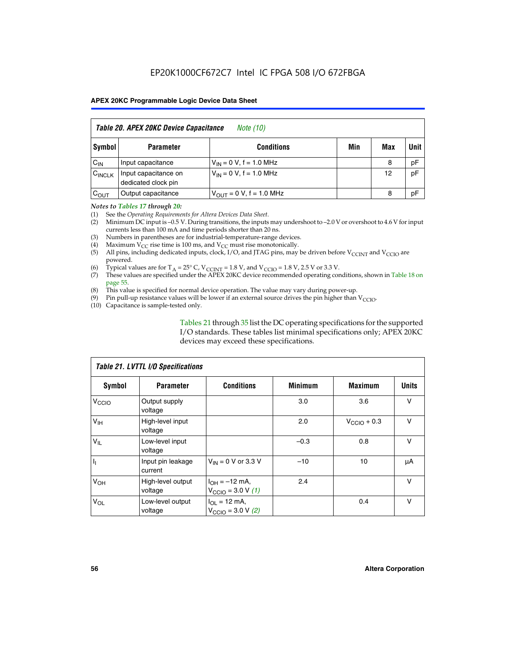| Table 20. APEX 20KC Device Capacitance<br><i>Note (10)</i> |                                             |                                |     |     |      |  |  |  |  |  |
|------------------------------------------------------------|---------------------------------------------|--------------------------------|-----|-----|------|--|--|--|--|--|
| Symbol                                                     | <b>Parameter</b>                            | <b>Conditions</b>              | Min | Max | Unit |  |  |  |  |  |
| $C_{IN}$                                                   | Input capacitance                           | $V_{IN} = 0 V$ , f = 1.0 MHz   |     | 8   | pF   |  |  |  |  |  |
| $C_{\text{INCLK}}$                                         | Input capacitance on<br>dedicated clock pin | $V_{IN} = 0 V$ , f = 1.0 MHz   |     | 12  | pF   |  |  |  |  |  |
| $C_{OUT}$                                                  | Output capacitance                          | $V_{OIII} = 0 V$ , f = 1.0 MHz |     | 8   | pF   |  |  |  |  |  |

#### *Notes to Tables 17 through 20:*

(1) See the *Operating Requirements for Altera Devices Data Sheet*.

- (2) Minimum DC input is –0.5 V. During transitions, the inputs may undershoot to –2.0 V or overshoot to 4.6 V for input currents less than 100 mA and time periods shorter than 20 ns.
- (3) Numbers in parentheses are for industrial-temperature-range devices.<br>(4) Maximum  $V_{CC}$  rise time is 100 ms, and  $V_{CC}$  must rise monotonically.
- (4) Maximum  $V_{CC}$  rise time is 100 ms, and  $V_{CC}$  must rise monotonically.<br>(5) All pins, including dedicated inputs, clock, I/O, and JTAG pins, may
- All pins, including dedicated inputs, clock, I/O, and JTAG pins, may be driven before  $V_{CCTN}$  and  $V_{CCTO}$  are powered.
- (6) Typical values are for T<sub>A</sub> = 25° C, V<sub>CCINT</sub> = 1.8 V, and V<sub>CCIO</sub> = 1.8 V, 2.5 V or 3.3 V.
- (7) These values are specified under the APEX 20KC device recommended operating conditions, shown in Table 18 on page 55.
- (8) This value is specified for normal device operation. The value may vary during power-up.
- (9) Pin pull-up resistance values will be lower if an external source drives the pin higher than  $V_{\text{CCIO}}$ .
- (10) Capacitance is sample-tested only.

Tables 21 through 35 list the DC operating specifications for the supported I/O standards. These tables list minimal specifications only; APEX 20KC devices may exceed these specifications.

| Table 21. LVTTL I/O Specifications |                              |                                                     |                |                         |              |  |  |  |  |
|------------------------------------|------------------------------|-----------------------------------------------------|----------------|-------------------------|--------------|--|--|--|--|
| Symbol                             | <b>Parameter</b>             | <b>Conditions</b>                                   | <b>Minimum</b> | <b>Maximum</b>          | <b>Units</b> |  |  |  |  |
| V <sub>CCIO</sub>                  | Output supply<br>voltage     |                                                     | 3.0            | 3.6                     | v            |  |  |  |  |
| V <sub>IH</sub>                    | High-level input<br>voltage  |                                                     | 2.0            | $V_{\text{CClO}} + 0.3$ | $\vee$       |  |  |  |  |
| $V_{IL}$                           | Low-level input<br>voltage   |                                                     | $-0.3$         | 0.8                     | v            |  |  |  |  |
| $\mathbf{I}_{1}$                   | Input pin leakage<br>current | $V_{IN} = 0$ V or 3.3 V                             | $-10$          | 10                      | μA           |  |  |  |  |
| V <sub>OH</sub>                    | High-level output<br>voltage | $I_{OH} = -12$ mA,<br>$V_{\text{CCIO}} = 3.0 V (1)$ | 2.4            |                         | v            |  |  |  |  |
| $V_{OL}$                           | Low-level output<br>voltage  | $I_{OL}$ = 12 mA,<br>$V_{\text{CCIO}} = 3.0 V (2)$  |                | 0.4                     | $\vee$       |  |  |  |  |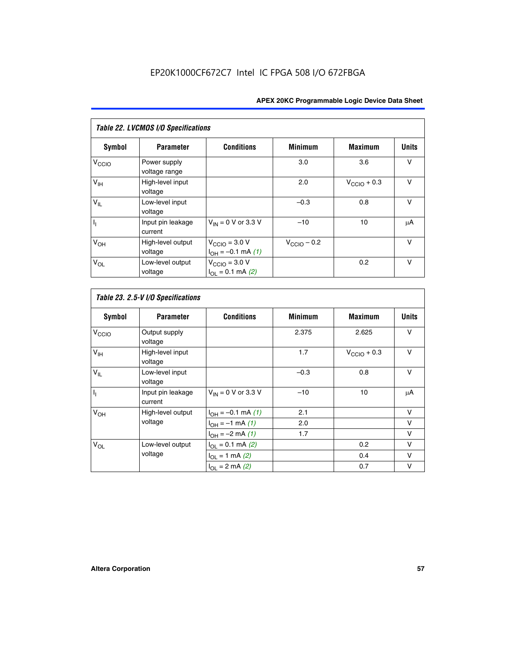| Table 22. LVCMOS I/O Specifications |                               |                                                       |                         |                         |              |  |  |  |  |
|-------------------------------------|-------------------------------|-------------------------------------------------------|-------------------------|-------------------------|--------------|--|--|--|--|
| Symbol                              | <b>Parameter</b>              | <b>Conditions</b>                                     | <b>Minimum</b>          | <b>Maximum</b>          | <b>Units</b> |  |  |  |  |
| V <sub>CCIO</sub>                   | Power supply<br>voltage range |                                                       | 3.0                     | 3.6                     | v            |  |  |  |  |
| $V_{\text{IH}}$                     | High-level input<br>voltage   |                                                       | 2.0                     | $V_{\text{CCIO}} + 0.3$ | v            |  |  |  |  |
| $V_{IL}$                            | Low-level input<br>voltage    |                                                       | $-0.3$                  | 0.8                     | $\vee$       |  |  |  |  |
| h                                   | Input pin leakage<br>current  | $V_{IN}$ = 0 V or 3.3 V                               | $-10$                   | 10                      | μA           |  |  |  |  |
| V <sub>OH</sub>                     | High-level output<br>voltage  | $V_{\text{CCIO}} = 3.0 V$<br>$I_{OH} = -0.1$ mA $(1)$ | $V_{\text{CCIO}} - 0.2$ |                         | $\vee$       |  |  |  |  |
| $V_{OL}$                            | Low-level output<br>voltage   | $V_{\text{CCIO}} = 3.0 V$<br>$I_{OL} = 0.1$ mA (2)    |                         | 0.2                     | $\vee$       |  |  |  |  |

 $\mathsf{l}$ 

| Symbol            | <b>Parameter</b>             | <b>Conditions</b>        | <b>Minimum</b> | <b>Maximum</b>          | <b>Units</b> |
|-------------------|------------------------------|--------------------------|----------------|-------------------------|--------------|
| V <sub>CCIO</sub> | Output supply<br>voltage     |                          | 2.375          | 2.625                   | V            |
| V <sub>IH</sub>   | High-level input<br>voltage  |                          | 1.7            | $V_{\text{CCIO}} + 0.3$ | v            |
| $V_{IL}$          | Low-level input<br>voltage   |                          | $-0.3$         | 0.8                     | $\vee$       |
| $\overline{I_1}$  | Input pin leakage<br>current | $V_{IN}$ = 0 V or 3.3 V  | $-10$          | 10                      | μA           |
| $V_{OH}$          | High-level output            | $I_{OH} = -0.1$ mA $(1)$ | 2.1            |                         | $\vee$       |
|                   | voltage                      | $I_{OH} = -1$ mA $(1)$   | 2.0            |                         | v            |
|                   |                              | $I_{OH} = -2$ mA (1)     | 1.7            |                         | v            |
| $V_{OL}$          | Low-level output             | $I_{OL} = 0.1$ mA (2)    |                | 0.2                     | $\vee$       |
|                   | voltage                      | $I_{OL} = 1$ mA (2)      |                | 0.4                     | $\vee$       |
|                   |                              | $I_{OL} = 2$ mA (2)      |                | 0.7                     | v            |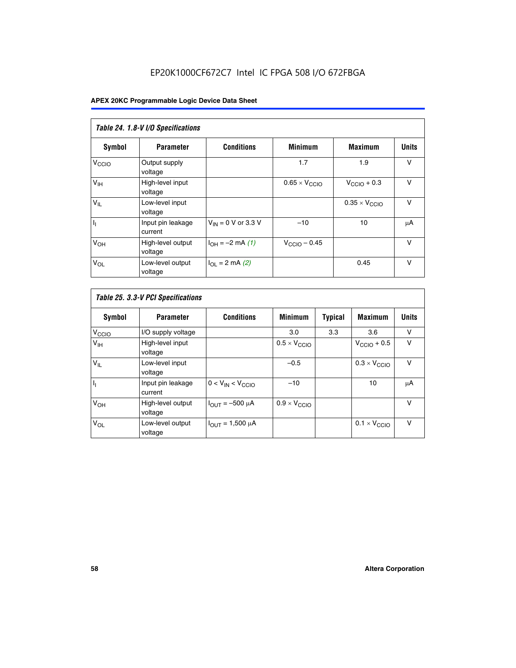# EP20K1000CF672C7 Intel IC FPGA 508 I/O 672FBGA

| Table 24. 1.8-V I/O Specifications |                              |                           |                               |                               |              |  |  |  |  |  |
|------------------------------------|------------------------------|---------------------------|-------------------------------|-------------------------------|--------------|--|--|--|--|--|
| Symbol                             | <b>Parameter</b>             | <b>Conditions</b>         | <b>Minimum</b>                | <b>Maximum</b>                | <b>Units</b> |  |  |  |  |  |
| V <sub>CCIO</sub>                  | Output supply<br>voltage     |                           | 1.7                           | 1.9                           | $\vee$       |  |  |  |  |  |
| V <sub>IH</sub>                    | High-level input<br>voltage  |                           | $0.65 \times V_{\text{CCIO}}$ | $V_{\text{CCIO}} + 0.3$       | $\vee$       |  |  |  |  |  |
| $V_{IL}$                           | Low-level input<br>voltage   |                           |                               | $0.35 \times V_{\text{CCIO}}$ | $\vee$       |  |  |  |  |  |
| $I_1$                              | Input pin leakage<br>current | $V_{IN} = 0$ V or 3.3 V   | $-10$                         | 10                            | μA           |  |  |  |  |  |
| V <sub>OH</sub>                    | High-level output<br>voltage | $I_{OH} = -2$ mA (1)      | $V_{\text{CClO}}$ – 0.45      |                               | v            |  |  |  |  |  |
| $V_{OL}$                           | Low-level output<br>voltage  | $I_{\Omega I}$ = 2 mA (2) |                               | 0.45                          | $\vee$       |  |  |  |  |  |

| Table 25. 3.3-V PCI Specifications |                              |                         |                              |         |                              |              |  |  |  |
|------------------------------------|------------------------------|-------------------------|------------------------------|---------|------------------------------|--------------|--|--|--|
| <b>Symbol</b>                      | <b>Parameter</b>             | <b>Conditions</b>       | <b>Minimum</b>               | Typical | <b>Maximum</b>               | <b>Units</b> |  |  |  |
| V <sub>CCIO</sub>                  | I/O supply voltage           |                         | 3.0                          | 3.3     | 3.6                          | v            |  |  |  |
| $V_{\text{IH}}$                    | High-level input<br>voltage  |                         | $0.5 \times V_{\text{CCIO}}$ |         | $V_{\text{CCIO}} + 0.5$      | $\vee$       |  |  |  |
| $V_{IL}$                           | Low-level input<br>voltage   |                         | $-0.5$                       |         | $0.3 \times V_{\text{CCIO}}$ | $\vee$       |  |  |  |
| $\mathbf{I}_{1}$                   | Input pin leakage<br>current | $0 < V_{IN} < V_{CCIO}$ | $-10$                        |         | 10                           | μA           |  |  |  |
| V <sub>OH</sub>                    | High-level output<br>voltage | $I_{OUT} = -500 \mu A$  | $0.9 \times V_{\text{CCIO}}$ |         |                              | $\vee$       |  |  |  |
| $V_{OL}$                           | Low-level output<br>voltage  | $I_{OUT} = 1,500 \mu A$ |                              |         | $0.1 \times V_{\text{CCIO}}$ | $\vee$       |  |  |  |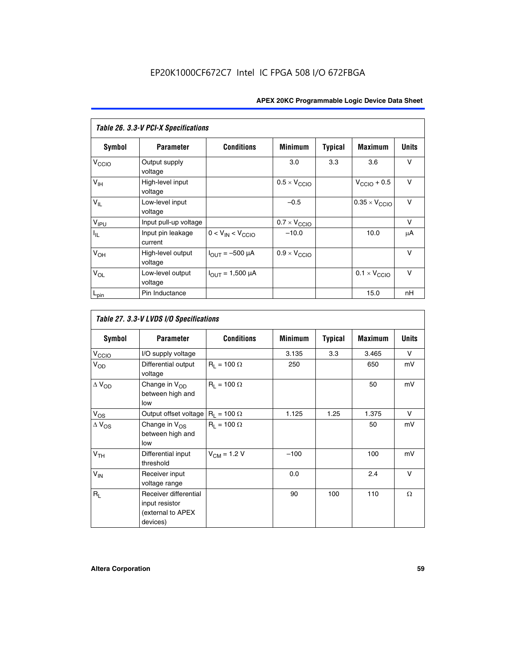| Table 26. 3.3-V PCI-X Specifications |                              |                                |                              |                |                         |              |  |  |  |
|--------------------------------------|------------------------------|--------------------------------|------------------------------|----------------|-------------------------|--------------|--|--|--|
| <b>Symbol</b>                        | <b>Parameter</b>             | <b>Conditions</b>              | <b>Minimum</b>               | <b>Typical</b> | <b>Maximum</b>          | <b>Units</b> |  |  |  |
| V <sub>CCIO</sub>                    | Output supply<br>voltage     |                                | 3.0                          | 3.3            | 3.6                     | v            |  |  |  |
| $V_{\text{IH}}$                      | High-level input<br>voltage  |                                | $0.5 \times V_{\text{CCIO}}$ |                | $V_{\text{CCIO}} + 0.5$ | $\vee$       |  |  |  |
| $V_{IL}$                             | Low-level input<br>voltage   |                                | $-0.5$                       |                | $0.35 \times V_{CCIO}$  | $\vee$       |  |  |  |
| V <sub>IPU</sub>                     | Input pull-up voltage        |                                | $0.7 \times V_{\text{CCIO}}$ |                |                         | $\vee$       |  |  |  |
| $I_{\rm IL}$                         | Input pin leakage<br>current | $0 < V_{IN} < V_{CCIO}$        | $-10.0$                      |                | 10.0                    | μA           |  |  |  |
| $V_{OH}$                             | High-level output<br>voltage | $I_{\text{OUT}} = -500 \mu A$  | $0.9 \times V_{\text{CCIO}}$ |                |                         | $\vee$       |  |  |  |
| $V_{OL}$                             | Low-level output<br>voltage  | $I_{\text{OUT}} = 1,500 \mu A$ |                              |                | $0.1 \times V_{CCIO}$   | v            |  |  |  |
| $L_{pin}$                            | Pin Inductance               |                                |                              |                | 15.0                    | nH           |  |  |  |

| Table 27. 3.3-V LVDS I/O Specifications |                                                                          |                    |                |                |                |              |  |  |  |
|-----------------------------------------|--------------------------------------------------------------------------|--------------------|----------------|----------------|----------------|--------------|--|--|--|
| Symbol                                  | <b>Parameter</b>                                                         | <b>Conditions</b>  | <b>Minimum</b> | <b>Typical</b> | <b>Maximum</b> | <b>Units</b> |  |  |  |
| V <sub>C</sub> CO                       | I/O supply voltage                                                       |                    | 3.135          | 3.3            | 3.465          | $\vee$       |  |  |  |
| $V_{OD}$                                | Differential output<br>voltage                                           | $R_1 = 100 \Omega$ | 250            |                | 650            | mV           |  |  |  |
| $\Delta$ V <sub>OD</sub>                | Change in V <sub>OD</sub><br>between high and<br>low                     | $R_1 = 100 \Omega$ |                |                | 50             | mV           |  |  |  |
| $V_{OS}$                                | Output offset voltage $R_1 = 100 \Omega$                                 |                    | 1.125          | 1.25           | 1.375          | V            |  |  |  |
| $\Delta$ V <sub>OS</sub>                | Change in $V_{OS}$<br>between high and<br>low                            | $R_1 = 100 \Omega$ |                |                | 50             | mV           |  |  |  |
| V <sub>TH</sub>                         | Differential input<br>threshold                                          | $V_{CM} = 1.2 V$   | $-100$         |                | 100            | mV           |  |  |  |
| $V_{IN}$                                | Receiver input<br>voltage range                                          |                    | 0.0            |                | 2.4            | $\vee$       |  |  |  |
| $R_L$                                   | Receiver differential<br>input resistor<br>(external to APEX<br>devices) |                    | 90             | 100            | 110            | $\Omega$     |  |  |  |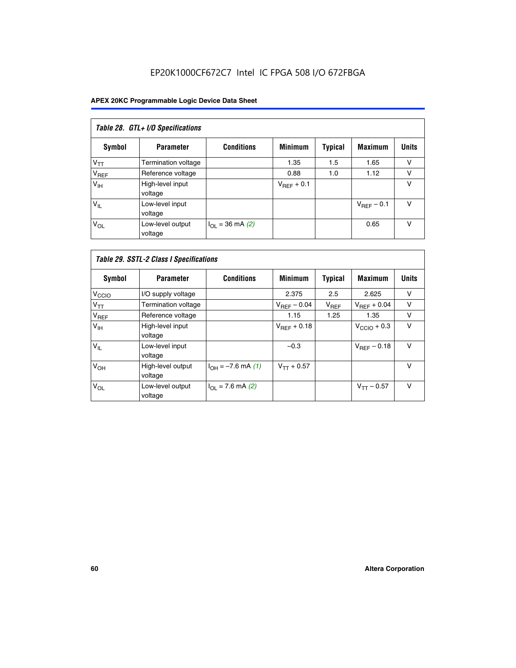# EP20K1000CF672C7 Intel IC FPGA 508 I/O 672FBGA

| Table 28. GTL+ I/O Specifications |                             |                      |                 |                |                        |              |  |  |  |
|-----------------------------------|-----------------------------|----------------------|-----------------|----------------|------------------------|--------------|--|--|--|
| <b>Symbol</b>                     | <b>Parameter</b>            | <b>Conditions</b>    | <b>Minimum</b>  | <b>Typical</b> | <b>Maximum</b>         | <b>Units</b> |  |  |  |
| $V_{TT}$                          | <b>Termination voltage</b>  |                      | 1.35            | 1.5            | 1.65                   | v            |  |  |  |
| V <sub>REF</sub>                  | Reference voltage           |                      | 0.88            | 1.0            | 1.12                   | v            |  |  |  |
| V <sub>IH</sub>                   | High-level input<br>voltage |                      | $V_{REF}$ + 0.1 |                |                        | v            |  |  |  |
| $V_{IL}$                          | Low-level input<br>voltage  |                      |                 |                | $V_{\text{RFF}}$ – 0.1 | v            |  |  |  |
| $V_{OL}$                          | Low-level output<br>voltage | $I_{OL}$ = 36 mA (2) |                 |                | 0.65                   | v            |  |  |  |

| Table 29. SSTL-2 Class I Specifications |                              |                             |                         |                |                         |              |  |  |  |
|-----------------------------------------|------------------------------|-----------------------------|-------------------------|----------------|-------------------------|--------------|--|--|--|
| Symbol                                  | <b>Parameter</b>             | <b>Conditions</b>           | <b>Minimum</b>          | <b>Typical</b> | <b>Maximum</b>          | <b>Units</b> |  |  |  |
| V <sub>CCIO</sub>                       | I/O supply voltage           |                             | 2.375                   | 2.5            | 2.625                   | $\vee$       |  |  |  |
| $V_{TT}$                                | <b>Termination voltage</b>   |                             | $V_{\text{BFF}} - 0.04$ | $V_{REF}$      | $V_{BFF} + 0.04$        | v            |  |  |  |
| $V_{REF}$                               | Reference voltage            |                             | 1.15                    | 1.25           | 1.35                    | $\vee$       |  |  |  |
| V <sub>IH</sub>                         | High-level input<br>voltage  |                             | $V_{BFF} + 0.18$        |                | $V_{\text{CCIO}} + 0.3$ | v            |  |  |  |
| $V_{IL}$                                | Low-level input<br>voltage   |                             | $-0.3$                  |                | $V_{REF}$ – 0.18        | $\vee$       |  |  |  |
| V <sub>OH</sub>                         | High-level output<br>voltage | $I_{OH} = -7.6$ mA (1)      | $V_{TT} + 0.57$         |                |                         | v            |  |  |  |
| $V_{OL}$                                | Low-level output<br>voltage  | $I_{\Omega I}$ = 7.6 mA (2) |                         |                | $V_{TT} - 0.57$         | $\vee$       |  |  |  |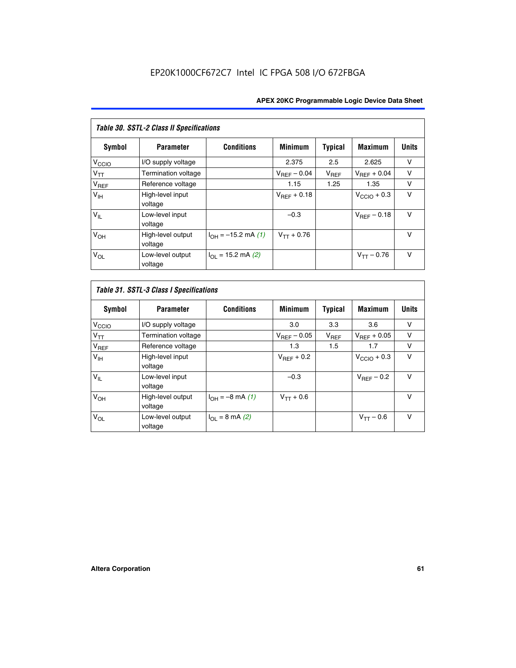| <b>Table 30. SSTL-2 Class II Specifications</b> |                              |                              |                         |                |                         |              |
|-------------------------------------------------|------------------------------|------------------------------|-------------------------|----------------|-------------------------|--------------|
| Symbol                                          | <b>Parameter</b>             | <b>Conditions</b>            | <b>Minimum</b>          | <b>Typical</b> | <b>Maximum</b>          | <b>Units</b> |
| V <sub>CCIO</sub>                               | I/O supply voltage           |                              | 2.375                   | 2.5            | 2.625                   | v            |
| $V_{TT}$                                        | Termination voltage          |                              | $V_{REF}$ – 0.04        | $V_{REF}$      | $V_{BFF} + 0.04$        | $\vee$       |
| $V_{REF}$                                       | Reference voltage            |                              | 1.15                    | 1.25           | 1.35                    | v            |
| V <sub>IH</sub>                                 | High-level input<br>voltage  |                              | $V_{\text{RFF}} + 0.18$ |                | $V_{\text{CCIO}} + 0.3$ | $\vee$       |
| $V_{IL}$                                        | Low-level input<br>voltage   |                              | $-0.3$                  |                | $V_{REF}$ – 0.18        | $\vee$       |
| V <sub>OH</sub>                                 | High-level output<br>voltage | $I_{OH} = -15.2$ mA (1)      | $V_{TT} + 0.76$         |                |                         | $\vee$       |
| $V_{OL}$                                        | Low-level output<br>voltage  | $I_{\Omega I}$ = 15.2 mA (2) |                         |                | $V_{TT} - 0.76$         | $\vee$       |

| Symbol            | <b>Parameter</b>             | <b>Conditions</b>         | <b>Minimum</b>          | <b>Typical</b> | <b>Maximum</b>          | <b>Units</b> |
|-------------------|------------------------------|---------------------------|-------------------------|----------------|-------------------------|--------------|
| V <sub>CCIO</sub> | I/O supply voltage           |                           | 3.0                     | 3.3            | 3.6                     | ν            |
| $V_{TT}$          | Termination voltage          |                           | $V_{\text{BFF}} - 0.05$ | $V_{REF}$      | $V_{\text{RFF}} + 0.05$ | v            |
| $V_{REF}$         | Reference voltage            |                           | 1.3                     | 1.5            | 1.7                     | v            |
| V <sub>IH</sub>   | High-level input<br>voltage  |                           | $V_{BFF}$ + 0.2         |                | $V_{\text{CCIO}} + 0.3$ | v            |
| $V_{IL}$          | Low-level input<br>voltage   |                           | $-0.3$                  |                | $V_{REF}$ – 0.2         | $\vee$       |
| V <sub>OH</sub>   | High-level output<br>voltage | $I_{OH} = -8$ mA (1)      | $V_{TT} + 0.6$          |                |                         | v            |
| $V_{OL}$          | Low-level output<br>voltage  | $I_{\Omega I}$ = 8 mA (2) |                         |                | $V_{TT} - 0.6$          | $\vee$       |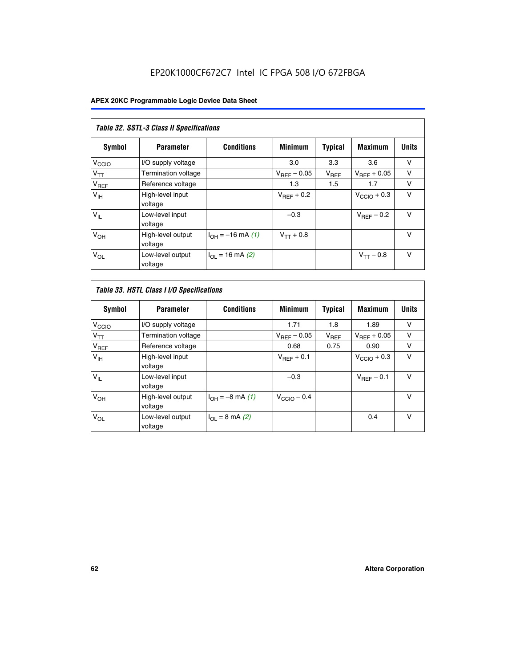# EP20K1000CF672C7 Intel IC FPGA 508 I/O 672FBGA

| Table 32. SSTL-3 Class II Specifications |                              |                          |                        |           |                         |              |
|------------------------------------------|------------------------------|--------------------------|------------------------|-----------|-------------------------|--------------|
| <b>Symbol</b>                            | <b>Parameter</b>             | <b>Conditions</b>        | <b>Minimum</b>         | Typical   | <b>Maximum</b>          | <b>Units</b> |
| V <sub>CCIO</sub>                        | I/O supply voltage           |                          | 3.0                    | 3.3       | 3.6                     | v            |
| $V_{TT}$                                 | <b>Termination voltage</b>   |                          | $V_{REF}$ – 0.05       | $V_{REF}$ | $V_{REF}$ + 0.05        | v            |
| $V_{REF}$                                | Reference voltage            |                          | 1.3                    | 1.5       | 1.7                     | v            |
| $V_{\text{IH}}$                          | High-level input<br>voltage  |                          | $V_{\text{RFF}} + 0.2$ |           | $V_{\text{CCIO}} + 0.3$ | v            |
| $V_{IL}$                                 | Low-level input<br>voltage   |                          | $-0.3$                 |           | $V_{\text{RFF}}$ – 0.2  | $\vee$       |
| V <sub>OH</sub>                          | High-level output<br>voltage | $I_{OH} = -16$ mA (1)    | $V_{TT} + 0.8$         |           |                         | $\vee$       |
| $V_{OL}$                                 | Low-level output<br>voltage  | $I_{\Omega}$ = 16 mA (2) |                        |           | $V_{TT} - 0.8$          | $\vee$       |

| Table 33. HSTL Class I I/O Specifications |                              |                           |                         |                |                         |              |
|-------------------------------------------|------------------------------|---------------------------|-------------------------|----------------|-------------------------|--------------|
| Symbol                                    | <b>Parameter</b>             | <b>Conditions</b>         | <b>Minimum</b>          | <b>Typical</b> | <b>Maximum</b>          | <b>Units</b> |
| V <sub>CCIO</sub>                         | I/O supply voltage           |                           | 1.71                    | 1.8            | 1.89                    | v            |
| $V_{TT}$                                  | Termination voltage          |                           | $V_{REF} - 0.05$        | $V_{REF}$      | $V_{\text{RFF}} + 0.05$ | v            |
| $V_{REF}$                                 | Reference voltage            |                           | 0.68                    | 0.75           | 0.90                    | $\vee$       |
| $V_{\text{IH}}$                           | High-level input<br>voltage  |                           | $V_{BEF}$ + 0.1         |                | $V_{\text{CCIO}} + 0.3$ | $\vee$       |
| $V_{IL}$                                  | Low-level input<br>voltage   |                           | $-0.3$                  |                | $V_{\text{RFF}}$ – 0.1  | $\vee$       |
| $V_{OH}$                                  | High-level output<br>voltage | $I_{OH} = -8$ mA (1)      | $V_{\text{CCIO}} - 0.4$ |                |                         | $\vee$       |
| $V_{OL}$                                  | Low-level output<br>voltage  | $I_{\Omega I}$ = 8 mA (2) |                         |                | 0.4                     | $\vee$       |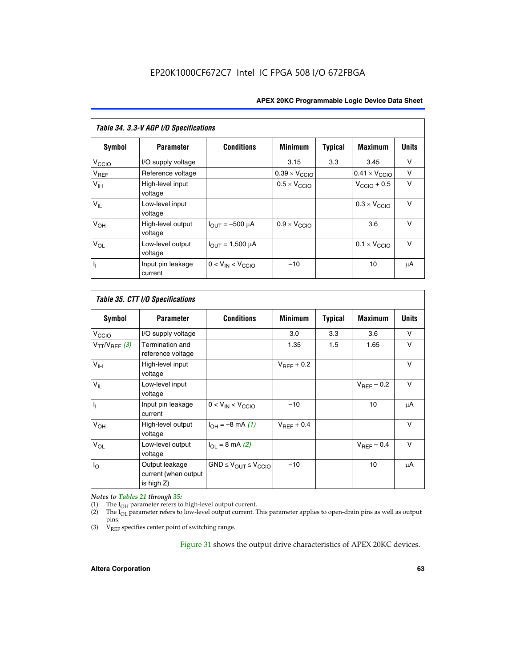| Table 34. 3.3-V AGP I/O Specifications |                              |                         |                               |                |                               |              |
|----------------------------------------|------------------------------|-------------------------|-------------------------------|----------------|-------------------------------|--------------|
| Symbol                                 | <b>Parameter</b>             | <b>Conditions</b>       | <b>Minimum</b>                | <b>Typical</b> | <b>Maximum</b>                | <b>Units</b> |
| $V_{\text{CCLO}}$                      | I/O supply voltage           |                         | 3.15                          | 3.3            | 3.45                          | v            |
| V <sub>REF</sub>                       | Reference voltage            |                         | $0.39 \times V_{\text{CCIO}}$ |                | $0.41 \times V_{\text{CCIO}}$ | v            |
| V <sub>IH</sub>                        | High-level input<br>voltage  |                         | $0.5 \times V_{\text{CCIO}}$  |                | $V_{\text{CCIO}} + 0.5$       | v            |
| $V_{IL}$                               | Low-level input<br>voltage   |                         |                               |                | $0.3 \times V_{\text{CCIO}}$  | $\vee$       |
| V <sub>OH</sub>                        | High-level output<br>voltage | $I_{OUT} = -500 \mu A$  | $0.9 \times V_{\text{CCIO}}$  |                | 3.6                           | $\vee$       |
| $V_{OL}$                               | Low-level output<br>voltage  | $I_{OUT} = 1,500 \mu A$ |                               |                | $0.1 \times V_{\text{CCIO}}$  | $\vee$       |
| $\overline{\mathfrak{h}}_1$            | Input pin leakage<br>current | $0 < V_{IN} < V_{CCIO}$ | $-10$                         |                | 10                            | μA           |

| Table 35. CTT I/O Specifications |                                                      |                                  |                 |         |                 |        |
|----------------------------------|------------------------------------------------------|----------------------------------|-----------------|---------|-----------------|--------|
| Symbol                           | <b>Parameter</b>                                     | <b>Conditions</b>                | <b>Minimum</b>  | Typical | <b>Maximum</b>  | Units  |
| V <sub>CCIO</sub>                | I/O supply voltage                                   |                                  | 3.0             | 3.3     | 3.6             | v      |
| $V_{TT}/V_{REF}$ (3)             | Termination and<br>reference voltage                 |                                  | 1.35            | 1.5     | 1.65            | v      |
| V <sub>IH</sub>                  | High-level input<br>voltage                          |                                  | $V_{REF}$ + 0.2 |         |                 | v      |
| $V_{IL}$                         | Low-level input<br>voltage                           |                                  |                 |         | $V_{REF}$ – 0.2 | $\vee$ |
| h,                               | Input pin leakage<br>current                         | $0 < V_{IN} < V_{CCIO}$          | $-10$           |         | 10              | μA     |
| V <sub>OH</sub>                  | High-level output<br>voltage                         | $I_{OH} = -8 \text{ mA} (1)$     | $V_{BFF}$ + 0.4 |         |                 | $\vee$ |
| $V_{OL}$                         | Low-level output<br>voltage                          | $I_{\Omega I}$ = 8 mA (2)        |                 |         | $V_{REF}$ – 0.4 | $\vee$ |
| $I_{\rm O}$                      | Output leakage<br>current (when output<br>is high Z) | $GND \leq V_{OUT} \leq V_{CCIO}$ | $-10$           |         | 10              | μA     |

*Notes to Tables 21 through 35:*

(1) The  $I_{OH}$  parameter refers to high-level output current.<br>
(2) The  $I_{OL}$  parameter refers to low-level output current. T

The I<sub>OL</sub> parameter refers to low-level output current. This parameter applies to open-drain pins as well as output pins.

(3)  $\hat{V}_{REF}$  specifies center point of switching range.

Figure 31 shows the output drive characteristics of APEX 20KC devices.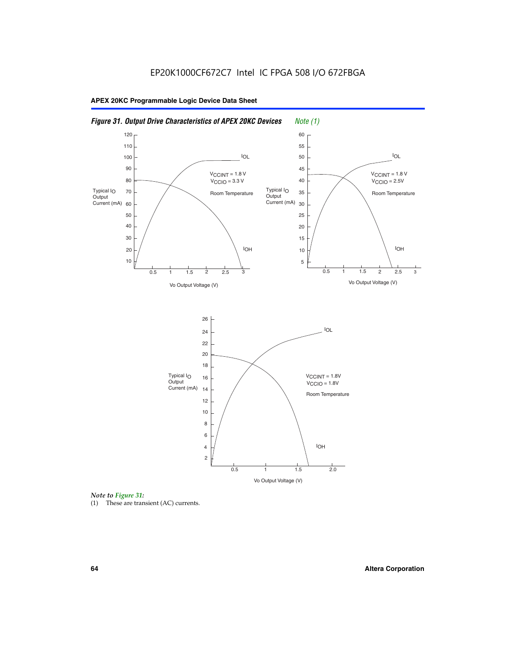



(1) These are transient (AC) currents.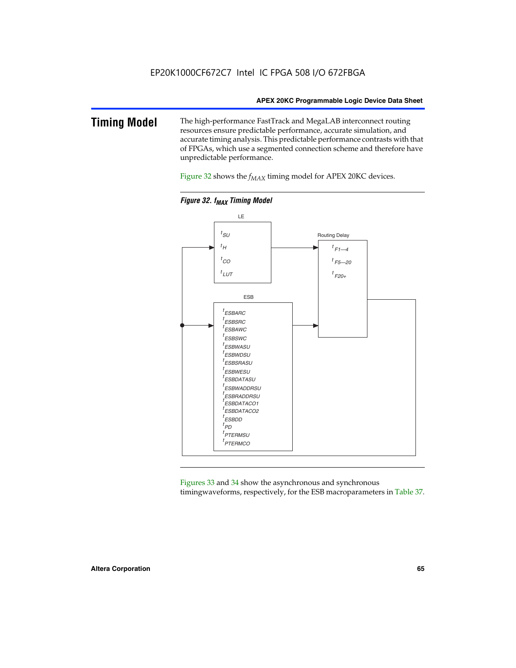#### **Timing Model** The high-performance FastTrack and MegaLAB interconnect routing resources ensure predictable performance, accurate simulation, and accurate timing analysis. This predictable performance contrasts with that of FPGAs, which use a segmented connection scheme and therefore have unpredictable performance.

Figure 32 shows the  $f_{MAX}$  timing model for APEX 20KC devices.



**Figure 32. f<sub>MAX</sub> Timing Model** 

Figures 33 and 34 show the asynchronous and synchronous timingwaveforms, respectively, for the ESB macroparameters in Table 37.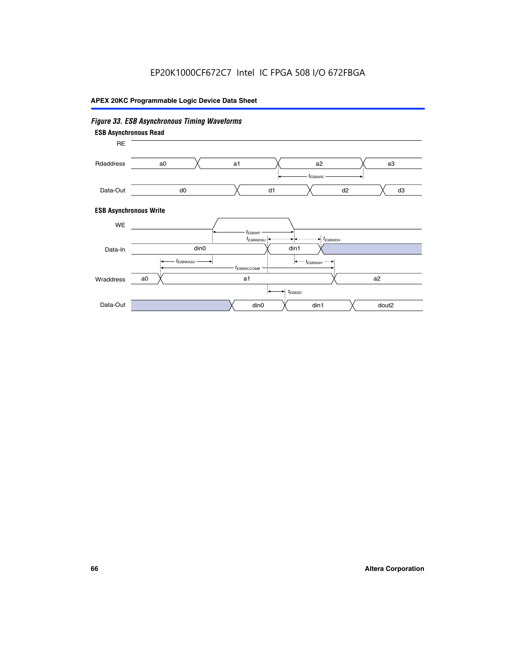# EP20K1000CF672C7 Intel IC FPGA 508 I/O 672FBGA

## **APEX 20KC Programmable Logic Device Data Sheet**

#### *Figure 33. ESB Asynchronous Timing Waveforms* **ESB Asynchronous Write ESB Asynchronous Read** RE a0 d0 d3  $t_{ESBARC}$  a1 *入* a2 *入* a3 d1 d2 Rdaddress Data-Out WE a0  $dim1$   $\times$   $dom2$  $t_{ESBDD}$ a1 a2 din1 din0  $t_{ESBWCCOMB}$  $t_{ESBWASU} \longrightarrow t_{ESBWAH}$  $t_{ESBWDSU}$   $\leftarrow$   $\rightarrow$   $t_{ESBWDH}$  $t_{ESBWP}$ Data-In din0 Wraddress Data-Out

#### **66 Altera Corporation**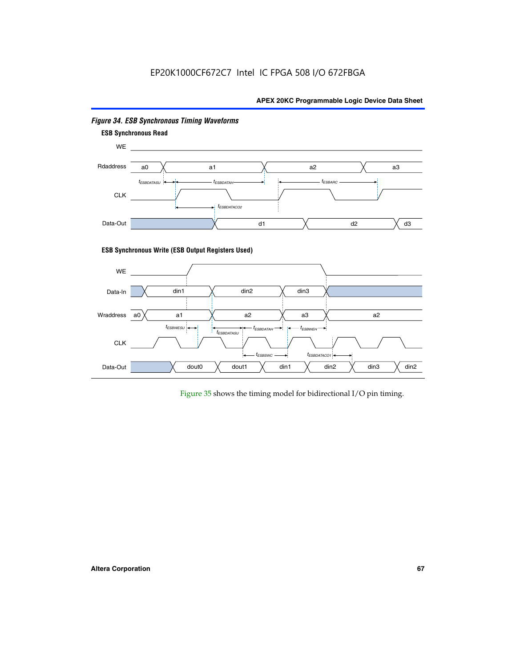# EP20K1000CF672C7 Intel IC FPGA 508 I/O 672FBGA

#### **APEX 20KC Programmable Logic Device Data Sheet**



#### *Figure 34. ESB Synchronous Timing Waveforms*

Figure 35 shows the timing model for bidirectional I/O pin timing.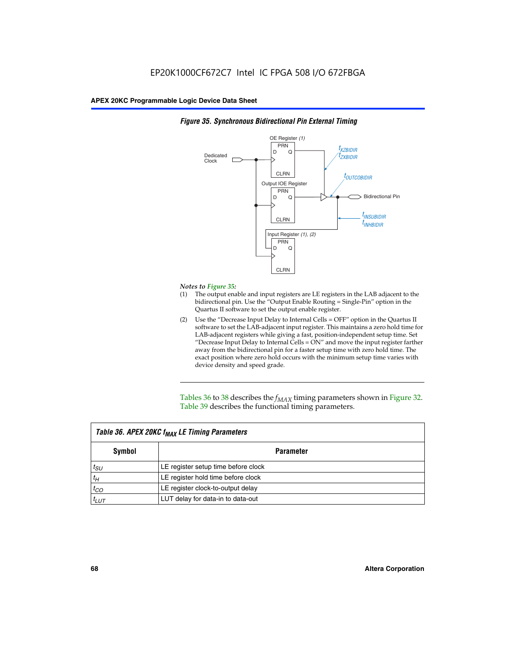

#### *Figure 35. Synchronous Bidirectional Pin External Timing*

#### *Notes to Figure 35:*

- (1) The output enable and input registers are LE registers in the LAB adjacent to the bidirectional pin. Use the "Output Enable Routing = Single-Pin" option in the Quartus II software to set the output enable register.
- (2) Use the "Decrease Input Delay to Internal Cells = OFF" option in the Quartus II software to set the LAB-adjacent input register. This maintains a zero hold time for LAB-adjacent registers while giving a fast, position-independent setup time. Set "Decrease Input Delay to Internal Cells  $= ON''$  and move the input register farther away from the bidirectional pin for a faster setup time with zero hold time. The exact position where zero hold occurs with the minimum setup time varies with device density and speed grade.

Tables 36 to 38 describes the  $f_{MAX}$  timing parameters shown in Figure 32. Table 39 describes the functional timing parameters.

| Table 36. APEX 20KC f <sub>MAX</sub> LE Timing Parameters |                                     |  |  |  |
|-----------------------------------------------------------|-------------------------------------|--|--|--|
| Symbol                                                    | Parameter                           |  |  |  |
| $t_{SU}$                                                  | LE register setup time before clock |  |  |  |
| $t_H$                                                     | LE register hold time before clock  |  |  |  |
| $t_{CO}$                                                  | LE register clock-to-output delay   |  |  |  |
| $t_{LUT}$                                                 | LUT delay for data-in to data-out   |  |  |  |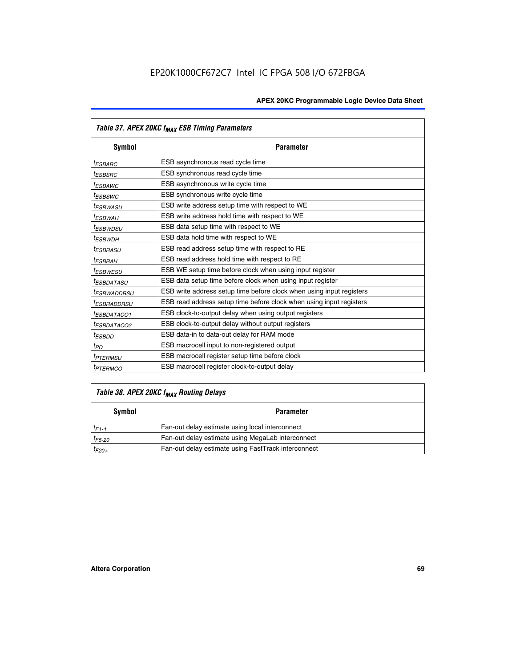|                         | Table 37. APEX 20KC f <sub>MAX</sub> ESB Timing Parameters           |
|-------------------------|----------------------------------------------------------------------|
| Symbol                  | <b>Parameter</b>                                                     |
| <sup>t</sup> ESBARC     | ESB asynchronous read cycle time                                     |
| <sup>t</sup> ESBSRC     | ESB synchronous read cycle time                                      |
| <sup>t</sup> ESBAWC     | ESB asynchronous write cycle time                                    |
| <sup>t</sup> ESBSWC     | ESB synchronous write cycle time                                     |
| <sup>t</sup> ESBWASU    | ESB write address setup time with respect to WE                      |
| <sup>t</sup> ESBWAH     | ESB write address hold time with respect to WE                       |
| <sup>t</sup> ESBWDSU    | ESB data setup time with respect to WE                               |
| t <sub>ESBWDН</sub>     | ESB data hold time with respect to WE                                |
| <sup>t</sup> ESBRASU    | ESB read address setup time with respect to RE                       |
| <sup>t</sup> ESBRAH     | ESB read address hold time with respect to RE                        |
| <sup>I</sup> ESBWESU    | ESB WE setup time before clock when using input register             |
| <sup>t</sup> ESBDATASU  | ESB data setup time before clock when using input register           |
| <sup>t</sup> ESBWADDRSU | ESB write address setup time before clock when using input registers |
| <sup>t</sup> ESBRADDRSU | ESB read address setup time before clock when using input registers  |
| <sup>t</sup> ESBDATACO1 | ESB clock-to-output delay when using output registers                |
| <sup>t</sup> ESBDATACO2 | ESB clock-to-output delay without output registers                   |
| <sup>t</sup> ESBDD      | ESB data-in to data-out delay for RAM mode                           |
| $t_{PD}$                | ESB macrocell input to non-registered output                         |
| <sup>t</sup> PTERMSU    | ESB macrocell register setup time before clock                       |
| <sup>t</sup> PTERMCO    | ESB macrocell register clock-to-output delay                         |

# *Table 38. APEX 20KC fMAX Routing Delays*

| Symbol      | <b>Parameter</b>                                    |
|-------------|-----------------------------------------------------|
| $t_{F1-4}$  | Fan-out delay estimate using local interconnect     |
| $t_{F5-20}$ | Fan-out delay estimate using MegaLab interconnect   |
| $t_{F20+}$  | Fan-out delay estimate using FastTrack interconnect |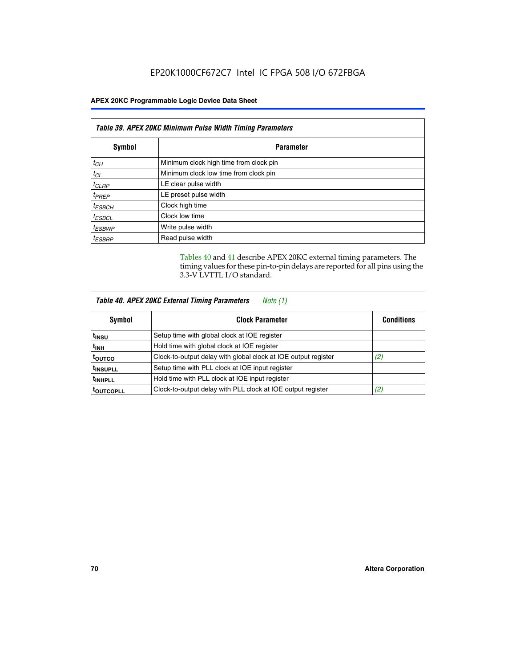| Table 39. APEX 20KC Minimum Pulse Width Timing Parameters |                                        |  |  |
|-----------------------------------------------------------|----------------------------------------|--|--|
| Symbol                                                    | <b>Parameter</b>                       |  |  |
| $t_{CH}$                                                  | Minimum clock high time from clock pin |  |  |
| $t_{CL}$                                                  | Minimum clock low time from clock pin  |  |  |
| $t_{CLRP}$                                                | LE clear pulse width                   |  |  |
| $t_{PREF}$                                                | LE preset pulse width                  |  |  |
| $t_{ESBCH}$                                               | Clock high time                        |  |  |
| $t_{ESBCL}$                                               | Clock low time                         |  |  |
| $t_{ESBWP}$                                               | Write pulse width                      |  |  |
| <sup>t</sup> ESBRP                                        | Read pulse width                       |  |  |

Tables 40 and 41 describe APEX 20KC external timing parameters. The timing values for these pin-to-pin delays are reported for all pins using the 3.3-V LVTTL I/O standard.

| <b>Table 40. APEX 20KC External Timing Parameters</b><br>Note (1) |                                                                |                   |  |  |
|-------------------------------------------------------------------|----------------------------------------------------------------|-------------------|--|--|
| Symbol                                                            | <b>Clock Parameter</b>                                         | <b>Conditions</b> |  |  |
| <sup>t</sup> insu                                                 | Setup time with global clock at IOE register                   |                   |  |  |
| $t_{\text{INH}}$                                                  | Hold time with global clock at IOE register                    |                   |  |  |
| toutco                                                            | Clock-to-output delay with global clock at IOE output register | (2)               |  |  |
| <b>TINSUPLL</b>                                                   | Setup time with PLL clock at IOE input register                |                   |  |  |
| <sup>t</sup> INHPLL                                               | Hold time with PLL clock at IOE input register                 |                   |  |  |
| <b>TOUTCOPLL</b>                                                  | Clock-to-output delay with PLL clock at IOE output register    | (2)               |  |  |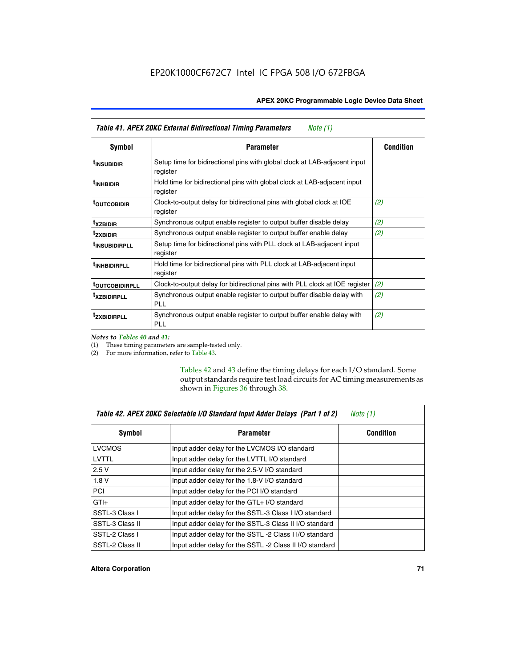| Table 41. APEX 20KC External Bidirectional Timing Parameters<br>Note (1) |                                                                                       |                  |  |
|--------------------------------------------------------------------------|---------------------------------------------------------------------------------------|------------------|--|
| Symbol                                                                   | <b>Parameter</b>                                                                      | <b>Condition</b> |  |
| <sup>t</sup> INSUBIDIR                                                   | Setup time for bidirectional pins with global clock at LAB-adjacent input<br>register |                  |  |
| <sup>t</sup> INHBIDIR                                                    | Hold time for bidirectional pins with global clock at LAB-adjacent input<br>register  |                  |  |
| <sup>t</sup> OUTCOBIDIR                                                  | Clock-to-output delay for bidirectional pins with global clock at IOE<br>register     | (2)              |  |
| <sup>t</sup> xzbidir                                                     | Synchronous output enable register to output buffer disable delay                     | (2)              |  |
| <sup>t</sup> zxbidir                                                     | Synchronous output enable register to output buffer enable delay                      | (2)              |  |
| <sup>t</sup> insubidirpll                                                | Setup time for bidirectional pins with PLL clock at LAB-adjacent input<br>register    |                  |  |
| <sup>t</sup> INHBIDIRPLL                                                 | Hold time for bidirectional pins with PLL clock at LAB-adjacent input<br>register     |                  |  |
| <b><sup>t</sup>OUTCOBIDIRPLL</b>                                         | Clock-to-output delay for bidirectional pins with PLL clock at IOE register           | (2)              |  |
| <sup>T</sup> XZBIDIRPLL                                                  | Synchronous output enable register to output buffer disable delay with<br>PL L        | (2)              |  |
| <sup>T</sup> ZXBIDIRPLL                                                  | Synchronous output enable register to output buffer enable delay with<br><b>PLL</b>   | (2)              |  |

*Notes to Tables 40 and 41:*

Г

(1) These timing parameters are sample-tested only.

(2) For more information, refer to Table 43.

Tables 42 and 43 define the timing delays for each I/O standard. Some output standards require test load circuits for AC timing measurements as shown in Figures 36 through 38.

| Table 42. APEX 20KC Selectable I/O Standard Input Adder Delays (Part 1 of 2)<br>Note $(1)$ |                                                        |                  |  |
|--------------------------------------------------------------------------------------------|--------------------------------------------------------|------------------|--|
| <b>Symbol</b>                                                                              | <b>Parameter</b>                                       | <b>Condition</b> |  |
| <b>LVCMOS</b>                                                                              | Input adder delay for the LVCMOS I/O standard          |                  |  |
| LVTTL                                                                                      | Input adder delay for the LVTTL I/O standard           |                  |  |
| 2.5V                                                                                       | Input adder delay for the 2.5-V I/O standard           |                  |  |
| 1.8V                                                                                       | Input adder delay for the 1.8-V I/O standard           |                  |  |
| <b>PCI</b>                                                                                 | Input adder delay for the PCI I/O standard             |                  |  |
| $GTI +$                                                                                    | Input adder delay for the GTL+ I/O standard            |                  |  |
| SSTL-3 Class I                                                                             | Input adder delay for the SSTL-3 Class I I/O standard  |                  |  |
| SSTL-3 Class II                                                                            | Input adder delay for the SSTL-3 Class II I/O standard |                  |  |
| SSTL-2 Class I                                                                             | Input adder delay for the SSTL -2 Class I I/O standard |                  |  |
| SSTL-2 Class II                                                                            | Input adder delay for the SSTL-2 Class II I/O standard |                  |  |

#### **Altera Corporation 71**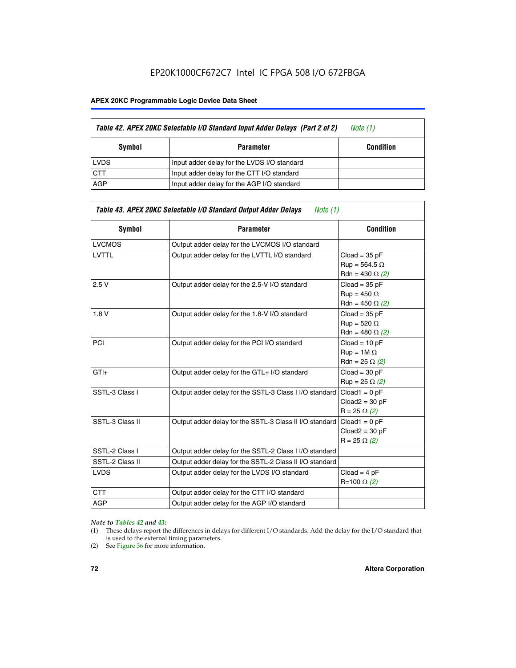# EP20K1000CF672C7 Intel IC FPGA 508 I/O 672FBGA

#### **APEX 20KC Programmable Logic Device Data Sheet**

|             | Table 42. APEX 20KC Selectable I/O Standard Input Adder Delays (Part 2 of 2) | Note (1)         |
|-------------|------------------------------------------------------------------------------|------------------|
| Symbol      | Parameter                                                                    | <b>Condition</b> |
| <b>LVDS</b> | Input adder delay for the LVDS I/O standard                                  |                  |
| <b>CTT</b>  | Input adder delay for the CTT I/O standard                                   |                  |
| AGP         | Input adder delay for the AGP I/O standard                                   |                  |

| Table 43. APEX 20KC Selectable I/O Standard Output Adder Delays<br>Note $(1)$ |                                                         |                                                                   |  |  |  |  |  |  |
|-------------------------------------------------------------------------------|---------------------------------------------------------|-------------------------------------------------------------------|--|--|--|--|--|--|
| Symbol                                                                        | <b>Parameter</b>                                        | <b>Condition</b>                                                  |  |  |  |  |  |  |
| <b>LVCMOS</b>                                                                 | Output adder delay for the LVCMOS I/O standard          |                                                                   |  |  |  |  |  |  |
| <b>LVTTL</b>                                                                  | Output adder delay for the LVTTL I/O standard           | $Cloud = 35 pF$<br>$Run = 564.5 \Omega$<br>Rdn = 430 $\Omega$ (2) |  |  |  |  |  |  |
| 2.5V                                                                          | Output adder delay for the 2.5-V I/O standard           | $Cloud = 35 pF$<br>$Run = 450 \Omega$<br>Rdn = 450 $\Omega$ (2)   |  |  |  |  |  |  |
| 1.8V                                                                          | Output adder delay for the 1.8-V I/O standard           | $Cloud = 35 pF$<br>$Run = 520 \Omega$<br>Rdn = 480 $\Omega$ (2)   |  |  |  |  |  |  |
| PCI                                                                           | Output adder delay for the PCI I/O standard             | $Cloud = 10 pF$<br>$Run = 1M \Omega$<br>Rdn = 25 $\Omega$ (2)     |  |  |  |  |  |  |
| $GTI +$                                                                       | Output adder delay for the GTL+ I/O standard            | $Cloud = 30 pF$<br>$Run = 25 \Omega (2)$                          |  |  |  |  |  |  |
| SSTL-3 Class I                                                                | Output adder delay for the SSTL-3 Class I I/O standard  | $Cloud1 = 0 pF$<br>$Cloud2 = 30 pF$<br>$R = 25 \Omega (2)$        |  |  |  |  |  |  |
| SSTL-3 Class II                                                               | Output adder delay for the SSTL-3 Class II I/O standard | $Cloud1 = 0 pF$<br>$Cloud2 = 30 pF$<br>$R = 25 \Omega (2)$        |  |  |  |  |  |  |
| SSTL-2 Class I                                                                | Output adder delay for the SSTL-2 Class I I/O standard  |                                                                   |  |  |  |  |  |  |
| SSTL-2 Class II                                                               | Output adder delay for the SSTL-2 Class II I/O standard |                                                                   |  |  |  |  |  |  |
| <b>LVDS</b>                                                                   | Output adder delay for the LVDS I/O standard            | $Cloud = 4 pF$<br>R=100 Ω (2)                                     |  |  |  |  |  |  |
| <b>CTT</b>                                                                    | Output adder delay for the CTT I/O standard             |                                                                   |  |  |  |  |  |  |
| <b>AGP</b>                                                                    | Output adder delay for the AGP I/O standard             |                                                                   |  |  |  |  |  |  |

#### *Note to Tables 42 and 43:*

- (1) These delays report the differences in delays for different I/O standards. Add the delay for the I/O standard that is used to the external timing parameters.
- (2) See Figure 36 for more information.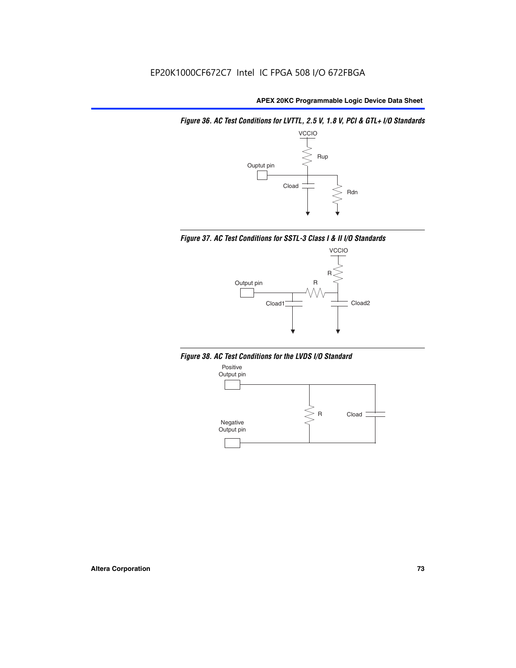*Figure 36. AC Test Conditions for LVTTL, 2.5 V, 1.8 V, PCI & GTL+ I/O Standards*







*Figure 38. AC Test Conditions for the LVDS I/O Standard*

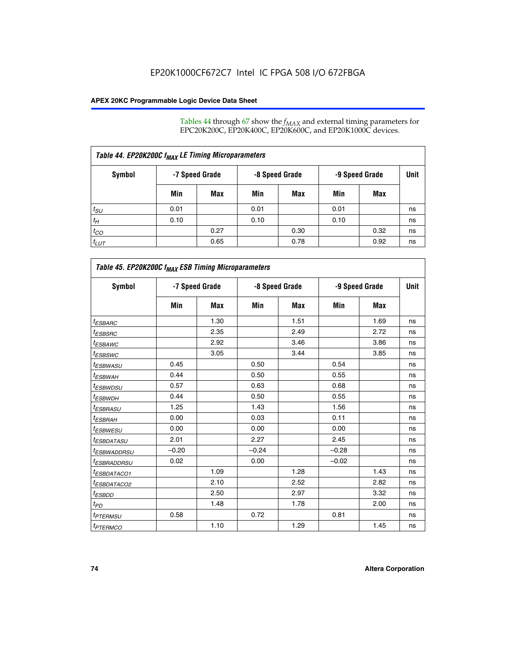Tables 44 through 67 show the  $f_{MAX}$  and external timing parameters for EPC20K200C, EP20K400C, EP20K600C, and EP20K1000C devices.

| Table 44. EP20K200C f <sub>MAX</sub> LE Timing Microparameters |                |      |      |                |      |                |             |  |  |  |
|----------------------------------------------------------------|----------------|------|------|----------------|------|----------------|-------------|--|--|--|
| Symbol                                                         | -7 Speed Grade |      |      | -8 Speed Grade |      | -9 Speed Grade | <b>Unit</b> |  |  |  |
|                                                                | Min            | Max  | Min  | Max            | Min  | Max            |             |  |  |  |
| $t_{\scriptstyle SU}$                                          | 0.01           |      | 0.01 |                | 0.01 |                | ns          |  |  |  |
| $t_H$                                                          | 0.10           |      | 0.10 |                | 0.10 |                | ns          |  |  |  |
| $t_{CO}$                                                       |                | 0.27 |      | 0.30           |      | 0.32           | ns          |  |  |  |
| $t_{LUT}$                                                      |                | 0.65 |      | 0.78           |      | 0.92           | ns          |  |  |  |

| Table 45. EP20K200C f <sub>MAX</sub> ESB Timing Microparameters |         |                |         |                |         |                |    |  |  |  |
|-----------------------------------------------------------------|---------|----------------|---------|----------------|---------|----------------|----|--|--|--|
| <b>Symbol</b>                                                   |         | -7 Speed Grade |         | -8 Speed Grade |         | -9 Speed Grade |    |  |  |  |
|                                                                 | Min     | Max            | Min     | Max            | Min     | Max            |    |  |  |  |
| <sup>t</sup> ESBARC                                             |         | 1.30           |         | 1.51           |         | 1.69           | ns |  |  |  |
| <sup>t</sup> ESBSRC                                             |         | 2.35           |         | 2.49           |         | 2.72           | ns |  |  |  |
| t <sub>ESBAWC</sub>                                             |         | 2.92           |         | 3.46           |         | 3.86           | ns |  |  |  |
| t <sub>ESBSWC</sub>                                             |         | 3.05           |         | 3.44           |         | 3.85           | ns |  |  |  |
| t <sub>ESBWASU</sub>                                            | 0.45    |                | 0.50    |                | 0.54    |                | ns |  |  |  |
| <sup>t</sup> ESBW <u>AH</u>                                     | 0.44    |                | 0.50    |                | 0.55    |                | ns |  |  |  |
| <sup>t</sup> ESBWDSU                                            | 0.57    |                | 0.63    |                | 0.68    |                | ns |  |  |  |
| <sup>t</sup> ESBWDH                                             | 0.44    |                | 0.50    |                | 0.55    |                | ns |  |  |  |
| t <sub>ESBRASU</sub>                                            | 1.25    |                | 1.43    |                | 1.56    |                | ns |  |  |  |
| <sup>t</sup> ESBRAH                                             | 0.00    |                | 0.03    |                | 0.11    |                | ns |  |  |  |
| <sup>t</sup> ESBWESU                                            | 0.00    |                | 0.00    |                | 0.00    |                | ns |  |  |  |
| <sup>t</sup> ES <u>BDATASU</u>                                  | 2.01    |                | 2.27    |                | 2.45    |                | ns |  |  |  |
| <sup>t</sup> ESBWADDRSU                                         | $-0.20$ |                | $-0.24$ |                | $-0.28$ |                | ns |  |  |  |
| <sup>t</sup> ESBRADDRSU                                         | 0.02    |                | 0.00    |                | $-0.02$ |                | ns |  |  |  |
| <sup>t</sup> ESBDA <u>TACO1</u>                                 |         | 1.09           |         | 1.28           |         | 1.43           | ns |  |  |  |
| <sup>t</sup> ESBDATACO2                                         |         | 2.10           |         | 2.52           |         | 2.82           | ns |  |  |  |
| <sup>t</sup> ESBDD                                              |         | 2.50           |         | 2.97           |         | 3.32           | ns |  |  |  |
| $t_{PD}$                                                        |         | 1.48           |         | 1.78           |         | 2.00           | ns |  |  |  |
| <sup>t</sup> PTERMSU                                            | 0.58    |                | 0.72    |                | 0.81    |                | ns |  |  |  |
| t <sub>PTERMCO</sub>                                            |         | 1.10           |         | 1.29           |         | 1.45           | ns |  |  |  |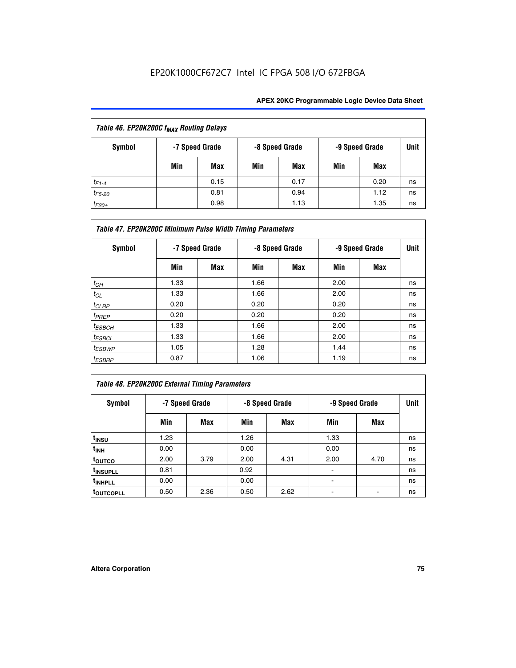| Table 46. EP20K200C f <sub>MAX</sub> Routing Delays |     |                |     |                |                |      |             |  |  |
|-----------------------------------------------------|-----|----------------|-----|----------------|----------------|------|-------------|--|--|
| <b>Symbol</b>                                       |     | -7 Speed Grade |     | -8 Speed Grade | -9 Speed Grade |      | <b>Unit</b> |  |  |
|                                                     | Min | Max            | Min | Max            | Min            | Max  |             |  |  |
| $t_{F1-4}$                                          |     | 0.15           |     | 0.17           |                | 0.20 | ns          |  |  |
| $t_{F5-20}$                                         |     | 0.81           |     | 0.94           |                | 1.12 | ns          |  |  |
| $t_{F20+}$                                          |     | 0.98           |     | 1.13           |                | 1.35 | ns          |  |  |

| Table 47. EP20K200C Minimum Pulse Width Timing Parameters |                |     |                |     |      |                |      |  |  |  |
|-----------------------------------------------------------|----------------|-----|----------------|-----|------|----------------|------|--|--|--|
| Symbol                                                    | -7 Speed Grade |     | -8 Speed Grade |     |      | -9 Speed Grade | Unit |  |  |  |
|                                                           | Min            | Max | Min            | Max | Min  | Max            |      |  |  |  |
| $t_{CH}$                                                  | 1.33           |     | 1.66           |     | 2.00 |                | ns   |  |  |  |
| $t_{CL}$                                                  | 1.33           |     | 1.66           |     | 2.00 |                | ns   |  |  |  |
| $t_{CLRP}$                                                | 0.20           |     | 0.20           |     | 0.20 |                | ns   |  |  |  |
| $t_{PREF}$                                                | 0.20           |     | 0.20           |     | 0.20 |                | ns   |  |  |  |
| $t_{ESBCH}$                                               | 1.33           |     | 1.66           |     | 2.00 |                | ns   |  |  |  |
| $t_{ESBCL}$                                               | 1.33           |     | 1.66           |     | 2.00 |                | ns   |  |  |  |
| $t_{ESBWP}$                                               | 1.05           |     | 1.28           |     | 1.44 |                | ns   |  |  |  |
| <sup>t</sup> ESBRP                                        | 0.87           |     | 1.06           |     | 1.19 |                | ns   |  |  |  |

# *Table 48. EP20K200C External Timing Parameters*

| Symbol                |      | -7 Speed Grade |      | -8 Speed Grade | -9 Speed Grade | <b>Unit</b> |    |
|-----------------------|------|----------------|------|----------------|----------------|-------------|----|
|                       | Min  | Max            | Min  | Max            | Min            | Max         |    |
| t <sub>INSU</sub>     | 1.23 |                | 1.26 |                | 1.33           |             | ns |
| t <sub>INH</sub>      | 0.00 |                | 0.00 |                | 0.00           |             | ns |
| toutco                | 2.00 | 3.79           | 2.00 | 4.31           | 2.00           | 4.70        | ns |
| t <sub>INSUPLL</sub>  | 0.81 |                | 0.92 |                | ٠              |             | ns |
| t <sub>INHPLL</sub>   | 0.00 |                | 0.00 |                |                |             | ns |
| t <sub>outcopll</sub> | 0.50 | 2.36           | 0.50 | 2.62           |                |             | ns |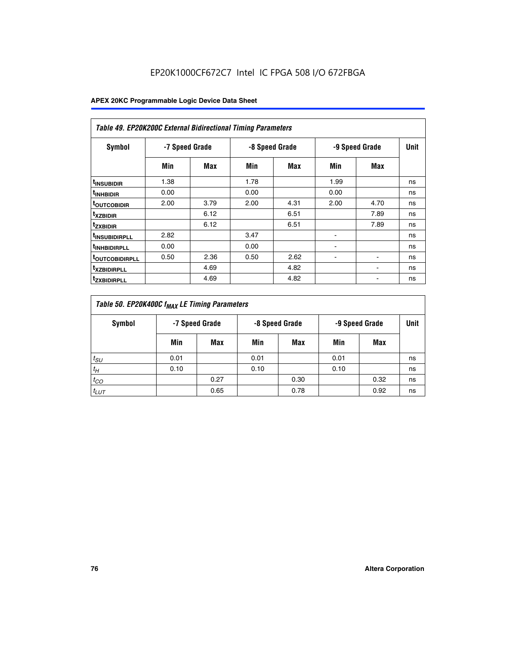| <b>Table 49. EP20K200C External Bidirectional Timing Parameters</b> |                |      |      |                |                |             |    |  |  |  |
|---------------------------------------------------------------------|----------------|------|------|----------------|----------------|-------------|----|--|--|--|
| <b>Symbol</b>                                                       | -7 Speed Grade |      |      | -8 Speed Grade | -9 Speed Grade | <b>Unit</b> |    |  |  |  |
|                                                                     | Min            | Max  | Min  | Max            | Min            | Max         |    |  |  |  |
| <sup>t</sup> INSUBIDIR                                              | 1.38           |      | 1.78 |                | 1.99           |             | ns |  |  |  |
| <sup>t</sup> inhbidir                                               | 0.00           |      | 0.00 |                | 0.00           |             | ns |  |  |  |
| <b><sup>t</sup>OUTCOBIDIR</b>                                       | 2.00           | 3.79 | 2.00 | 4.31           | 2.00           | 4.70        | ns |  |  |  |
| <sup>T</sup> XZBIDIR                                                |                | 6.12 |      | 6.51           |                | 7.89        | ns |  |  |  |
| <sup>t</sup> zxbidir                                                |                | 6.12 |      | 6.51           |                | 7.89        | ns |  |  |  |
| <sup>T</sup> INSUBIDIRPLL                                           | 2.82           |      | 3.47 |                | ٠              |             | ns |  |  |  |
| <sup>t</sup> INHBIDIRPLL                                            | 0.00           |      | 0.00 |                |                |             | ns |  |  |  |
| <sup>T</sup> OUTCOBIDIRPLL                                          | 0.50           | 2.36 | 0.50 | 2.62           | ۰              |             | ns |  |  |  |
| <sup>t</sup> xzbidirpll                                             |                | 4.69 |      | 4.82           |                |             | ns |  |  |  |
| <sup>T</sup> ZXBIDIRPLL                                             |                | 4.69 |      | 4.82           |                |             | ns |  |  |  |

| Table 50. EP20K400C f <sub>MAX</sub> LE Timing Parameters |                |      |      |                |      |                |    |  |  |
|-----------------------------------------------------------|----------------|------|------|----------------|------|----------------|----|--|--|
| Symbol                                                    | -7 Speed Grade |      |      | -8 Speed Grade |      | -9 Speed Grade |    |  |  |
|                                                           | Min            | Max  | Min  | Max            | Min  | Max            |    |  |  |
| $t_{SU}$                                                  | 0.01           |      | 0.01 |                | 0.01 |                | ns |  |  |
| $t_H$                                                     | 0.10           |      | 0.10 |                | 0.10 |                | ns |  |  |
| $t_{CO}$                                                  |                | 0.27 |      | 0.30           |      | 0.32           | ns |  |  |
| $t_{LUT}$                                                 |                | 0.65 |      | 0.78           |      | 0.92           | ns |  |  |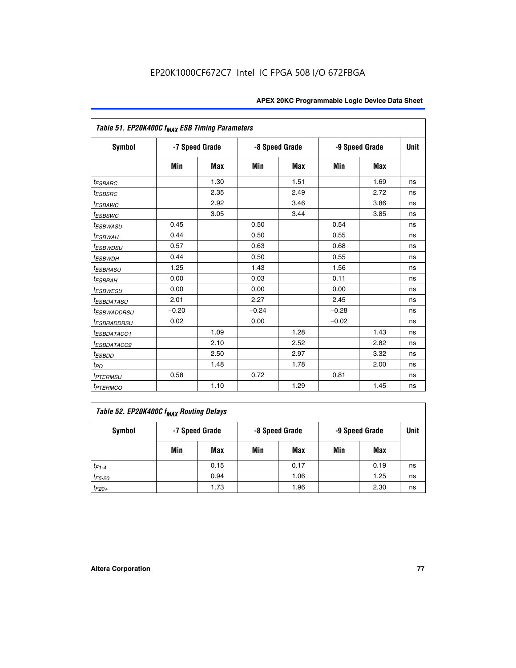| Table 51. EP20K400C f <sub>MAX</sub> ESB Timing Parameters |                |            |         |                |         |                |    |  |  |
|------------------------------------------------------------|----------------|------------|---------|----------------|---------|----------------|----|--|--|
| <b>Symbol</b>                                              | -7 Speed Grade |            |         | -8 Speed Grade |         | -9 Speed Grade |    |  |  |
|                                                            | Min            | <b>Max</b> | Min     | <b>Max</b>     | Min     | Max            |    |  |  |
| $t_{ESBARC}$                                               |                | 1.30       |         | 1.51           |         | 1.69           | ns |  |  |
| $t_{ESBSRC}$                                               |                | 2.35       |         | 2.49           |         | 2.72           | ns |  |  |
| <sup>t</sup> ESBAWC                                        |                | 2.92       |         | 3.46           |         | 3.86           | ns |  |  |
| <sup>t</sup> ESBSWC                                        |                | 3.05       |         | 3.44           |         | 3.85           | ns |  |  |
| <i>t<sub>ESBWASU</sub></i>                                 | 0.45           |            | 0.50    |                | 0.54    |                | ns |  |  |
| <sup>t</sup> ESBWAH                                        | 0.44           |            | 0.50    |                | 0.55    |                | ns |  |  |
| <i>t<sub>ESBWDSU</sub></i>                                 | 0.57           |            | 0.63    |                | 0.68    |                | ns |  |  |
| <sup>t</sup> ESBWDH                                        | 0.44           |            | 0.50    |                | 0.55    |                | ns |  |  |
| <i><b>ESBRASU</b></i>                                      | 1.25           |            | 1.43    |                | 1.56    |                | ns |  |  |
| <sup>t</sup> ESBRAH                                        | 0.00           |            | 0.03    |                | 0.11    |                | ns |  |  |
| <i>t<sub>ESBWESU</sub></i>                                 | 0.00           |            | 0.00    |                | 0.00    |                | ns |  |  |
| <i><b>ESBDATASU</b></i>                                    | 2.01           |            | 2.27    |                | 2.45    |                | ns |  |  |
| <sup>t</sup> ESBWADDRSU                                    | $-0.20$        |            | $-0.24$ |                | $-0.28$ |                | ns |  |  |
| <sup>t</sup> ESBRADDRSU                                    | 0.02           |            | 0.00    |                | $-0.02$ |                | ns |  |  |
| <sup>I</sup> ESBDATACO1                                    |                | 1.09       |         | 1.28           |         | 1.43           | ns |  |  |
| <sup>I</sup> ESBDATACO2                                    |                | 2.10       |         | 2.52           |         | 2.82           | ns |  |  |
| <sup>t</sup> ESBDD                                         |                | 2.50       |         | 2.97           |         | 3.32           | ns |  |  |
| t <sub>PD</sub>                                            |                | 1.48       |         | 1.78           |         | 2.00           | ns |  |  |
| <i>t<sub>PTERMSU</sub></i>                                 | 0.58           |            | 0.72    |                | 0.81    |                | ns |  |  |
| <b>t</b> <sub>PTERMCO</sub>                                |                | 1.10       |         | 1.29           |         | 1.45           | ns |  |  |

| Table 52. EP20K400C f <sub>MAX</sub> Routing Delays |     |                |     |                |                |      |      |  |  |
|-----------------------------------------------------|-----|----------------|-----|----------------|----------------|------|------|--|--|
| <b>Symbol</b>                                       |     | -7 Speed Grade |     | -8 Speed Grade | -9 Speed Grade |      | Unit |  |  |
|                                                     | Min | Max            | Min | Max            | Min            | Max  |      |  |  |
| $t_{F1-4}$                                          |     | 0.15           |     | 0.17           |                | 0.19 | ns   |  |  |
| $t_{F5-20}$                                         |     | 0.94           |     | 1.06           |                | 1.25 | ns   |  |  |
| $t_{F20+}$                                          |     | 1.73           |     | 1.96           |                | 2.30 | ns   |  |  |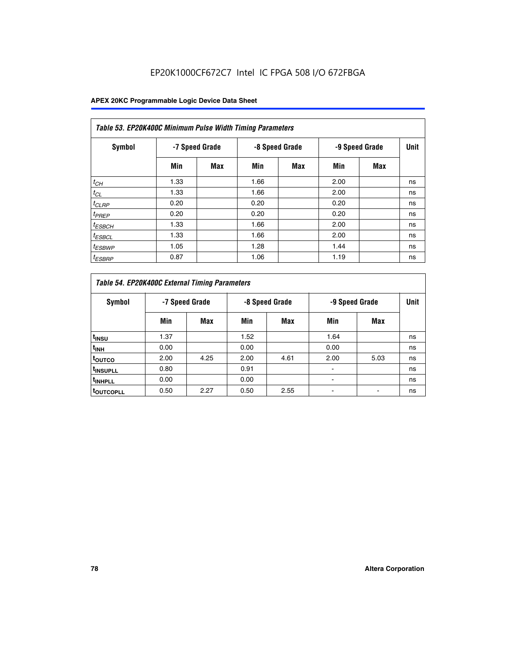# EP20K1000CF672C7 Intel IC FPGA 508 I/O 672FBGA

| Table 53. EP20K400C Minimum Pulse Width Timing Parameters |      |                |      |                |      |                |      |  |  |  |
|-----------------------------------------------------------|------|----------------|------|----------------|------|----------------|------|--|--|--|
| Symbol                                                    |      | -7 Speed Grade |      | -8 Speed Grade |      | -9 Speed Grade | Unit |  |  |  |
|                                                           | Min  | Max            | Min  | <b>Max</b>     | Min  | <b>Max</b>     |      |  |  |  |
| $t_{CH}$                                                  | 1.33 |                | 1.66 |                | 2.00 |                | ns   |  |  |  |
| $t_{CL}$                                                  | 1.33 |                | 1.66 |                | 2.00 |                | ns   |  |  |  |
| $t_{CLRP}$                                                | 0.20 |                | 0.20 |                | 0.20 |                | ns   |  |  |  |
| $t_{PREF}$                                                | 0.20 |                | 0.20 |                | 0.20 |                | ns   |  |  |  |
| <sup>t</sup> ESBCH                                        | 1.33 |                | 1.66 |                | 2.00 |                | ns   |  |  |  |
| <sup>t</sup> ESBCL                                        | 1.33 |                | 1.66 |                | 2.00 |                | ns   |  |  |  |
| $t_{ESBWP}$                                               | 1.05 |                | 1.28 |                | 1.44 |                | ns   |  |  |  |
| <sup>t</sup> ESBRP                                        | 0.87 |                | 1.06 |                | 1.19 |                | ns   |  |  |  |

|                      | Table 54. EP20K400C External Timing Parameters |                |      |                |      |                |    |  |  |  |  |  |  |
|----------------------|------------------------------------------------|----------------|------|----------------|------|----------------|----|--|--|--|--|--|--|
| <b>Symbol</b>        |                                                | -7 Speed Grade |      | -8 Speed Grade |      | -9 Speed Grade |    |  |  |  |  |  |  |
|                      | Min                                            | Max            | Min  | Max            | Min  | Max            |    |  |  |  |  |  |  |
| t <sub>INSU</sub>    | 1.37                                           |                | 1.52 |                | 1.64 |                | ns |  |  |  |  |  |  |
| $t_{\rm INH}$        | 0.00                                           |                | 0.00 |                | 0.00 |                | ns |  |  |  |  |  |  |
| <sup>t</sup> outco   | 2.00                                           | 4.25           | 2.00 | 4.61           | 2.00 | 5.03           | ns |  |  |  |  |  |  |
| <sup>t</sup> INSUPLL | 0.80                                           |                | 0.91 |                |      |                | ns |  |  |  |  |  |  |
| <sup>t</sup> INHPLL  | 0.00                                           |                | 0.00 |                |      |                | ns |  |  |  |  |  |  |
| <b>LOUTCOPLL</b>     | 0.50                                           | 2.27           | 0.50 | 2.55           |      |                | ns |  |  |  |  |  |  |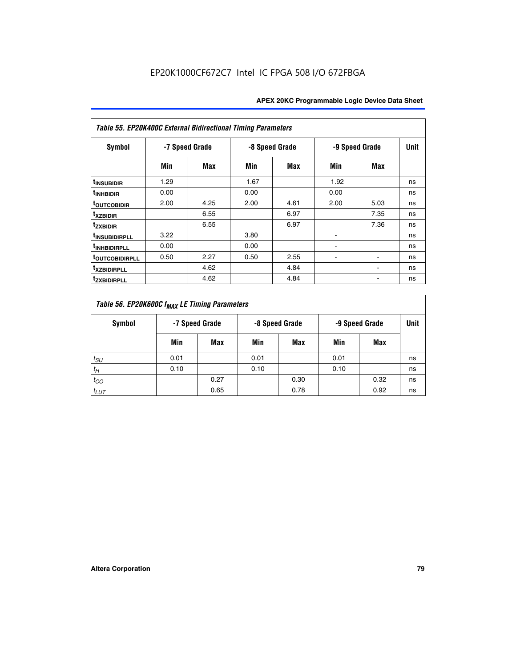| Table 55. EP20K400C External Bidirectional Timing Parameters |                |      |      |                |                          |                |    |  |  |  |  |  |
|--------------------------------------------------------------|----------------|------|------|----------------|--------------------------|----------------|----|--|--|--|--|--|
| <b>Symbol</b>                                                | -7 Speed Grade |      |      | -8 Speed Grade |                          | -9 Speed Grade |    |  |  |  |  |  |
|                                                              | Min            | Max  | Min  | Max            | Min                      | Max            |    |  |  |  |  |  |
| t <sub>INSUBIDIR</sub>                                       | 1.29           |      | 1.67 |                | 1.92                     |                | ns |  |  |  |  |  |
| <sup>t</sup> INHBIDIR                                        | 0.00           |      | 0.00 |                | 0.00                     |                | ns |  |  |  |  |  |
| <b>TOUTCOBIDIR</b>                                           | 2.00           | 4.25 | 2.00 | 4.61           | 2.00                     | 5.03           | ns |  |  |  |  |  |
| <sup>t</sup> xzbidir                                         |                | 6.55 |      | 6.97           |                          | 7.35           | ns |  |  |  |  |  |
| <sup>t</sup> zxbidir                                         |                | 6.55 |      | 6.97           |                          | 7.36           | ns |  |  |  |  |  |
| <sup>t</sup> INSUBIDIRPLL                                    | 3.22           |      | 3.80 |                | ۰                        |                | ns |  |  |  |  |  |
| <sup>t</sup> INHBIDIRPLL                                     | 0.00           |      | 0.00 |                |                          |                | ns |  |  |  |  |  |
| <b>TOUTCOBIDIRPLL</b>                                        | 0.50           | 2.27 | 0.50 | 2.55           | $\overline{\phantom{a}}$ | $\blacksquare$ | ns |  |  |  |  |  |
| <sup>t</sup> xzbidirpll                                      |                | 4.62 |      | 4.84           |                          |                | ns |  |  |  |  |  |
| <sup>t</sup> zxbidirpll                                      |                | 4.62 |      | 4.84           |                          |                | ns |  |  |  |  |  |

| Table 56. EP20K600C f <sub>MAX</sub> LE Timing Parameters |                                                    |      |      |      |      |      |    |  |  |  |  |
|-----------------------------------------------------------|----------------------------------------------------|------|------|------|------|------|----|--|--|--|--|
| Symbol                                                    | -7 Speed Grade<br>-8 Speed Grade<br>-9 Speed Grade |      |      |      |      | Unit |    |  |  |  |  |
|                                                           | Min                                                | Max  | Min  | Max  | Min  | Max  |    |  |  |  |  |
| $t_{SU}$                                                  | 0.01                                               |      | 0.01 |      | 0.01 |      | ns |  |  |  |  |
| $t_H$                                                     | 0.10                                               |      | 0.10 |      | 0.10 |      | ns |  |  |  |  |
| $t_{CO}$                                                  |                                                    | 0.27 |      | 0.30 |      | 0.32 | ns |  |  |  |  |
| $t_{LUT}$                                                 |                                                    | 0.65 |      | 0.78 |      | 0.92 | ns |  |  |  |  |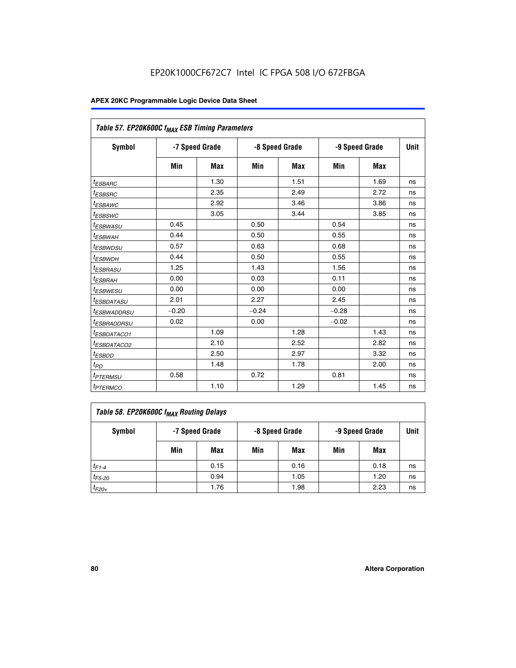| Table 57. EP20K600C f <sub>MAX</sub> ESB Timing Parameters |                |            |         |                |         |                |    |  |
|------------------------------------------------------------|----------------|------------|---------|----------------|---------|----------------|----|--|
| Symbol                                                     | -7 Speed Grade |            |         | -8 Speed Grade |         | -9 Speed Grade |    |  |
|                                                            | Min            | <b>Max</b> | Min     | Max            | Min     | Max            |    |  |
| <sup>t</sup> ESBARC                                        |                | 1.30       |         | 1.51           |         | 1.69           | ns |  |
| <i>t<sub>ESBSRC</sub></i>                                  |                | 2.35       |         | 2.49           |         | 2.72           | ns |  |
| <sup>t</sup> ESBAWC                                        |                | 2.92       |         | 3.46           |         | 3.86           | ns |  |
| <sup>t</sup> ESBSWC                                        |                | 3.05       |         | 3.44           |         | 3.85           | ns |  |
| <sup>t</sup> ESBWASU                                       | 0.45           |            | 0.50    |                | 0.54    |                | ns |  |
| <sup>t</sup> ESBWAH                                        | 0.44           |            | 0.50    |                | 0.55    |                | ns |  |
| <sup>t</sup> ESBWDSU                                       | 0.57           |            | 0.63    |                | 0.68    |                | ns |  |
| <sup>t</sup> ESBWDH                                        | 0.44           |            | 0.50    |                | 0.55    |                | ns |  |
| <i>ESBRASU</i>                                             | 1.25           |            | 1.43    |                | 1.56    |                | ns |  |
| <sup>t</sup> ESBRAH                                        | 0.00           |            | 0.03    |                | 0.11    |                | ns |  |
| <sup>t</sup> ESBWESU                                       | 0.00           |            | 0.00    |                | 0.00    |                | ns |  |
| <sup>t</sup> ESBDATASU                                     | 2.01           |            | 2.27    |                | 2.45    |                | ns |  |
| <sup>I</sup> ESBWADDRSU                                    | $-0.20$        |            | $-0.24$ |                | $-0.28$ |                | ns |  |
| <sup>t</sup> ESBRADDRSU                                    | 0.02           |            | 0.00    |                | $-0.02$ |                | ns |  |
| <sup>t</sup> ESBDATACO1                                    |                | 1.09       |         | 1.28           |         | 1.43           | ns |  |
| <sup>t</sup> ESBDATACO2                                    |                | 2.10       |         | 2.52           |         | 2.82           | ns |  |
| <sup>t</sup> ESBDD                                         |                | 2.50       |         | 2.97           |         | 3.32           | ns |  |
| $t_{\scriptsize{PD}}$                                      |                | 1.48       |         | 1.78           |         | 2.00           | ns |  |
| <sup>t</sup> PTERMSU                                       | 0.58           |            | 0.72    |                | 0.81    |                | ns |  |
| <i>t<sub>PTERMCO</sub></i>                                 |                | 1.10       |         | 1.29           |         | 1.45           | ns |  |

| Table 58. EP20K600C f <sub>MAX</sub> Routing Delays |                |      |                |      |                |      |      |  |  |  |
|-----------------------------------------------------|----------------|------|----------------|------|----------------|------|------|--|--|--|
| Symbol                                              | -7 Speed Grade |      | -8 Speed Grade |      | -9 Speed Grade |      | Unit |  |  |  |
|                                                     | Min            | Max  | Min            | Max  | Min            | Max  |      |  |  |  |
| $t_{F1-4}$                                          |                | 0.15 |                | 0.16 |                | 0.18 | ns   |  |  |  |
| $t_{F5-20}$                                         |                | 0.94 |                | 1.05 |                | 1.20 | ns   |  |  |  |
| $t_{F20+}$                                          |                | 1.76 |                | 1.98 |                | 2.23 | ns   |  |  |  |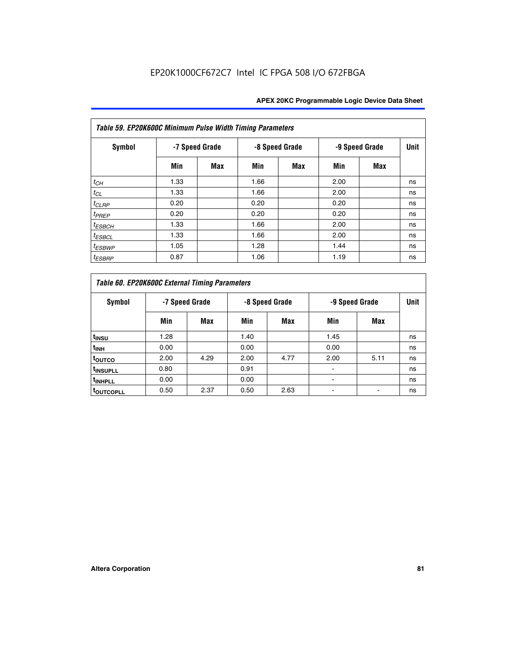| Table 59. EP20K600C Minimum Pulse Width Timing Parameters |                |     |                |            |                |     |             |  |  |  |  |
|-----------------------------------------------------------|----------------|-----|----------------|------------|----------------|-----|-------------|--|--|--|--|
| Symbol                                                    | -7 Speed Grade |     | -8 Speed Grade |            | -9 Speed Grade |     | <b>Unit</b> |  |  |  |  |
|                                                           | Min            | Max | Min            | <b>Max</b> | Min            | Max |             |  |  |  |  |
| $t_{CH}$                                                  | 1.33           |     | 1.66           |            | 2.00           |     | ns          |  |  |  |  |
| $t_{CL}$                                                  | 1.33           |     | 1.66           |            | 2.00           |     | ns          |  |  |  |  |
| $t_{CLRP}$                                                | 0.20           |     | 0.20           |            | 0.20           |     | ns          |  |  |  |  |
| $t_{PREF}$                                                | 0.20           |     | 0.20           |            | 0.20           |     | ns          |  |  |  |  |
| $t_{ESBCH}$                                               | 1.33           |     | 1.66           |            | 2.00           |     | ns          |  |  |  |  |
| $t_{ESBCL}$                                               | 1.33           |     | 1.66           |            | 2.00           |     | ns          |  |  |  |  |
| <sup>t</sup> ESBWP                                        | 1.05           |     | 1.28           |            | 1.44           |     | ns          |  |  |  |  |
| <sup>t</sup> ESBRP                                        | 0.87           |     | 1.06           |            | 1.19           |     | ns          |  |  |  |  |

|                      | Table 60. EP20K600C External Timing Parameters |                |      |                |      |                |    |  |  |  |  |  |  |
|----------------------|------------------------------------------------|----------------|------|----------------|------|----------------|----|--|--|--|--|--|--|
| Symbol               |                                                | -7 Speed Grade |      | -8 Speed Grade |      | -9 Speed Grade |    |  |  |  |  |  |  |
|                      | Min                                            | Max            | Min  | Max            | Min  | Max            |    |  |  |  |  |  |  |
| t <sub>INSU</sub>    | 1.28                                           |                | 1.40 |                | 1.45 |                | ns |  |  |  |  |  |  |
| <sup>t</sup> INH     | 0.00                                           |                | 0.00 |                | 0.00 |                | ns |  |  |  |  |  |  |
| toutco               | 2.00                                           | 4.29           | 2.00 | 4.77           | 2.00 | 5.11           | ns |  |  |  |  |  |  |
| <sup>t</sup> INSUPLL | 0.80                                           |                | 0.91 |                |      |                | ns |  |  |  |  |  |  |
| <sup>t</sup> INHPLL  | 0.00                                           |                | 0.00 |                |      |                | ns |  |  |  |  |  |  |
| <b>TOUTCOPLL</b>     | 0.50                                           | 2.37           | 0.50 | 2.63           |      |                | ns |  |  |  |  |  |  |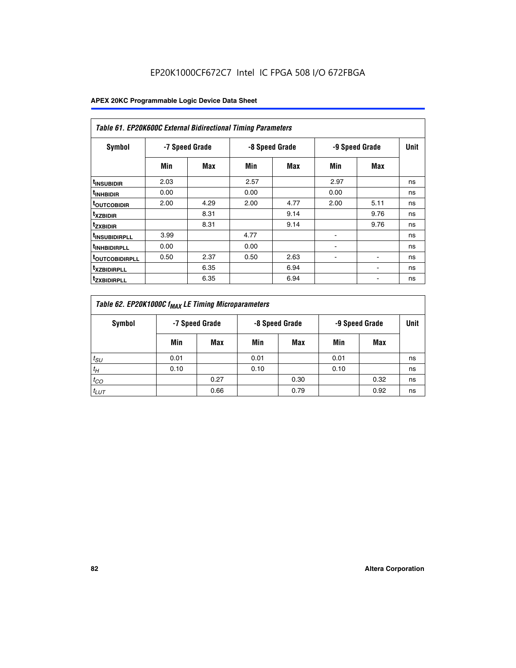|                               | <b>Table 61. EP20K600C External Bidirectional Timing Parameters</b> |      |      |                |      |                |      |  |  |  |  |  |  |
|-------------------------------|---------------------------------------------------------------------|------|------|----------------|------|----------------|------|--|--|--|--|--|--|
| <b>Symbol</b>                 | -7 Speed Grade                                                      |      |      | -8 Speed Grade |      | -9 Speed Grade | Unit |  |  |  |  |  |  |
|                               | Min                                                                 | Max  | Min  | Max            | Min  | Max            |      |  |  |  |  |  |  |
| <sup>t</sup> INSUBIDIR        | 2.03                                                                |      | 2.57 |                | 2.97 |                | ns   |  |  |  |  |  |  |
| <sup>t</sup> INHBIDIR         | 0.00                                                                |      | 0.00 |                | 0.00 |                | ns   |  |  |  |  |  |  |
| <b><sup>t</sup>OUTCOBIDIR</b> | 2.00                                                                | 4.29 | 2.00 | 4.77           | 2.00 | 5.11           | ns   |  |  |  |  |  |  |
| <sup>t</sup> xzbidir          |                                                                     | 8.31 |      | 9.14           |      | 9.76           | ns   |  |  |  |  |  |  |
| <sup>t</sup> zxbidir          |                                                                     | 8.31 |      | 9.14           |      | 9.76           | ns   |  |  |  |  |  |  |
| <sup>t</sup> insubidirpll     | 3.99                                                                |      | 4.77 |                |      |                | ns   |  |  |  |  |  |  |
| <sup>t</sup> INHBIDIRPLL      | 0.00                                                                |      | 0.00 |                |      |                | ns   |  |  |  |  |  |  |
| <sup>T</sup> OUTCOBIDIRPLL    | 0.50                                                                | 2.37 | 0.50 | 2.63           | ۰    | ۰              | ns   |  |  |  |  |  |  |
| <sup>t</sup> xzbidirpll       |                                                                     | 6.35 |      | 6.94           |      |                | ns   |  |  |  |  |  |  |
| <sup>I</sup> ZXBIDIRPLL       |                                                                     | 6.35 |      | 6.94           |      |                | ns   |  |  |  |  |  |  |

| Table 62. EP20K1000C f <sub>MAX</sub> LE Timing Microparameters |                                                    |      |      |      |      |      |             |  |  |  |
|-----------------------------------------------------------------|----------------------------------------------------|------|------|------|------|------|-------------|--|--|--|
| Symbol                                                          | -7 Speed Grade<br>-8 Speed Grade<br>-9 Speed Grade |      |      |      |      |      | <b>Unit</b> |  |  |  |
|                                                                 | Min                                                | Max  | Min  | Max  | Min  | Max  |             |  |  |  |
| $t_{SU}$                                                        | 0.01                                               |      | 0.01 |      | 0.01 |      | ns          |  |  |  |
| $t_H$                                                           | 0.10                                               |      | 0.10 |      | 0.10 |      | ns          |  |  |  |
| $t_{CO}$                                                        |                                                    | 0.27 |      | 0.30 |      | 0.32 | ns          |  |  |  |
| $t_{LUT}$                                                       |                                                    | 0.66 |      | 0.79 |      | 0.92 | ns          |  |  |  |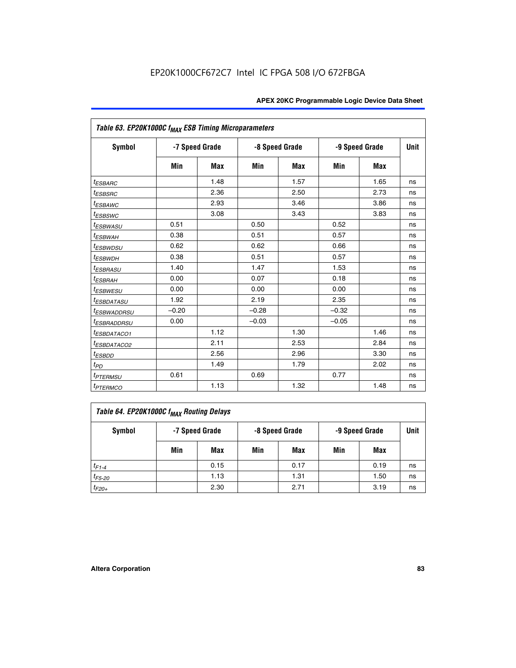| Table 63. EP20K1000C f <sub>MAX</sub> ESB Timing Microparameters |                |            |                |            |                |      |             |  |  |
|------------------------------------------------------------------|----------------|------------|----------------|------------|----------------|------|-------------|--|--|
| Symbol                                                           | -7 Speed Grade |            | -8 Speed Grade |            | -9 Speed Grade |      | <b>Unit</b> |  |  |
|                                                                  | Min            | <b>Max</b> | Min            | <b>Max</b> | Min            | Max  |             |  |  |
| $t_{ESBARC}$                                                     |                | 1.48       |                | 1.57       |                | 1.65 | ns          |  |  |
| <i>t<sub>ESBSRC</sub></i>                                        |                | 2.36       |                | 2.50       |                | 2.73 | ns          |  |  |
| <sup>t</sup> ESBAWC                                              |                | 2.93       |                | 3.46       |                | 3.86 | ns          |  |  |
| <i>t</i> <sub>ESBSWC</sub>                                       |                | 3.08       |                | 3.43       |                | 3.83 | ns          |  |  |
| <sup>t</sup> ESBWASU                                             | 0.51           |            | 0.50           |            | 0.52           |      | ns          |  |  |
| <sup>t</sup> ESBWAH                                              | 0.38           |            | 0.51           |            | 0.57           |      | ns          |  |  |
| <sup>t</sup> ESBWDSU                                             | 0.62           |            | 0.62           |            | 0.66           |      | ns          |  |  |
| <b><i>t<sub>ESBWDH</sub></i></b>                                 | 0.38           |            | 0.51           |            | 0.57           |      | ns          |  |  |
| <i>t<sub>ESBRASU</sub></i>                                       | 1.40           |            | 1.47           |            | 1.53           |      | ns          |  |  |
| <sup>t</sup> ESBRAH                                              | 0.00           |            | 0.07           |            | 0.18           |      | ns          |  |  |
| <sup>t</sup> ESBWESU                                             | 0.00           |            | 0.00           |            | 0.00           |      | ns          |  |  |
| <sup>t</sup> ESBDATASU                                           | 1.92           |            | 2.19           |            | 2.35           |      | ns          |  |  |
| <sup>t</sup> ESBWADDRSU                                          | $-0.20$        |            | $-0.28$        |            | $-0.32$        |      | ns          |  |  |
| <sup>t</sup> ESBRADDRSU                                          | 0.00           |            | $-0.03$        |            | $-0.05$        |      | ns          |  |  |
| <sup>I</sup> ESBDATACO1                                          |                | 1.12       |                | 1.30       |                | 1.46 | ns          |  |  |
| <sup>t</sup> ESBDATACO2                                          |                | 2.11       |                | 2.53       |                | 2.84 | ns          |  |  |
| $t_{ESBDD}$                                                      |                | 2.56       |                | 2.96       |                | 3.30 | ns          |  |  |
| $t_{PD}$                                                         |                | 1.49       |                | 1.79       |                | 2.02 | ns          |  |  |
| t <sub>PTERMSU</sub>                                             | 0.61           |            | 0.69           |            | 0.77           |      | ns          |  |  |
| <i>t<sub>PTERMCO</sub></i>                                       |                | 1.13       |                | 1.32       |                | 1.48 | ns          |  |  |

| Table 64. EP20K1000C f <sub>MAX</sub> Routing Delays |     |                |     |                |     |                |    |  |  |  |
|------------------------------------------------------|-----|----------------|-----|----------------|-----|----------------|----|--|--|--|
| Symbol                                               |     | -7 Speed Grade |     | -8 Speed Grade |     | -9 Speed Grade |    |  |  |  |
|                                                      | Min | Max            | Min | Max            | Min | Max            |    |  |  |  |
| $t_{F1-4}$                                           |     | 0.15           |     | 0.17           |     | 0.19           | ns |  |  |  |
| $t_{F5-20}$                                          |     | 1.13           |     | 1.31           |     | 1.50           | ns |  |  |  |
| $t_{F20+}$                                           |     | 2.30           |     | 2.71           |     | 3.19           | ns |  |  |  |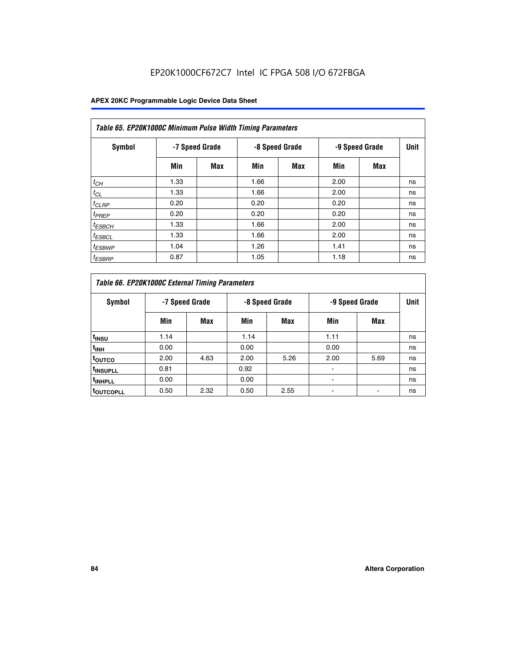# EP20K1000CF672C7 Intel IC FPGA 508 I/O 672FBGA

| Table 65. EP20K1000C Minimum Pulse Width Timing Parameters |                |            |                |            |      |                |             |  |  |  |  |
|------------------------------------------------------------|----------------|------------|----------------|------------|------|----------------|-------------|--|--|--|--|
| Symbol                                                     | -7 Speed Grade |            | -8 Speed Grade |            |      | -9 Speed Grade | <b>Unit</b> |  |  |  |  |
|                                                            | Min            | <b>Max</b> | Min            | <b>Max</b> | Min  | <b>Max</b>     |             |  |  |  |  |
| $t_{CH}$                                                   | 1.33           |            | 1.66           |            | 2.00 |                | ns          |  |  |  |  |
| $t_{CL}$                                                   | 1.33           |            | 1.66           |            | 2.00 |                | ns          |  |  |  |  |
| $t_{CLRP}$                                                 | 0.20           |            | 0.20           |            | 0.20 |                | ns          |  |  |  |  |
| $t_{PREF}$                                                 | 0.20           |            | 0.20           |            | 0.20 |                | ns          |  |  |  |  |
| <sup>t</sup> ESBCH                                         | 1.33           |            | 1.66           |            | 2.00 |                | ns          |  |  |  |  |
| <sup>t</sup> ESBCL                                         | 1.33           |            | 1.66           |            | 2.00 |                | ns          |  |  |  |  |
| $t_{ESBWP}$                                                | 1.04           |            | 1.26           |            | 1.41 |                | ns          |  |  |  |  |
| <sup>t</sup> ESBRP                                         | 0.87           |            | 1.05           |            | 1.18 |                | ns          |  |  |  |  |

| Table 66. EP20K1000C External Timing Parameters |                |      |                |      |                |      |             |
|-------------------------------------------------|----------------|------|----------------|------|----------------|------|-------------|
| Symbol                                          | -7 Speed Grade |      | -8 Speed Grade |      | -9 Speed Grade |      | <b>Unit</b> |
|                                                 | Min            | Max  | Min            | Max  | Min            | Max  |             |
| t <sub>INSU</sub>                               | 1.14           |      | 1.14           |      | 1.11           |      | ns          |
| $t_{\text{INH}}$                                | 0.00           |      | 0.00           |      | 0.00           |      | ns          |
| toutco                                          | 2.00           | 4.63 | 2.00           | 5.26 | 2.00           | 5.69 | ns          |
| <sup>t</sup> INSUPLL                            | 0.81           |      | 0.92           |      |                |      | ns          |
| <sup>t</sup> INHPLL                             | 0.00           |      | 0.00           |      |                |      | ns          |
| <sup>I</sup> OUTCOPLL                           | 0.50           | 2.32 | 0.50           | 2.55 |                |      | ns          |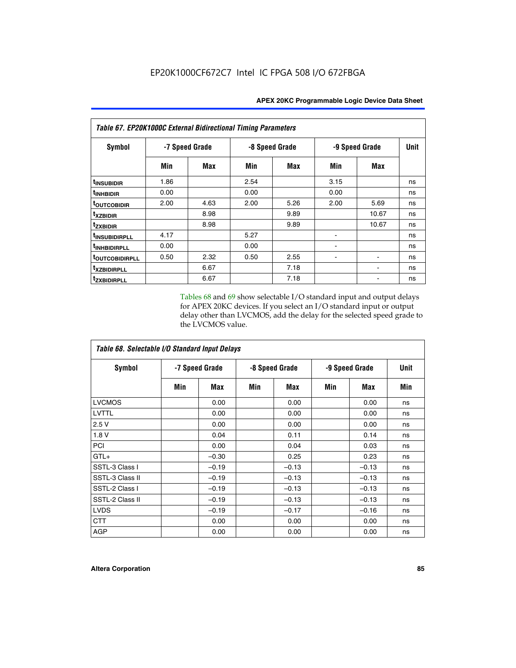| Table 67. EP20K1000C External Bidirectional Timing Parameters |                |      |                |      |                |            |             |
|---------------------------------------------------------------|----------------|------|----------------|------|----------------|------------|-------------|
| Symbol                                                        | -7 Speed Grade |      | -8 Speed Grade |      | -9 Speed Grade |            | <b>Unit</b> |
|                                                               | Min            | Max  | Min            | Max  | Min            | <b>Max</b> |             |
| t <sub>INSUBIDIR</sub>                                        | 1.86           |      | 2.54           |      | 3.15           |            | ns          |
| <sup>t</sup> INHBIDIR                                         | 0.00           |      | 0.00           |      | 0.00           |            | ns          |
| <sup>t</sup> OUTCOBIDIR                                       | 2.00           | 4.63 | 2.00           | 5.26 | 2.00           | 5.69       | ns          |
| txzbidir                                                      |                | 8.98 |                | 9.89 |                | 10.67      | ns          |
| <b>tzxbidir</b>                                               |                | 8.98 |                | 9.89 |                | 10.67      | ns          |
| <sup>t</sup> INSUBIDIRPLL                                     | 4.17           |      | 5.27           |      |                |            | ns          |
| t <sub>INHBIDIRPLL</sub>                                      | 0.00           |      | 0.00           |      |                |            | ns          |
| <b><i>LOUTCOBIDIRPLL</i></b>                                  | 0.50           | 2.32 | 0.50           | 2.55 |                |            | ns          |
| <i>txzBIDIRPLL</i>                                            |                | 6.67 |                | 7.18 |                |            | ns          |
| tzxbidirpll                                                   |                | 6.67 |                | 7.18 |                |            | ns          |

Tables 68 and 69 show selectable I/O standard input and output delays for APEX 20KC devices. If you select an I/O standard input or output delay other than LVCMOS, add the delay for the selected speed grade to the LVCMOS value.

| Table 68. Selectable I/O Standard Input Delays |                |         |                |         |                |         |      |  |
|------------------------------------------------|----------------|---------|----------------|---------|----------------|---------|------|--|
| <b>Symbol</b>                                  | -7 Speed Grade |         | -8 Speed Grade |         | -9 Speed Grade |         | Unit |  |
|                                                | Min            | Max     | Min            | Max     | Min            | Max     | Min  |  |
| <b>LVCMOS</b>                                  |                | 0.00    |                | 0.00    |                | 0.00    | ns   |  |
| <b>LVTTL</b>                                   |                | 0.00    |                | 0.00    |                | 0.00    | ns   |  |
| 2.5V                                           |                | 0.00    |                | 0.00    |                | 0.00    | ns   |  |
| 1.8V                                           |                | 0.04    |                | 0.11    |                | 0.14    | ns   |  |
| PCI                                            |                | 0.00    |                | 0.04    |                | 0.03    | ns   |  |
| $GTL+$                                         |                | $-0.30$ |                | 0.25    |                | 0.23    | ns   |  |
| SSTL-3 Class I                                 |                | $-0.19$ |                | $-0.13$ |                | $-0.13$ | ns   |  |
| SSTL-3 Class II                                |                | $-0.19$ |                | $-0.13$ |                | $-0.13$ | ns   |  |
| SSTL-2 Class I                                 |                | $-0.19$ |                | $-0.13$ |                | $-0.13$ | ns   |  |
| SSTL-2 Class II                                |                | $-0.19$ |                | $-0.13$ |                | $-0.13$ | ns   |  |
| <b>LVDS</b>                                    |                | $-0.19$ |                | $-0.17$ |                | $-0.16$ | ns   |  |
| <b>CTT</b>                                     |                | 0.00    |                | 0.00    |                | 0.00    | ns   |  |
| <b>AGP</b>                                     |                | 0.00    |                | 0.00    |                | 0.00    | ns   |  |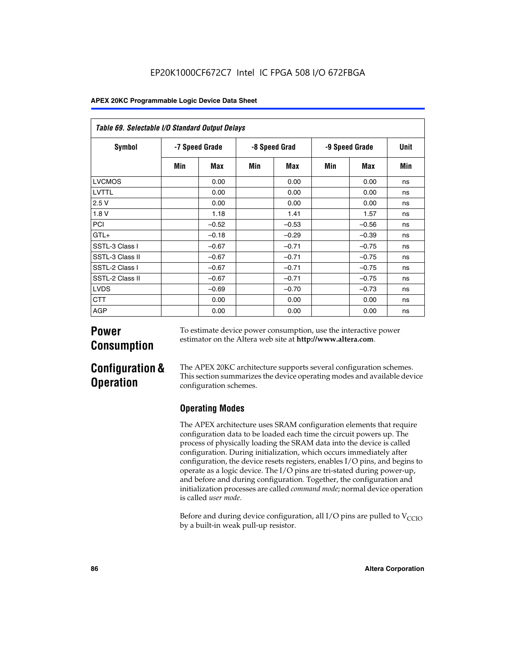| Table 69. Selectable I/O Standard Output Delays |                |         |               |         |                |            |      |
|-------------------------------------------------|----------------|---------|---------------|---------|----------------|------------|------|
| <b>Symbol</b>                                   | -7 Speed Grade |         | -8 Speed Grad |         | -9 Speed Grade |            | Unit |
|                                                 | Min            | Max     | Min           | Max     | Min            | <b>Max</b> | Min  |
| <b>LVCMOS</b>                                   |                | 0.00    |               | 0.00    |                | 0.00       | ns   |
| LVTTL                                           |                | 0.00    |               | 0.00    |                | 0.00       | ns   |
| 2.5V                                            |                | 0.00    |               | 0.00    |                | 0.00       | ns   |
| 1.8V                                            |                | 1.18    |               | 1.41    |                | 1.57       | ns   |
| PCI                                             |                | $-0.52$ |               | $-0.53$ |                | $-0.56$    | ns   |
| $GTL+$                                          |                | $-0.18$ |               | $-0.29$ |                | $-0.39$    | ns   |
| SSTL-3 Class I                                  |                | $-0.67$ |               | $-0.71$ |                | $-0.75$    | ns   |
| SSTL-3 Class II                                 |                | $-0.67$ |               | $-0.71$ |                | $-0.75$    | ns   |
| SSTL-2 Class I                                  |                | $-0.67$ |               | $-0.71$ |                | $-0.75$    | ns   |
| SSTL-2 Class II                                 |                | $-0.67$ |               | $-0.71$ |                | $-0.75$    | ns   |
| <b>LVDS</b>                                     |                | $-0.69$ |               | $-0.70$ |                | $-0.73$    | ns   |
| <b>CTT</b>                                      |                | 0.00    |               | 0.00    |                | 0.00       | ns   |
| AGP                                             |                | 0.00    |               | 0.00    |                | 0.00       | ns   |

# **Power Consumption**

To estimate device power consumption, use the interactive power estimator on the Altera web site at **http://www.altera.com**.

# **Configuration & Operation**

The APEX 20KC architecture supports several configuration schemes. This section summarizes the device operating modes and available device configuration schemes.

# **Operating Modes**

The APEX architecture uses SRAM configuration elements that require configuration data to be loaded each time the circuit powers up. The process of physically loading the SRAM data into the device is called configuration. During initialization, which occurs immediately after configuration, the device resets registers, enables I/O pins, and begins to operate as a logic device. The I/O pins are tri-stated during power-up, and before and during configuration. Together, the configuration and initialization processes are called *command mode*; normal device operation is called *user mode*.

Before and during device configuration, all I/O pins are pulled to  $V_{CCIO}$ by a built-in weak pull-up resistor.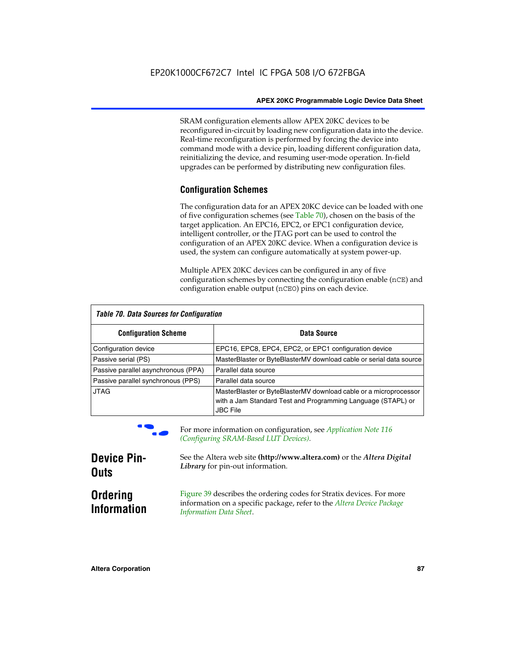SRAM configuration elements allow APEX 20KC devices to be reconfigured in-circuit by loading new configuration data into the device. Real-time reconfiguration is performed by forcing the device into command mode with a device pin, loading different configuration data, reinitializing the device, and resuming user-mode operation. In-field upgrades can be performed by distributing new configuration files.

# **Configuration Schemes**

The configuration data for an APEX 20KC device can be loaded with one of five configuration schemes (see Table 70), chosen on the basis of the target application. An EPC16, EPC2, or EPC1 configuration device, intelligent controller, or the JTAG port can be used to control the configuration of an APEX 20KC device. When a configuration device is used, the system can configure automatically at system power-up.

Multiple APEX 20KC devices can be configured in any of five configuration schemes by connecting the configuration enable (nCE) and configuration enable output (nCEO) pins on each device.

| Table 70. Data Sources for Configuration |                                                                                                                                                      |  |  |  |  |
|------------------------------------------|------------------------------------------------------------------------------------------------------------------------------------------------------|--|--|--|--|
| <b>Configuration Scheme</b>              | Data Source                                                                                                                                          |  |  |  |  |
| Configuration device                     | EPC16, EPC8, EPC4, EPC2, or EPC1 configuration device                                                                                                |  |  |  |  |
| Passive serial (PS)                      | MasterBlaster or ByteBlasterMV download cable or serial data source                                                                                  |  |  |  |  |
| Passive parallel asynchronous (PPA)      | Parallel data source                                                                                                                                 |  |  |  |  |
| Passive parallel synchronous (PPS)       | Parallel data source                                                                                                                                 |  |  |  |  |
| <b>JTAG</b>                              | MasterBlaster or ByteBlasterMV download cable or a microprocessor<br>with a Jam Standard Test and Programming Language (STAPL) or<br><b>JBC File</b> |  |  |  |  |



For more information on configuration, see *Application Note* 116 *(Configuring SRAM-Based LUT Devices).*

| <b>Device Pin-</b>                    | See the Altera web site (http://www.altera.com) or the Altera Digital                                                                                                    |
|---------------------------------------|--------------------------------------------------------------------------------------------------------------------------------------------------------------------------|
| <b>Outs</b>                           | Library for pin-out information.                                                                                                                                         |
| <b>Ordering</b><br><b>Information</b> | Figure 39 describes the ordering codes for Stratix devices. For more<br>information on a specific package, refer to the Altera Device Package<br>Information Data Sheet. |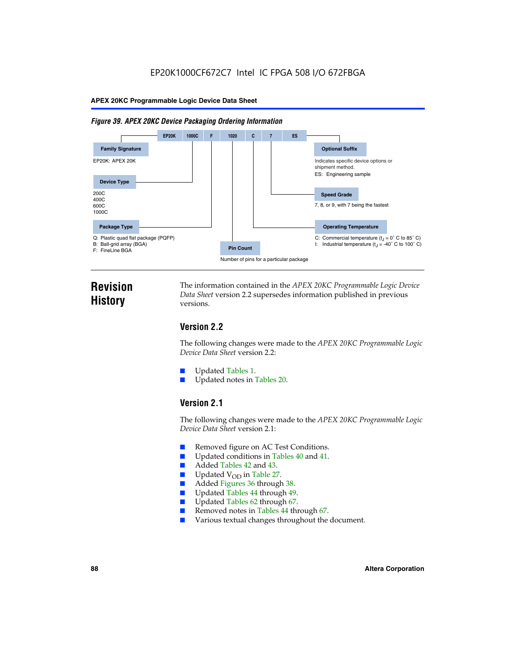#### *Figure 39. APEX 20KC Device Packaging Ordering Information*



# **Revision History**

The information contained in the *APEX 20KC Programmable Logic Device Data Sheet* version 2.2 supersedes information published in previous versions.

# **Version 2.2**

The following changes were made to the *APEX 20KC Programmable Logic Device Data Sheet* version 2.2:

- Updated Tables 1.
- Updated notes in Tables 20.

# **Version 2.1**

The following changes were made to the *APEX 20KC Programmable Logic Device Data Sheet* version 2.1:

- Removed figure on AC Test Conditions.
- Updated conditions in Tables 40 and 41.
- Added Tables 42 and 43.
- $\blacksquare$  Updated V<sub>OD</sub> in Table 27.<br>Added Figures 36 through
- Added Figures 36 through 38.
- Updated Tables 44 through 49.
- Updated Tables 62 through 67.
- Removed notes in Tables 44 through 67.
- Various textual changes throughout the document.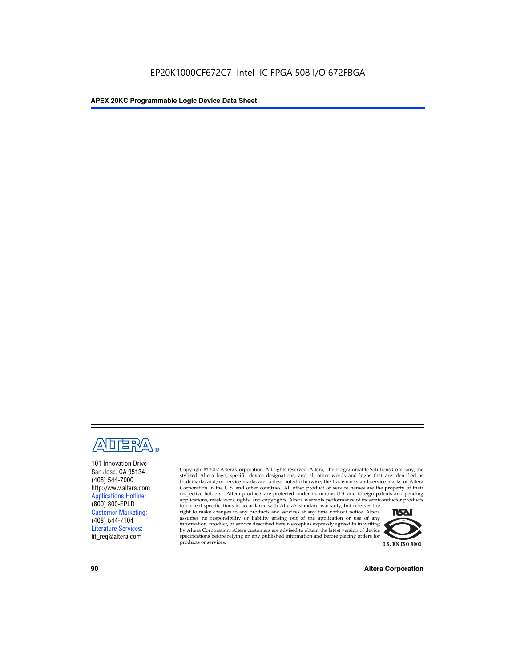

101 Innovation Drive San Jose, CA 95134 (408) 544-7000 http://www.altera.com Applications Hotline: (800) 800-EPLD Customer Marketing: (408) 544-7104 Literature Services: lit\_req@altera.com

Copyright © 2002 Altera Corporation. All rights reserved. Altera, The Programmable Solutions Company, the stylized Altera logo, specific device designations, and all other words and logos that are identified as trademarks and/or service marks are, unless noted otherwise, the trademarks and service marks of Altera Corporation in the U.S. and other countries. All other product or service names are the property of their respective holders. Altera products are protected under numerous U.S. and foreign patents and pending applications, mask work rights, and copyrights. Altera warrants performance of its semiconductor products

to current specifications in accordance with Altera's standard warranty, but reserves the right to make changes to any products and services at any time without notice. Altera assumes no responsibility or liability arising out of the application or use of any information, product, or service described herein except as expressly agreed to in writing by Altera Corporation. Altera customers are advised to obtain the latest version of device specifications before relying on any published information and before placing orders for products or services.



**90 Altera Corporation**